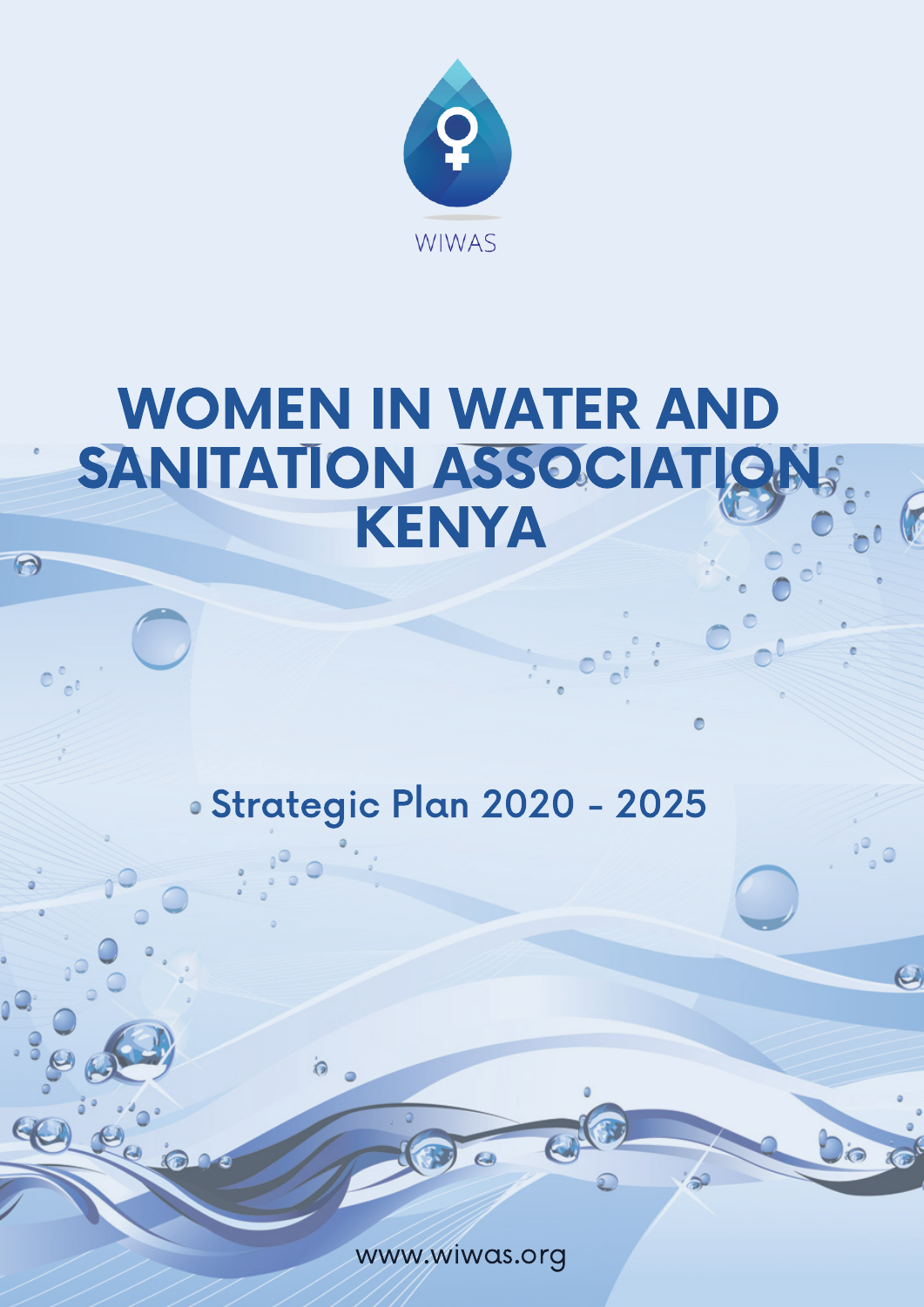

# WOMEN IN WATER AND SANITATION ASSOCIATION KENYA

 $\Theta$ 

 $\mathcal{T}_d$ 

 $\Theta$ 

石

 $O$ 

## Strategic Plan 2020 - 2025

www.wiwas.org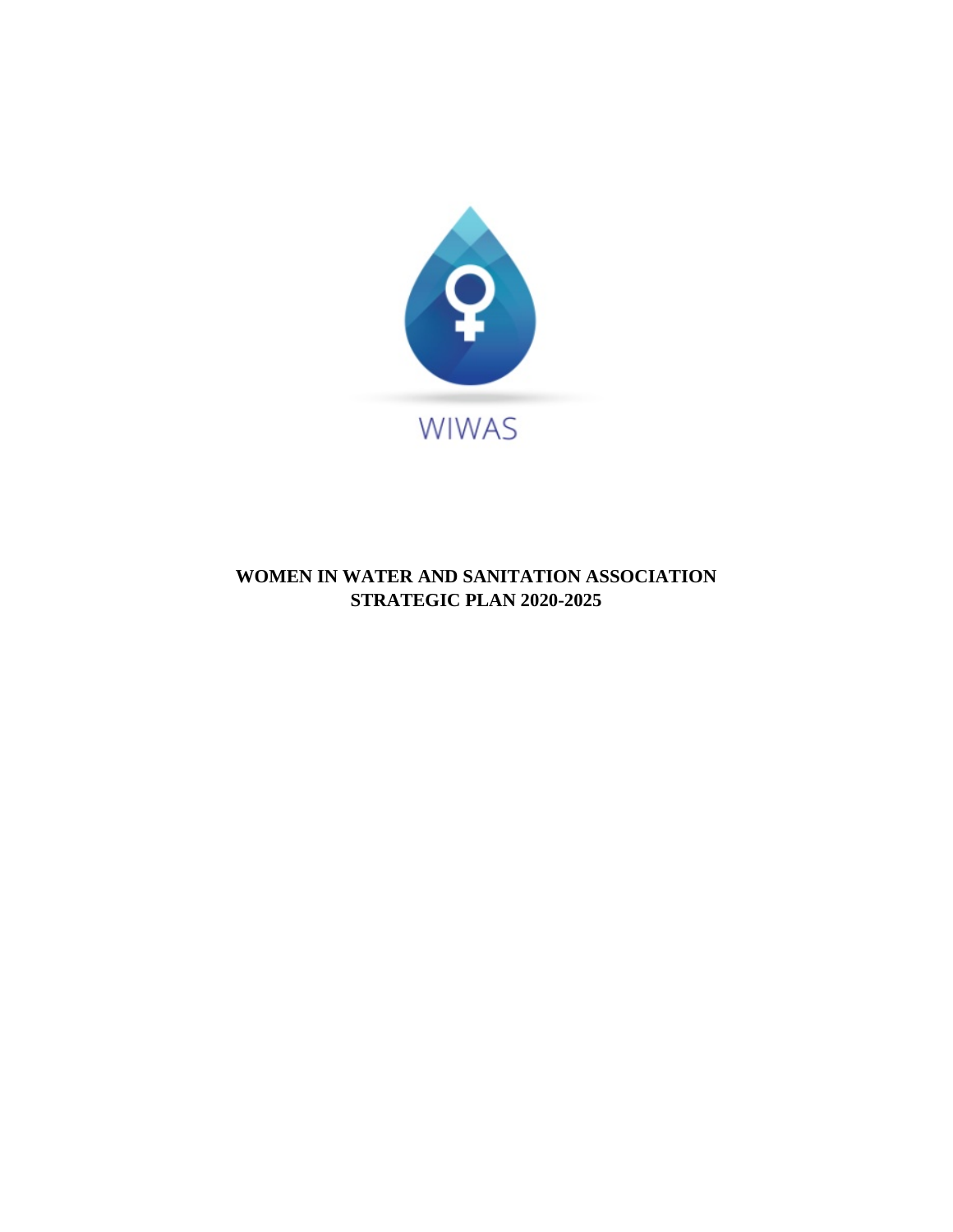

## **WOMEN IN WATER AND SANITATION ASSOCIATION STRATEGIC PLAN 2020-2025**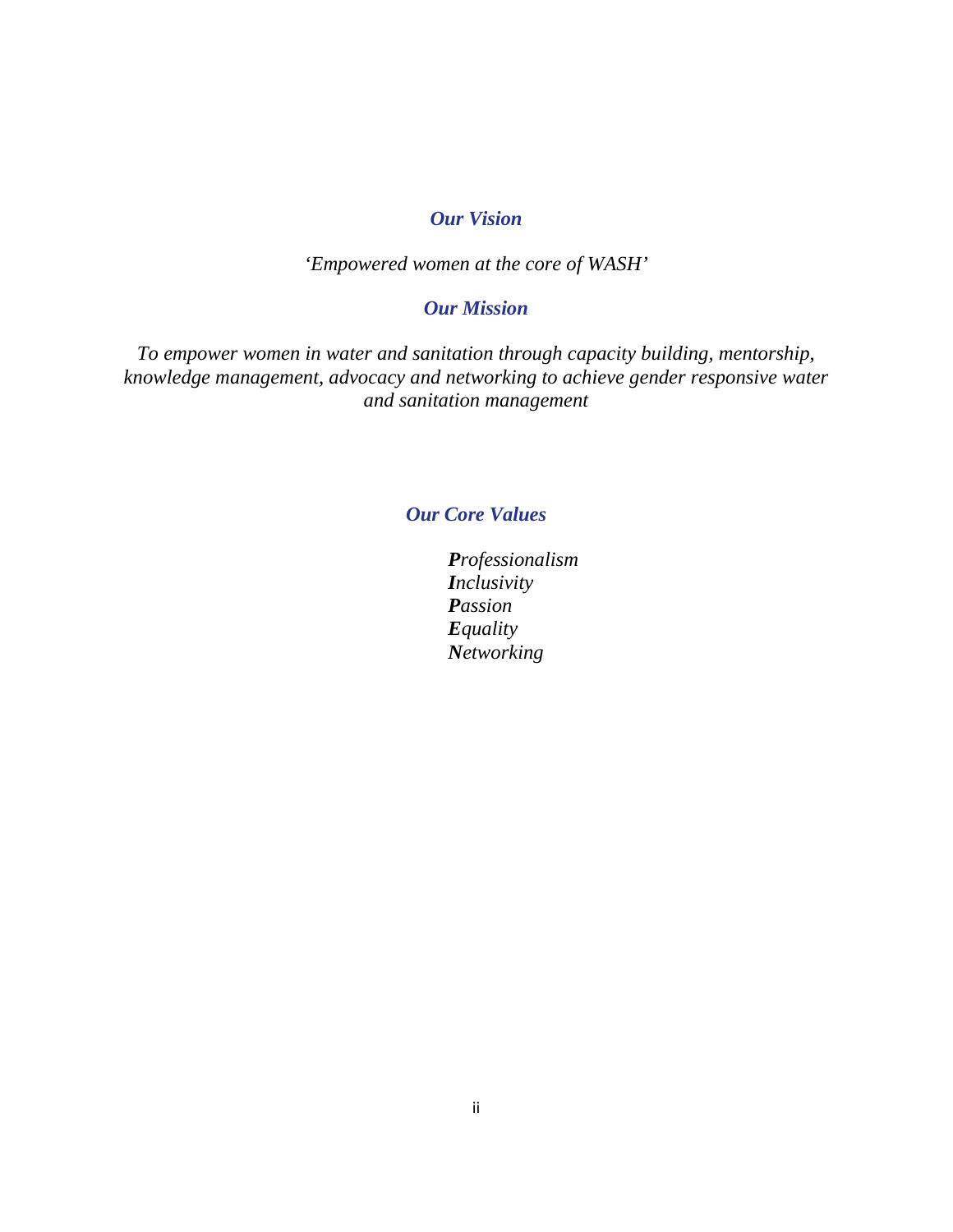## *Our Vision*

*'Empowered women at the core of WASH'*

## *Our Mission*

*To empower women in water and sanitation through capacity building, mentorship, knowledge management, advocacy and networking to achieve gender responsive water and sanitation management*

## *Our Core Values*

*Professionalism Inclusivity Passion Equality Networking*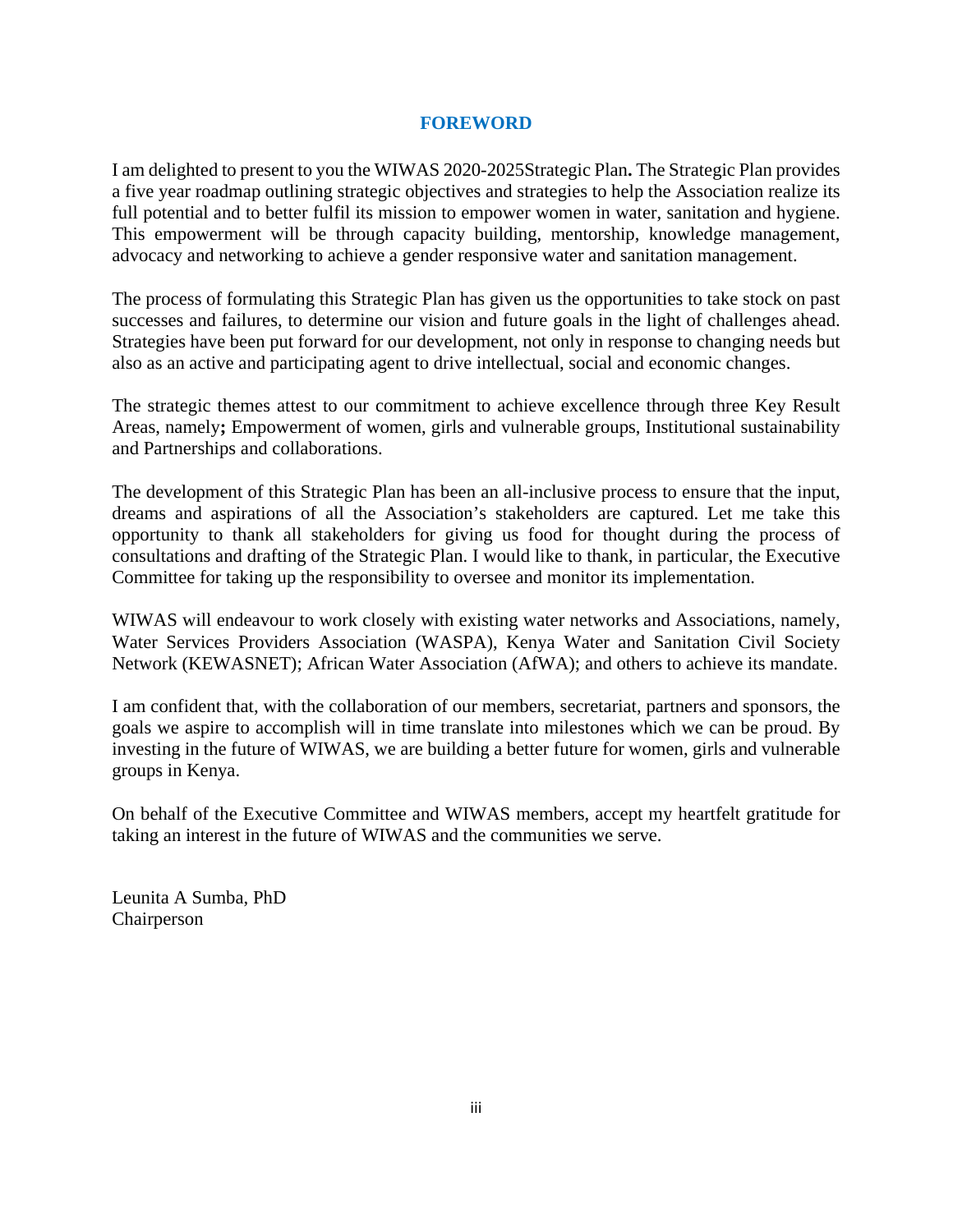#### **FOREWORD**

<span id="page-3-0"></span>I am delighted to present to you the WIWAS 2020-2025Strategic Plan**.** The Strategic Plan provides a five year roadmap outlining strategic objectives and strategies to help the Association realize its full potential and to better fulfil its mission to empower women in water, sanitation and hygiene. This empowerment will be through capacity building, mentorship, knowledge management, advocacy and networking to achieve a gender responsive water and sanitation management.

The process of formulating this Strategic Plan has given us the opportunities to take stock on past successes and failures, to determine our vision and future goals in the light of challenges ahead. Strategies have been put forward for our development, not only in response to changing needs but also as an active and participating agent to drive intellectual, social and economic changes.

The strategic themes attest to our commitment to achieve excellence through three Key Result Areas, namely**;** Empowerment of women, girls and vulnerable groups, Institutional sustainability and Partnerships and collaborations.

The development of this Strategic Plan has been an all-inclusive process to ensure that the input, dreams and aspirations of all the Association's stakeholders are captured. Let me take this opportunity to thank all stakeholders for giving us food for thought during the process of consultations and drafting of the Strategic Plan. I would like to thank, in particular, the Executive Committee for taking up the responsibility to oversee and monitor its implementation.

WIWAS will endeavour to work closely with existing water networks and Associations, namely, Water Services Providers Association (WASPA), Kenya Water and Sanitation Civil Society Network (KEWASNET); African Water Association (AfWA); and others to achieve its mandate.

I am confident that, with the collaboration of our members, secretariat, partners and sponsors, the goals we aspire to accomplish will in time translate into milestones which we can be proud. By investing in the future of WIWAS, we are building a better future for women, girls and vulnerable groups in Kenya.

On behalf of the Executive Committee and WIWAS members, accept my heartfelt gratitude for taking an interest in the future of WIWAS and the communities we serve.

Leunita A Sumba, PhD Chairperson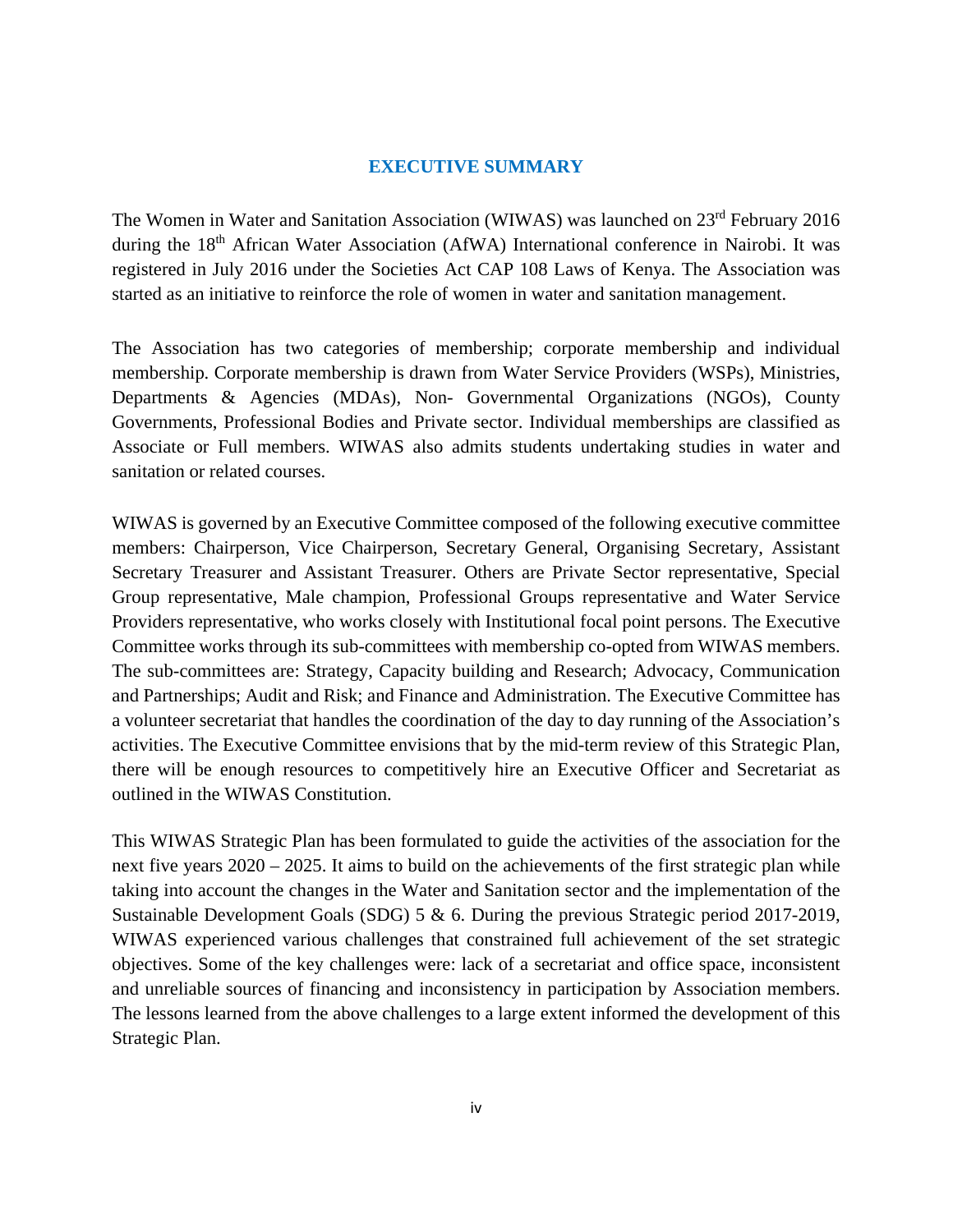#### **EXECUTIVE SUMMARY**

<span id="page-4-0"></span>The Women in Water and Sanitation Association (WIWAS) was launched on 23rd February 2016 during the 18<sup>th</sup> African Water Association (AfWA) International conference in Nairobi. It was registered in July 2016 under the Societies Act CAP 108 Laws of Kenya. The Association was started as an initiative to reinforce the role of women in water and sanitation management.

The Association has two categories of membership; corporate membership and individual membership. Corporate membership is drawn from Water Service Providers (WSPs), Ministries, Departments & Agencies (MDAs), Non- Governmental Organizations (NGOs), County Governments, Professional Bodies and Private sector. Individual memberships are classified as Associate or Full members. WIWAS also admits students undertaking studies in water and sanitation or related courses.

WIWAS is governed by an Executive Committee composed of the following executive committee members: Chairperson, Vice Chairperson, Secretary General, Organising Secretary, Assistant Secretary Treasurer and Assistant Treasurer. Others are Private Sector representative, Special Group representative, Male champion, Professional Groups representative and Water Service Providers representative, who works closely with Institutional focal point persons. The Executive Committee works through its sub-committees with membership co-opted from WIWAS members. The sub-committees are: Strategy, Capacity building and Research; Advocacy, Communication and Partnerships; Audit and Risk; and Finance and Administration. The Executive Committee has a volunteer secretariat that handles the coordination of the day to day running of the Association's activities. The Executive Committee envisions that by the mid-term review of this Strategic Plan, there will be enough resources to competitively hire an Executive Officer and Secretariat as outlined in the WIWAS Constitution.

This WIWAS Strategic Plan has been formulated to guide the activities of the association for the next five years 2020 – 2025. It aims to build on the achievements of the first strategic plan while taking into account the changes in the Water and Sanitation sector and the implementation of the Sustainable Development Goals (SDG) 5 & 6. During the previous Strategic period 2017-2019, WIWAS experienced various challenges that constrained full achievement of the set strategic objectives. Some of the key challenges were: lack of a secretariat and office space, inconsistent and unreliable sources of financing and inconsistency in participation by Association members. The lessons learned from the above challenges to a large extent informed the development of this Strategic Plan.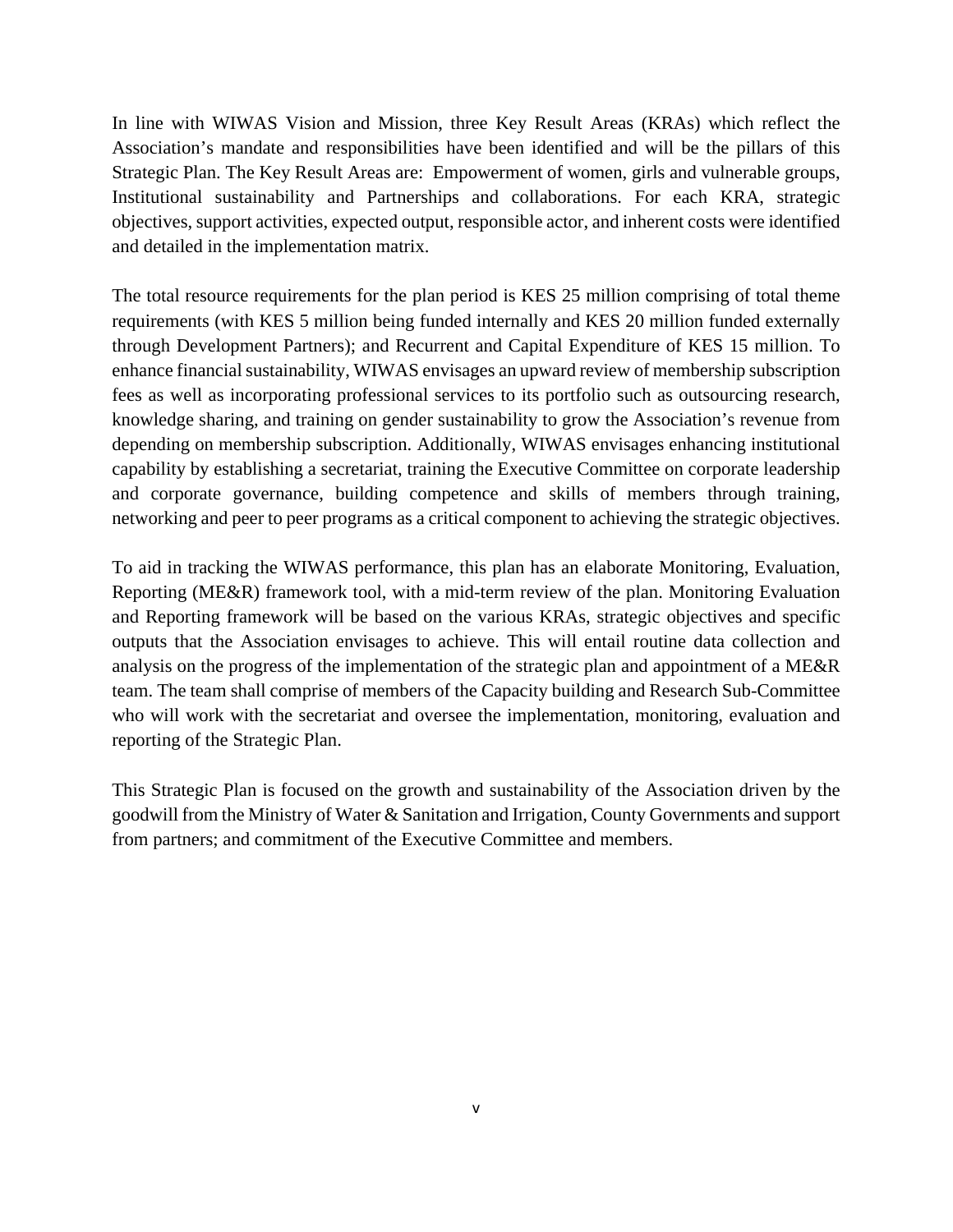In line with WIWAS Vision and Mission, three Key Result Areas (KRAs) which reflect the Association's mandate and responsibilities have been identified and will be the pillars of this Strategic Plan. The Key Result Areas are: Empowerment of women, girls and vulnerable groups, Institutional sustainability and Partnerships and collaborations. For each KRA, strategic objectives, support activities, expected output, responsible actor, and inherent costs were identified and detailed in the implementation matrix.

The total resource requirements for the plan period is KES 25 million comprising of total theme requirements (with KES 5 million being funded internally and KES 20 million funded externally through Development Partners); and Recurrent and Capital Expenditure of KES 15 million. To enhance financial sustainability, WIWAS envisages an upward review of membership subscription fees as well as incorporating professional services to its portfolio such as outsourcing research, knowledge sharing, and training on gender sustainability to grow the Association's revenue from depending on membership subscription. Additionally, WIWAS envisages enhancing institutional capability by establishing a secretariat, training the Executive Committee on corporate leadership and corporate governance, building competence and skills of members through training, networking and peer to peer programs as a critical component to achieving the strategic objectives.

To aid in tracking the WIWAS performance, this plan has an elaborate Monitoring, Evaluation, Reporting (ME&R) framework tool, with a mid-term review of the plan. Monitoring Evaluation and Reporting framework will be based on the various KRAs, strategic objectives and specific outputs that the Association envisages to achieve. This will entail routine data collection and analysis on the progress of the implementation of the strategic plan and appointment of a ME&R team. The team shall comprise of members of the Capacity building and Research Sub-Committee who will work with the secretariat and oversee the implementation, monitoring, evaluation and reporting of the Strategic Plan.

This Strategic Plan is focused on the growth and sustainability of the Association driven by the goodwill from the Ministry of Water & Sanitation and Irrigation, County Governments and support from partners; and commitment of the Executive Committee and members.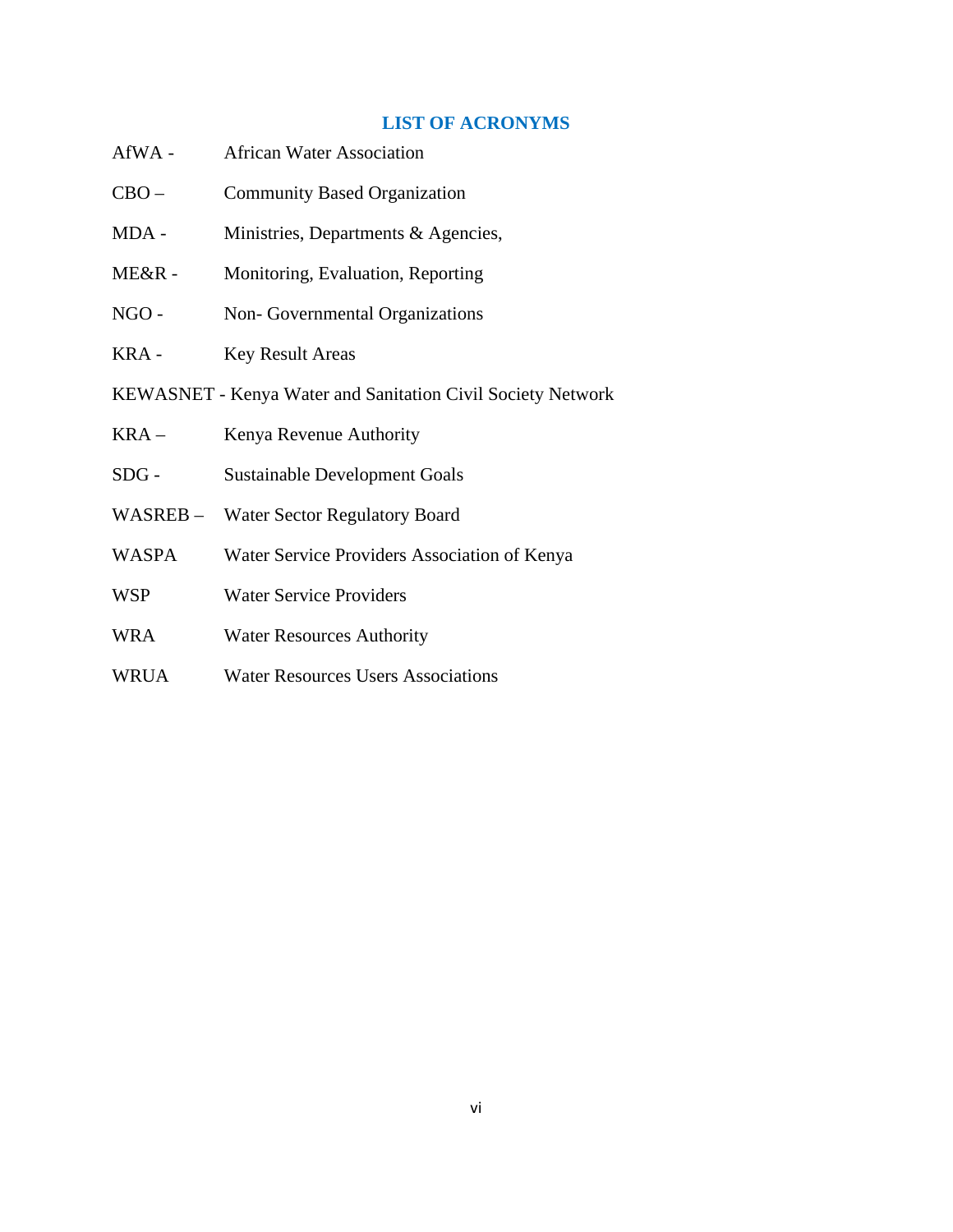#### **LIST OF ACRONYMS**

- <span id="page-6-0"></span>AfWA - African Water Association
- CBO Community Based Organization
- MDA Ministries, Departments & Agencies,
- ME&R Monitoring, Evaluation, Reporting
- NGO Non- Governmental Organizations
- KRA Key Result Areas
- KEWASNET Kenya Water and Sanitation Civil Society Network
- KRA Kenya Revenue Authority
- SDG Sustainable Development Goals
- WASREB Water Sector Regulatory Board
- WASPA Water Service Providers Association of Kenya
- WSP Water Service Providers
- WRA Water Resources Authority
- WRUA Water Resources Users Associations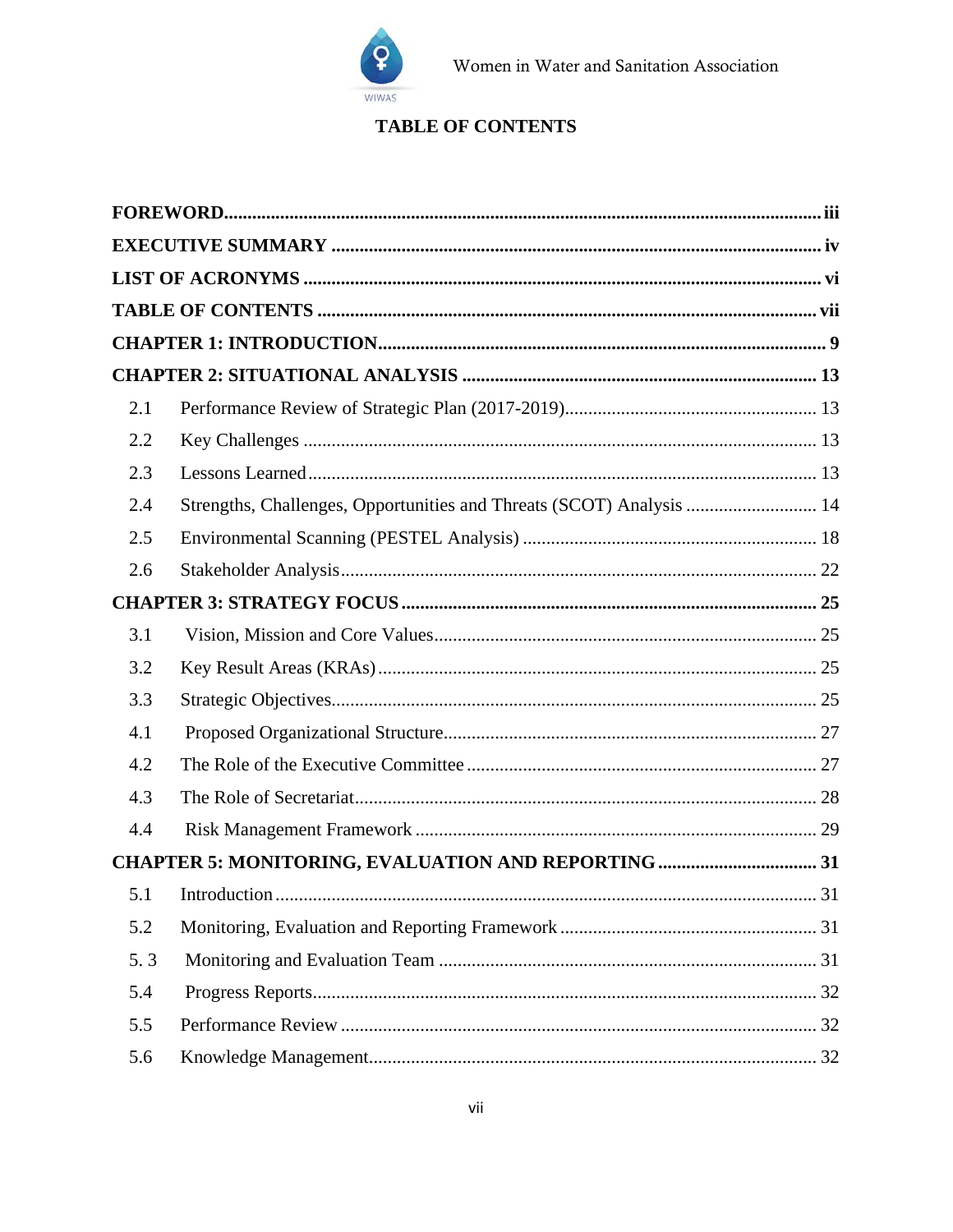

## **TABLE OF CONTENTS**

<span id="page-7-0"></span>

| 2.1 |                                                                      |  |
|-----|----------------------------------------------------------------------|--|
| 2.2 |                                                                      |  |
| 2.3 |                                                                      |  |
| 2.4 | Strengths, Challenges, Opportunities and Threats (SCOT) Analysis  14 |  |
| 2.5 |                                                                      |  |
| 2.6 |                                                                      |  |
|     |                                                                      |  |
| 3.1 |                                                                      |  |
| 3.2 |                                                                      |  |
| 3.3 |                                                                      |  |
| 4.1 |                                                                      |  |
| 4.2 |                                                                      |  |
| 4.3 |                                                                      |  |
| 4.4 |                                                                      |  |
|     |                                                                      |  |
| 5.1 |                                                                      |  |
| 5.2 |                                                                      |  |
| 5.3 |                                                                      |  |
| 5.4 |                                                                      |  |
| 5.5 |                                                                      |  |
| 5.6 |                                                                      |  |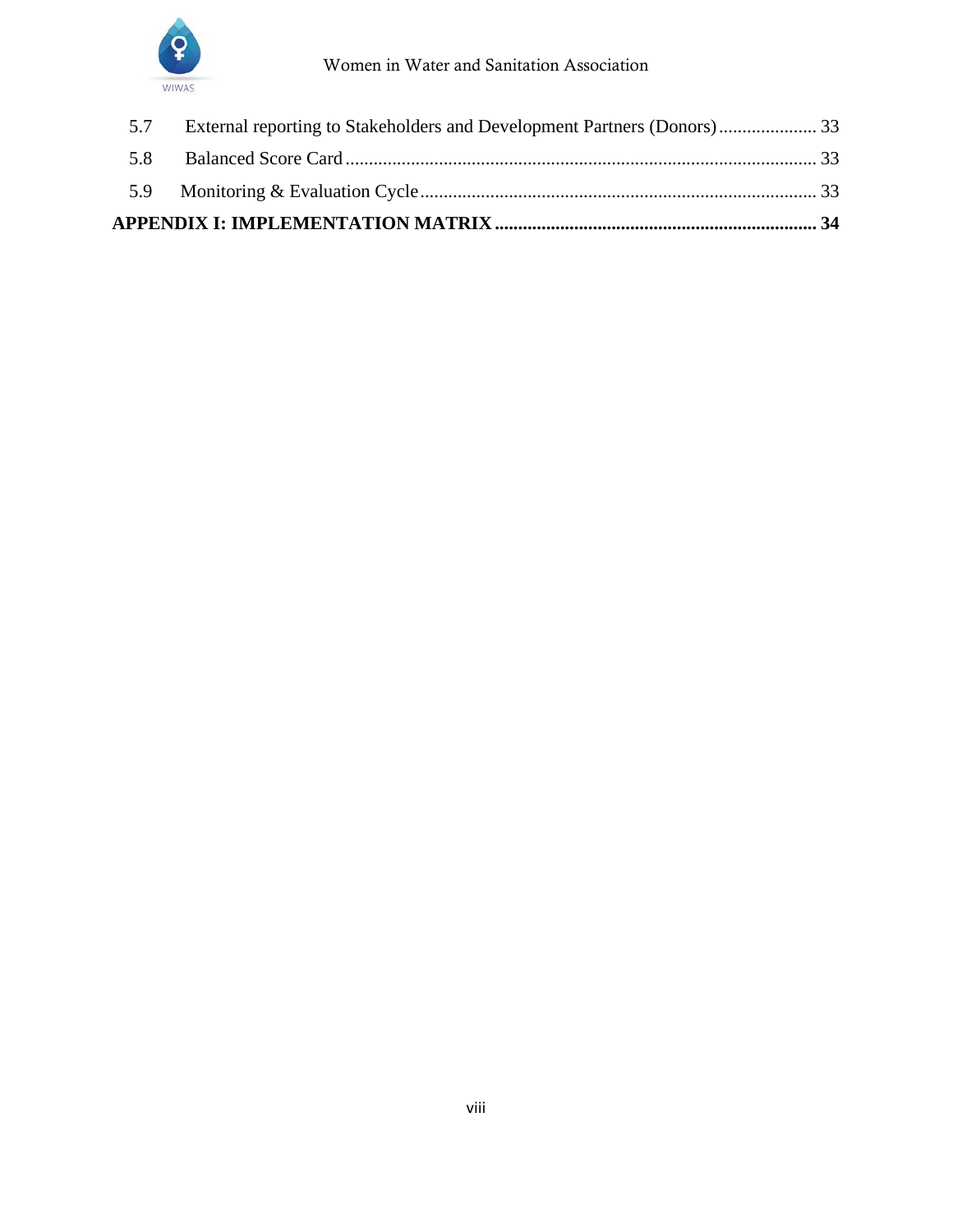

| 5.7 |  |  |
|-----|--|--|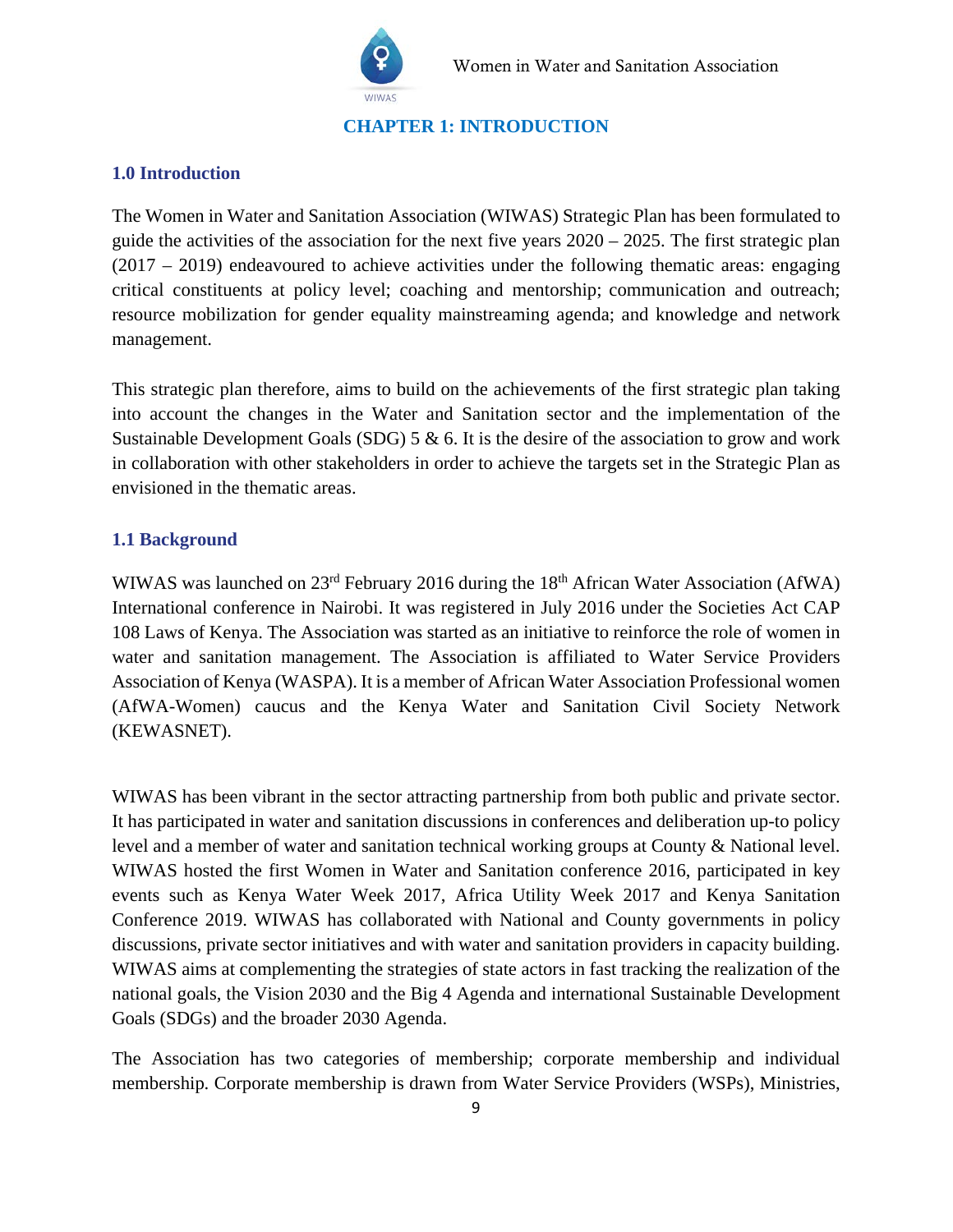

**CHAPTER 1: INTRODUCTION**

#### <span id="page-9-0"></span>**1.0 Introduction**

The Women in Water and Sanitation Association (WIWAS) Strategic Plan has been formulated to guide the activities of the association for the next five years 2020 – 2025. The first strategic plan (2017 – 2019) endeavoured to achieve activities under the following thematic areas: engaging critical constituents at policy level; coaching and mentorship; communication and outreach; resource mobilization for gender equality mainstreaming agenda; and knowledge and network management.

This strategic plan therefore, aims to build on the achievements of the first strategic plan taking into account the changes in the Water and Sanitation sector and the implementation of the Sustainable Development Goals (SDG)  $5 \& 6$ . It is the desire of the association to grow and work in collaboration with other stakeholders in order to achieve the targets set in the Strategic Plan as envisioned in the thematic areas.

#### **1.1 Background**

WIWAS was launched on 23<sup>rd</sup> February 2016 during the 18<sup>th</sup> African Water Association (AfWA) International conference in Nairobi. It was registered in July 2016 under the Societies Act CAP 108 Laws of Kenya. The Association was started as an initiative to reinforce the role of women in water and sanitation management. The Association is affiliated to Water Service Providers Association of Kenya (WASPA). It is a member of African Water Association Professional women (AfWA-Women) caucus and the Kenya Water and Sanitation Civil Society Network (KEWASNET).

WIWAS has been vibrant in the sector attracting partnership from both public and private sector. It has participated in water and sanitation discussions in conferences and deliberation up-to policy level and a member of water and sanitation technical working groups at County & National level. WIWAS hosted the first Women in Water and Sanitation conference 2016, participated in key events such as Kenya Water Week 2017, Africa Utility Week 2017 and Kenya Sanitation Conference 2019. WIWAS has collaborated with National and County governments in policy discussions, private sector initiatives and with water and sanitation providers in capacity building. WIWAS aims at complementing the strategies of state actors in fast tracking the realization of the national goals, the Vision 2030 and the Big 4 Agenda and international Sustainable Development Goals (SDGs) and the broader 2030 Agenda.

The Association has two categories of membership; corporate membership and individual membership. Corporate membership is drawn from Water Service Providers (WSPs), Ministries,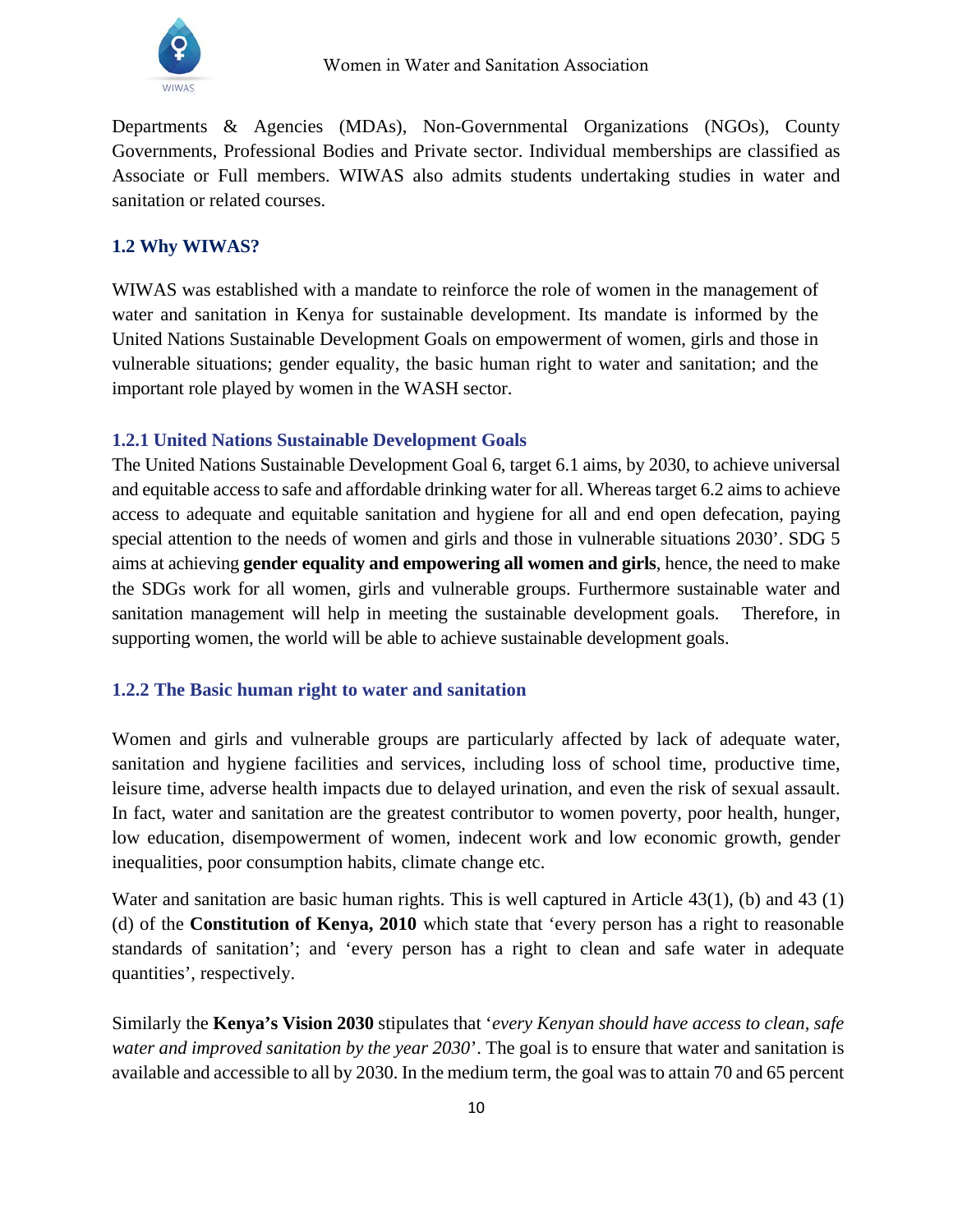

Departments & Agencies (MDAs), Non-Governmental Organizations (NGOs), County Governments, Professional Bodies and Private sector. Individual memberships are classified as Associate or Full members. WIWAS also admits students undertaking studies in water and sanitation or related courses.

#### **1.2 Why WIWAS?**

WIWAS was established with a mandate to reinforce the role of women in the management of water and sanitation in Kenya for sustainable development. Its mandate is informed by the United Nations Sustainable Development Goals on empowerment of women, girls and those in vulnerable situations; gender equality, the basic human right to water and sanitation; and the important role played by women in the WASH sector.

## **1.2.1 United Nations Sustainable Development Goals**

The United Nations Sustainable Development Goal 6, target 6.1 aims, by 2030, to achieve universal and equitable access to safe and affordable drinking water for all. Whereas target 6.2 aims to achieve access to adequate and equitable sanitation and hygiene for all and end open defecation, paying special attention to the needs of women and girls and those in vulnerable situations 2030'. SDG 5 aims at achieving **gender equality and empowering all women and girls**, hence, the need to make the SDGs work for all women, girls and vulnerable groups. Furthermore sustainable water and sanitation management will help in meeting the sustainable development goals. Therefore, in supporting women, the world will be able to achieve sustainable development goals.

#### **1.2.2 The Basic human right to water and sanitation**

Women and girls and vulnerable groups are particularly affected by lack of adequate water, sanitation and hygiene facilities and services, including loss of school time, productive time, leisure time, adverse health impacts due to delayed urination, and even the risk of sexual assault. In fact, water and sanitation are the greatest contributor to women poverty, poor health, hunger, low education, disempowerment of women, indecent work and low economic growth, gender inequalities, poor consumption habits, climate change etc.

Water and sanitation are basic human rights. This is well captured in Article 43(1), (b) and 43 (1) (d) of the **Constitution of Kenya, 2010** which state that 'every person has a right to reasonable standards of sanitation'; and 'every person has a right to clean and safe water in adequate quantities', respectively.

Similarly the **Kenya's Vision 2030** stipulates that '*every Kenyan should have access to clean, safe water and improved sanitation by the year 2030*'. The goal is to ensure that water and sanitation is available and accessible to all by 2030. In the medium term, the goal was to attain 70 and 65 percent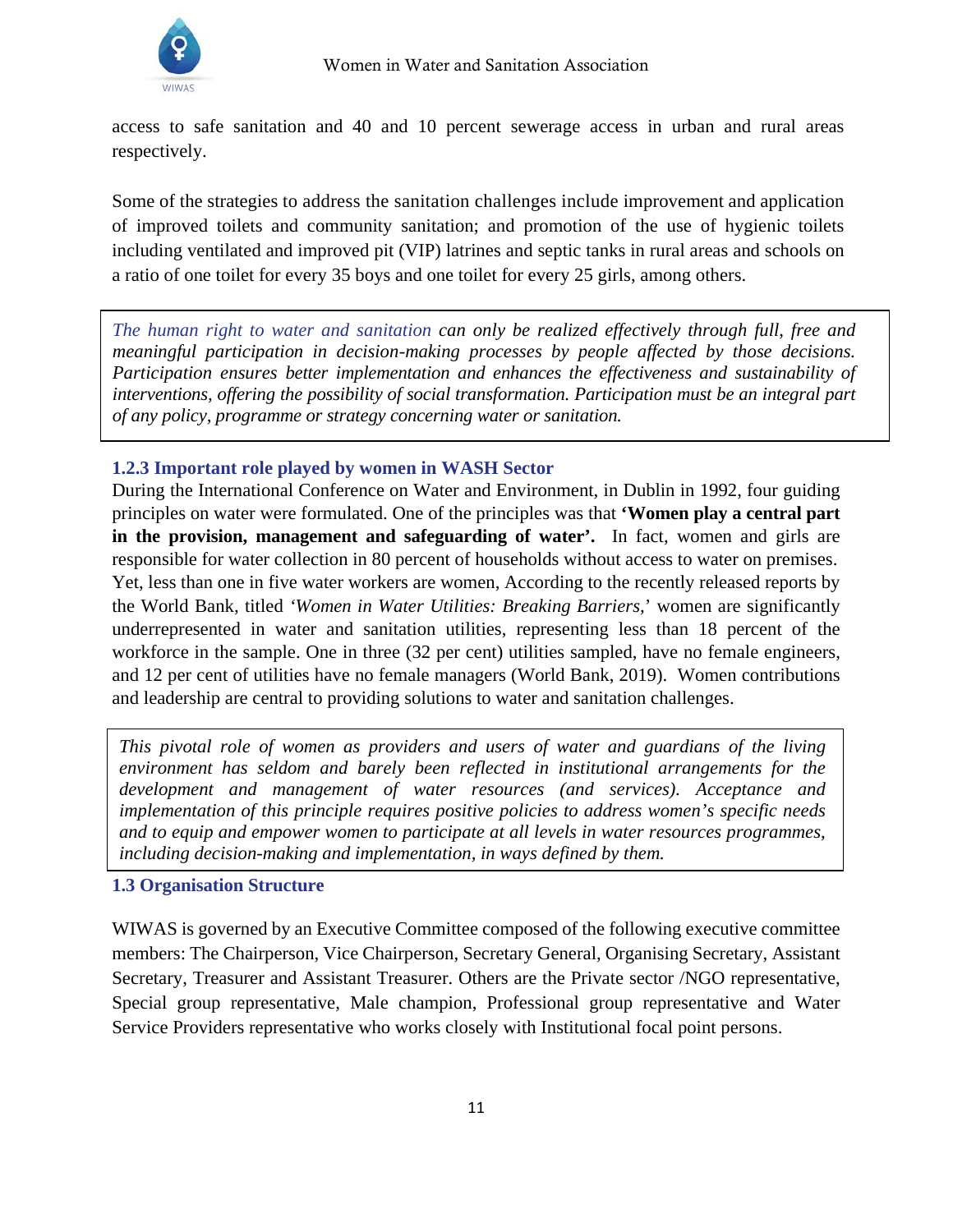access to safe sanitation and 40 and 10 percent sewerage access in urban and rural areas respectively.

Some of the strategies to address the sanitation challenges include improvement and application of improved toilets and community sanitation; and promotion of the use of hygienic toilets including ventilated and improved pit (VIP) latrines and septic tanks in rural areas and schools on a ratio of one toilet for every 35 boys and one toilet for every 25 girls, among others.

**Important Role of Women in WASH Sector** *of any policy, programme or strategy concerning water or sanitation. The human right to water and sanitation can only be realized effectively through full, free and meaningful participation in decision-making processes by people affected by those decisions. Participation ensures better implementation and enhances the effectiveness and sustainability of interventions, offering the possibility of social transformation. Participation must be an integral part* 

## **1.2.3 Important role played by women in WASH Sector**

During the International Conference on Water and Environment, in Dublin in 1992, four guiding principles on water were formulated. One of the principles was that **'Women play a central part in the provision, management and safeguarding of water'.** In fact, women and girls are responsible for water collection in 80 percent of households without access to water on premises. Yet, less than one in five water workers are women, According to the recently released reports by the World Bank, titled *'Women in Water Utilities: Breaking Barriers,*' women are significantly underrepresented in water and sanitation utilities, representing less than 18 percent of the workforce in the sample. One in three (32 per cent) utilities sampled, have no female engineers, and 12 per cent of utilities have no female managers (World Bank, 2019). Women contributions and leadership are central to providing solutions to water and sanitation challenges.

*This pivotal role of women as providers and users of water and guardians of the living environment has seldom and barely been reflected in institutional arrangements for the development and management of water resources (and services). Acceptance and implementation of this principle requires positive policies to address women's specific needs and to equip and empower women to participate at all levels in water resources programmes, including decision-making and implementation, in ways defined by them.*

## **1.3 Organisation Structure**

WIWAS is governed by an Executive Committee composed of the following executive committee members: The Chairperson, Vice Chairperson, Secretary General, Organising Secretary, Assistant Secretary, Treasurer and Assistant Treasurer. Others are the Private sector /NGO representative, Special group representative, Male champion, Professional group representative and Water Service Providers representative who works closely with Institutional focal point persons.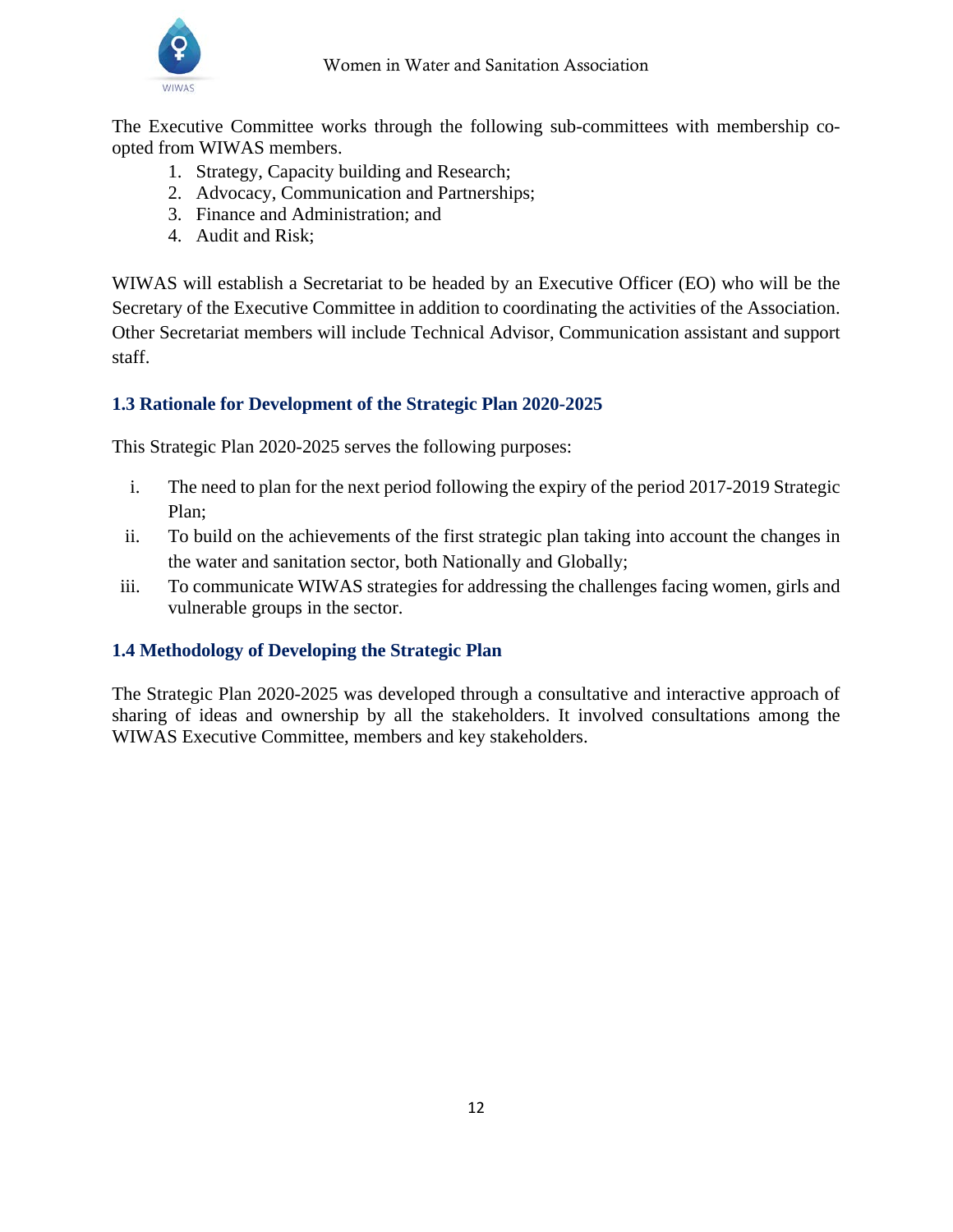

The Executive Committee works through the following sub-committees with membership coopted from WIWAS members.

- 1. Strategy, Capacity building and Research;
- 2. Advocacy, Communication and Partnerships;
- 3. Finance and Administration; and
- 4. Audit and Risk;

WIWAS will establish a Secretariat to be headed by an Executive Officer (EO) who will be the Secretary of the Executive Committee in addition to coordinating the activities of the Association. Other Secretariat members will include Technical Advisor, Communication assistant and support staff.

## **1.3 Rationale for Development of the Strategic Plan 2020-2025**

This Strategic Plan 2020-2025 serves the following purposes:

- i. The need to plan for the next period following the expiry of the period 2017-2019 Strategic Plan;
- ii. To build on the achievements of the first strategic plan taking into account the changes in the water and sanitation sector, both Nationally and Globally;
- iii. To communicate WIWAS strategies for addressing the challenges facing women, girls and vulnerable groups in the sector.

## **1.4 Methodology of Developing the Strategic Plan**

The Strategic Plan 2020-2025 was developed through a consultative and interactive approach of sharing of ideas and ownership by all the stakeholders. It involved consultations among the WIWAS Executive Committee, members and key stakeholders.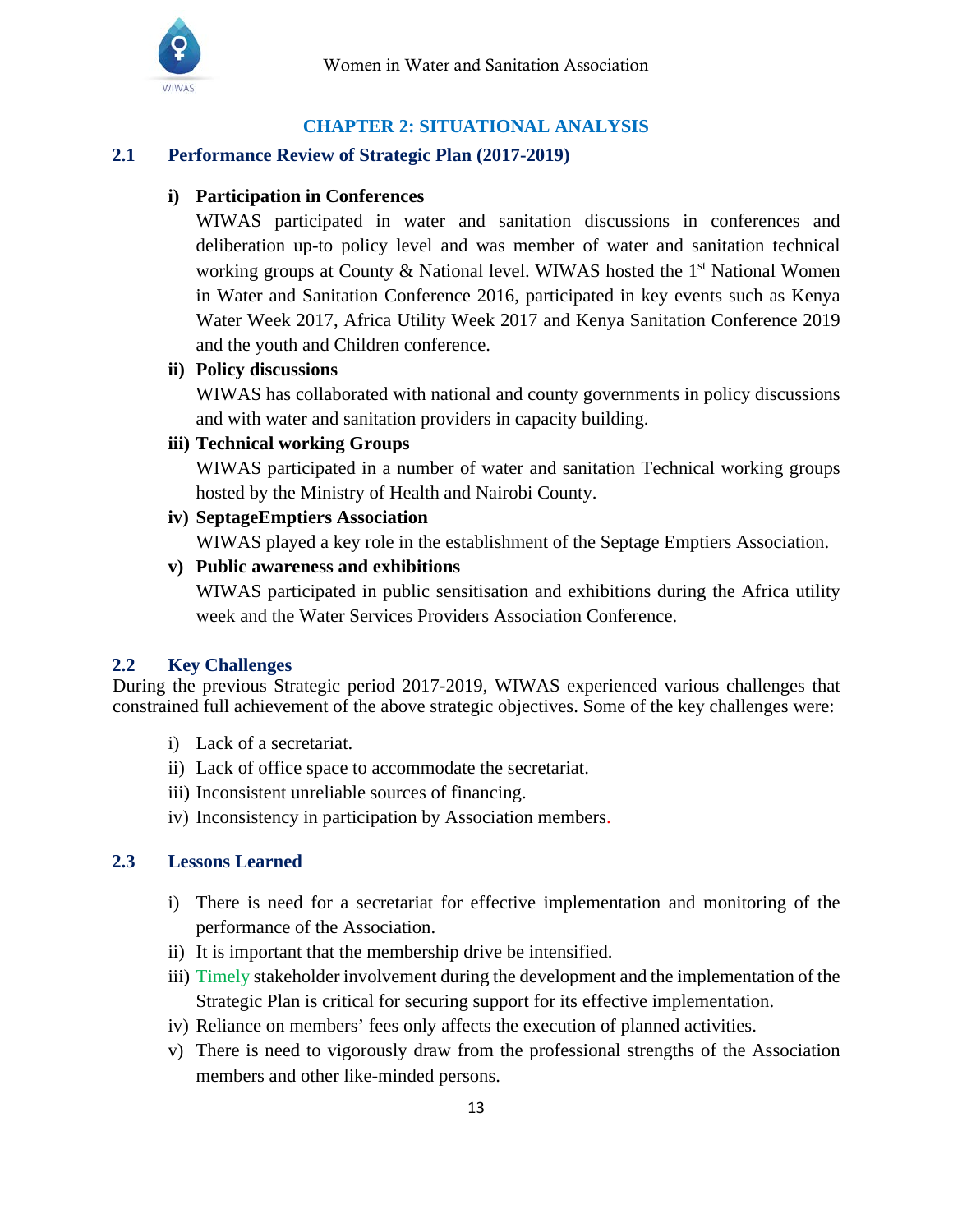

## **CHAPTER 2: SITUATIONAL ANALYSIS**

#### <span id="page-13-1"></span><span id="page-13-0"></span>**2.1 Performance Review of Strategic Plan (2017-2019)**

#### **i) Participation in Conferences**

WIWAS participated in water and sanitation discussions in conferences and deliberation up-to policy level and was member of water and sanitation technical working groups at County & National level. WIWAS hosted the  $1<sup>st</sup>$  National Women in Water and Sanitation Conference 2016, participated in key events such as Kenya Water Week 2017, Africa Utility Week 2017 and Kenya Sanitation Conference 2019 and the youth and Children conference.

#### **ii) Policy discussions**

WIWAS has collaborated with national and county governments in policy discussions and with water and sanitation providers in capacity building.

#### **iii) Technical working Groups**

WIWAS participated in a number of water and sanitation Technical working groups hosted by the Ministry of Health and Nairobi County.

## **iv) SeptageEmptiers Association**

WIWAS played a key role in the establishment of the Septage Emptiers Association.

## **v) Public awareness and exhibitions**

WIWAS participated in public sensitisation and exhibitions during the Africa utility week and the Water Services Providers Association Conference.

#### <span id="page-13-2"></span>**2.2 Key Challenges**

During the previous Strategic period 2017-2019, WIWAS experienced various challenges that constrained full achievement of the above strategic objectives. Some of the key challenges were:

- i) Lack of a secretariat.
- ii) Lack of office space to accommodate the secretariat.
- iii) Inconsistent unreliable sources of financing.
- iv) Inconsistency in participation by Association members.

#### <span id="page-13-3"></span> **2.3 Lessons Learned**

- i) There is need for a secretariat for effective implementation and monitoring of the performance of the Association.
- ii) It is important that the membership drive be intensified.
- iii) Timely stakeholder involvement during the development and the implementation of the Strategic Plan is critical for securing support for its effective implementation.
- iv) Reliance on members' fees only affects the execution of planned activities.
- v) There is need to vigorously draw from the professional strengths of the Association members and other like-minded persons.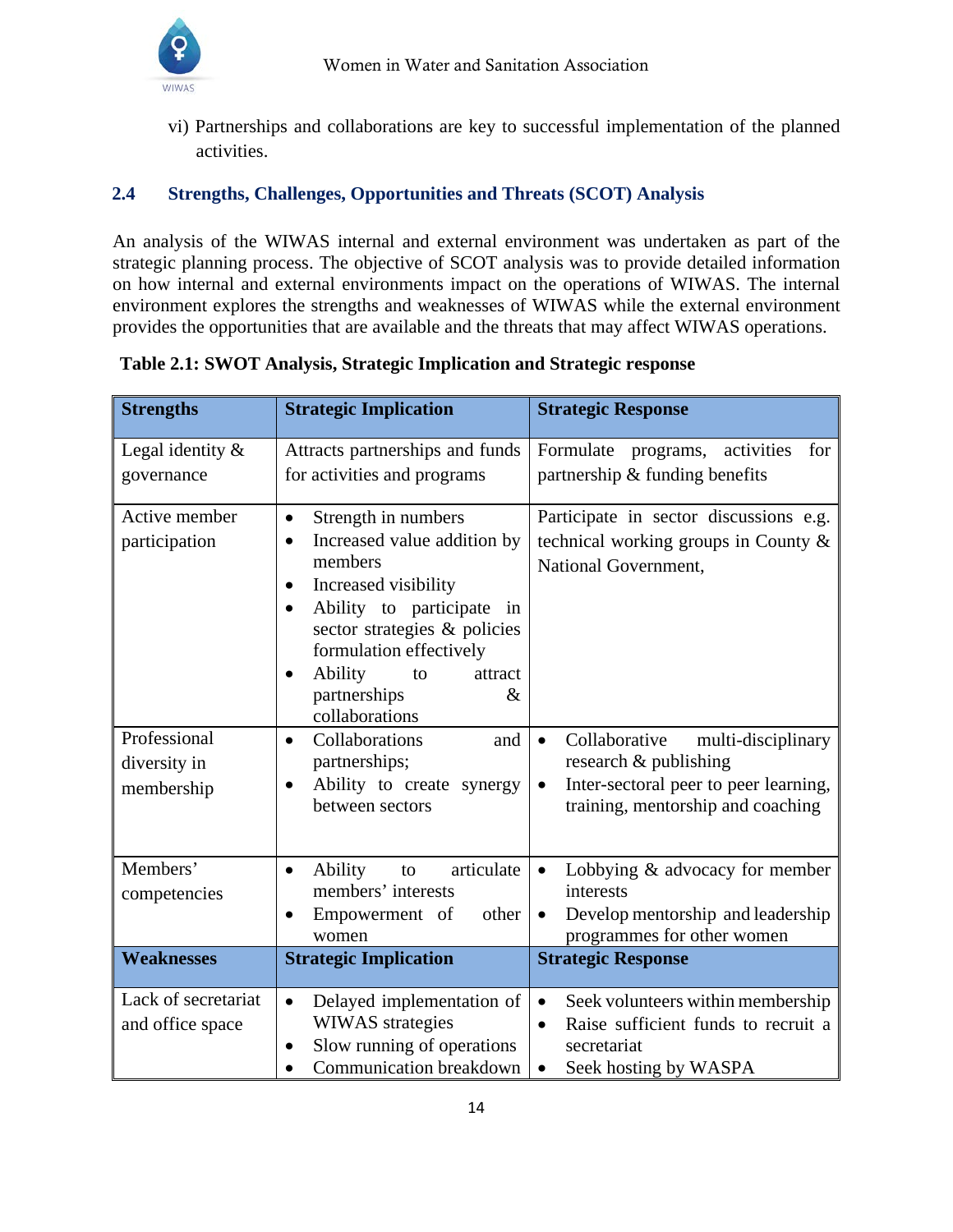

vi) Partnerships and collaborations are key to successful implementation of the planned activities.

## <span id="page-14-0"></span>**2.4 Strengths, Challenges, Opportunities and Threats (SCOT) Analysis**

An analysis of the WIWAS internal and external environment was undertaken as part of the strategic planning process. The objective of SCOT analysis was to provide detailed information on how internal and external environments impact on the operations of WIWAS. The internal environment explores the strengths and weaknesses of WIWAS while the external environment provides the opportunities that are available and the threats that may affect WIWAS operations.

| <b>Strengths</b>                           | <b>Strategic Implication</b>                                                                                                                                                                                                                                                                               | <b>Strategic Response</b>                                                                                                                                            |
|--------------------------------------------|------------------------------------------------------------------------------------------------------------------------------------------------------------------------------------------------------------------------------------------------------------------------------------------------------------|----------------------------------------------------------------------------------------------------------------------------------------------------------------------|
| Legal identity $\&$<br>governance          | Attracts partnerships and funds<br>for activities and programs                                                                                                                                                                                                                                             | Formulate<br>activities<br>programs,<br>for<br>partnership & funding benefits                                                                                        |
| Active member<br>participation             | Strength in numbers<br>$\bullet$<br>Increased value addition by<br>$\bullet$<br>members<br>Increased visibility<br>$\bullet$<br>Ability to participate<br>in<br>$\bullet$<br>sector strategies & policies<br>formulation effectively<br>Ability<br>attract<br>to<br>partnerships<br>$\&$<br>collaborations | Participate in sector discussions e.g.<br>technical working groups in County &<br>National Government,                                                               |
| Professional<br>diversity in<br>membership | Collaborations<br>and<br>$\bullet$<br>partnerships;<br>Ability to create synergy<br>$\bullet$<br>between sectors                                                                                                                                                                                           | Collaborative<br>multi-disciplinary<br>$\bullet$<br>research & publishing<br>Inter-sectoral peer to peer learning,<br>$\bullet$<br>training, mentorship and coaching |
| Members'<br>competencies                   | articulate<br>Ability<br>to<br>٠<br>members' interests<br>Empowerment of<br>other<br>٠<br>women                                                                                                                                                                                                            | Lobbying & advocacy for member<br>$\bullet$<br>interests<br>Develop mentorship and leadership<br>$\bullet$<br>programmes for other women                             |
| <b>Weaknesses</b>                          | <b>Strategic Implication</b>                                                                                                                                                                                                                                                                               | <b>Strategic Response</b>                                                                                                                                            |
| Lack of secretariat<br>and office space    | Delayed implementation of<br>$\bullet$<br>WIWAS strategies<br>Slow running of operations<br>Communication breakdown                                                                                                                                                                                        | Seek volunteers within membership<br>$\bullet$<br>Raise sufficient funds to recruit a<br>$\bullet$<br>secretariat<br>Seek hosting by WASPA<br>$\bullet$              |

## **Table 2.1: SWOT Analysis, Strategic Implication and Strategic response**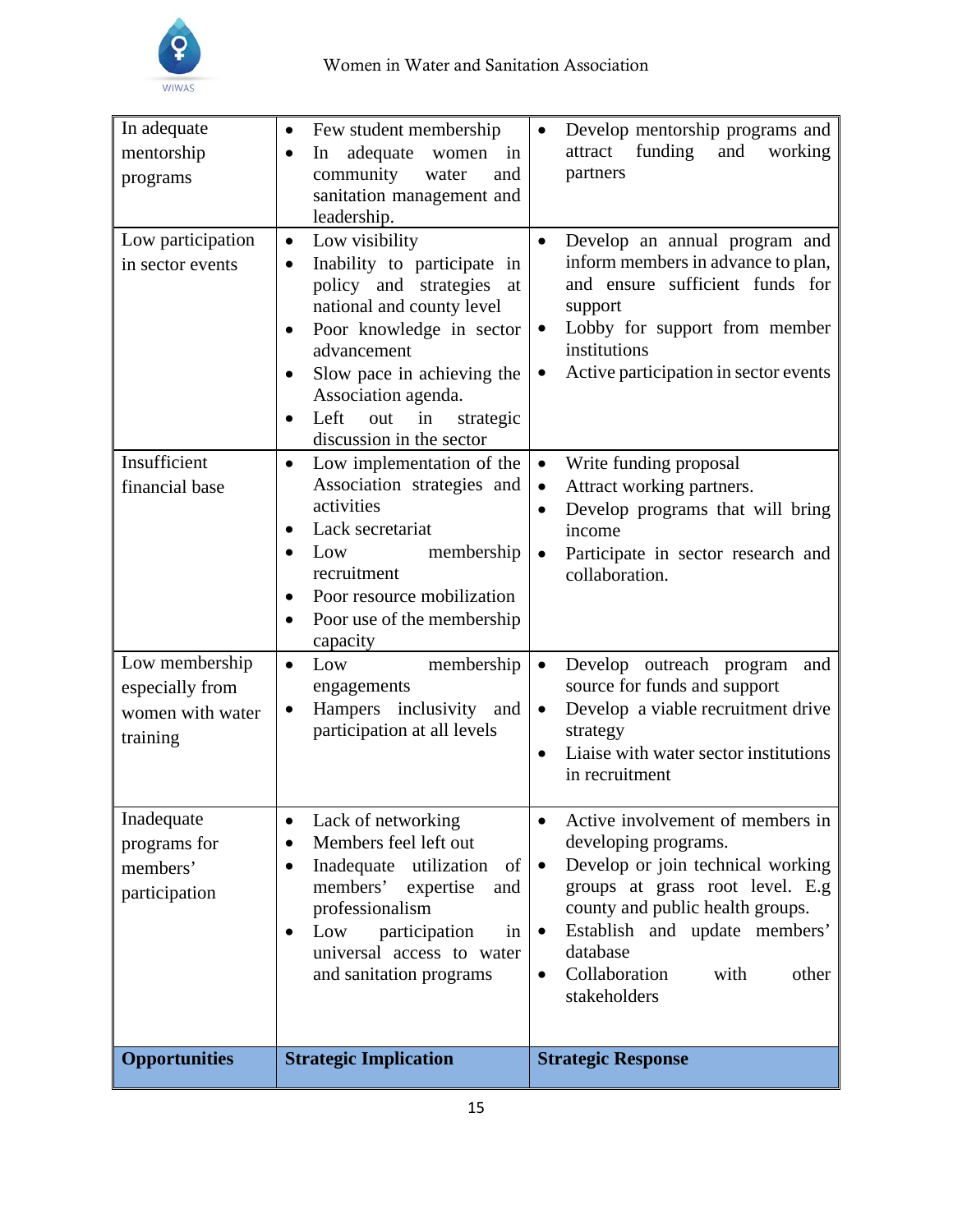

| In adequate<br>mentorship<br>programs                                               | Few student membership<br>$\bullet$<br>adequate<br>In<br>women<br>in<br>$\bullet$<br>community<br>water<br>and<br>sanitation management and<br>leadership.                                                                                                                                                                                  | Develop mentorship programs and<br>funding<br>and<br>working<br>attract<br>partners                                                                                                                                                                                                                                                                                                           |
|-------------------------------------------------------------------------------------|---------------------------------------------------------------------------------------------------------------------------------------------------------------------------------------------------------------------------------------------------------------------------------------------------------------------------------------------|-----------------------------------------------------------------------------------------------------------------------------------------------------------------------------------------------------------------------------------------------------------------------------------------------------------------------------------------------------------------------------------------------|
| Low participation<br>in sector events<br>Insufficient                               | Low visibility<br>$\bullet$<br>Inability to participate in<br>$\bullet$<br>policy and strategies<br>at<br>national and county level<br>Poor knowledge in sector<br>advancement<br>Slow pace in achieving the<br>Association agenda.<br>Left<br>out<br>in<br>strategic<br>discussion in the sector<br>Low implementation of the<br>$\bullet$ | Develop an annual program and<br>inform members in advance to plan,<br>and ensure sufficient funds for<br>support<br>Lobby for support from member<br>$\bullet$<br>institutions<br>Active participation in sector events<br>٠<br>Write funding proposal<br>$\bullet$                                                                                                                          |
| financial base<br>Low membership<br>especially from<br>women with water<br>training | Association strategies and<br>activities<br>Lack secretariat<br>$\bullet$<br>membership<br>Low<br>recruitment<br>Poor resource mobilization<br>Poor use of the membership<br>$\bullet$<br>capacity<br>membership<br>Low<br>$\bullet$<br>engagements<br>Hampers inclusivity and<br>٠<br>participation at all levels                          | Attract working partners.<br>$\bullet$<br>Develop programs that will bring<br>$\bullet$<br>income<br>Participate in sector research and<br>$\bullet$<br>collaboration.<br>Develop outreach program<br>$\bullet$<br>and<br>source for funds and support<br>Develop a viable recruitment drive<br>$\bullet$<br>strategy<br>Liaise with water sector institutions<br>$\bullet$<br>in recruitment |
| Inadequate<br>programs for<br>members'<br>participation                             | Lack of networking<br>٠<br>Members feel left out<br>$\bullet$<br>Inadequate utilization<br>of<br>$\bullet$<br>members'<br>expertise<br>and<br>professionalism<br>Low<br>participation<br>in<br>$\bullet$<br>universal access to water<br>and sanitation programs                                                                            | Active involvement of members in<br>developing programs.<br>Develop or join technical working<br>$\bullet$<br>groups at grass root level. E.g<br>county and public health groups.<br>Establish and update members'<br>$\bullet$<br>database<br>Collaboration<br>with<br>other<br>$\bullet$<br>stakeholders                                                                                    |
| <b>Opportunities</b>                                                                | <b>Strategic Implication</b>                                                                                                                                                                                                                                                                                                                | <b>Strategic Response</b>                                                                                                                                                                                                                                                                                                                                                                     |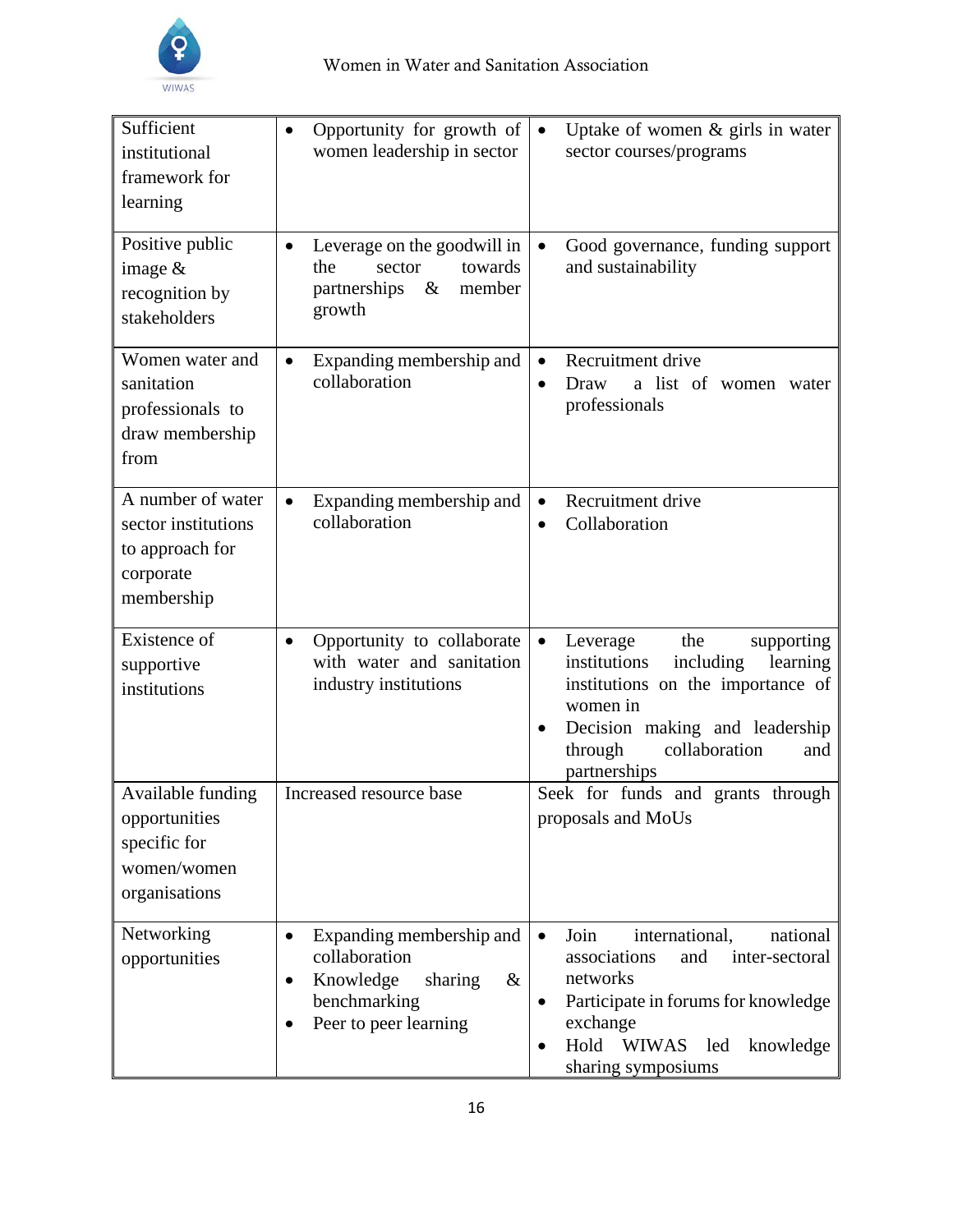

| Sufficient<br>institutional<br>framework for<br>learning                               | Opportunity for growth of<br>$\bullet$<br>women leadership in sector                                                              | Uptake of women $\&$ girls in water<br>$\bullet$<br>sector courses/programs                                                                                                                                                            |
|----------------------------------------------------------------------------------------|-----------------------------------------------------------------------------------------------------------------------------------|----------------------------------------------------------------------------------------------------------------------------------------------------------------------------------------------------------------------------------------|
| Positive public<br>image $&$<br>recognition by<br>stakeholders                         | Leverage on the goodwill in<br>٠<br>towards<br>the<br>sector<br>partnerships<br>$\&$<br>member<br>growth                          | Good governance, funding support<br>$\bullet$<br>and sustainability                                                                                                                                                                    |
| Women water and<br>sanitation<br>professionals to<br>draw membership<br>from           | Expanding membership and<br>$\bullet$<br>collaboration                                                                            | Recruitment drive<br>$\bullet$<br>a list of women water<br>Draw<br>$\bullet$<br>professionals                                                                                                                                          |
| A number of water<br>sector institutions<br>to approach for<br>corporate<br>membership | Expanding membership and<br>$\bullet$<br>collaboration                                                                            | Recruitment drive<br>$\bullet$<br>Collaboration<br>$\bullet$                                                                                                                                                                           |
| Existence of<br>supportive<br>institutions                                             | Opportunity to collaborate<br>$\bullet$<br>with water and sanitation<br>industry institutions                                     | the<br>Leverage<br>supporting<br>$\bullet$<br>institutions<br>including<br>learning<br>institutions on the importance of<br>women in<br>Decision making and leadership<br>$\bullet$<br>through<br>collaboration<br>and<br>partnerships |
| Available funding<br>opportunities<br>specific for<br>women/women<br>organisations     | Increased resource base                                                                                                           | Seek for funds and grants through<br>proposals and MoUs                                                                                                                                                                                |
| Networking<br>opportunities                                                            | Expanding membership and<br>$\bullet$<br>collaboration<br>Knowledge<br>sharing<br>&<br>٠<br>benchmarking<br>Peer to peer learning | Join<br>international,<br>national<br>$\bullet$<br>associations<br>and<br>inter-sectoral<br>networks<br>Participate in forums for knowledge<br>٠<br>exchange<br>Hold<br><b>WIWAS</b><br>led<br>knowledge<br>٠<br>sharing symposiums    |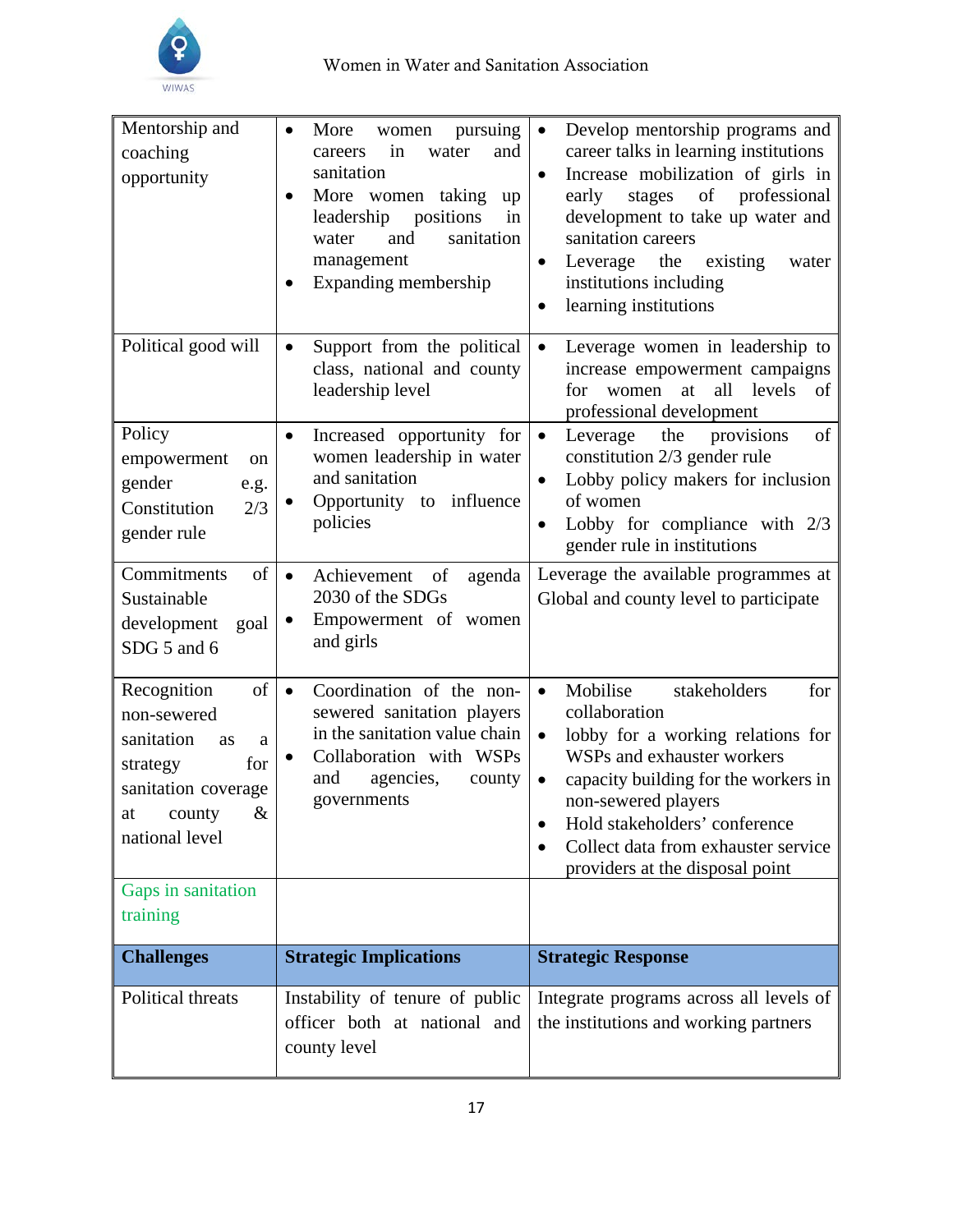

| Mentorship and<br>coaching<br>opportunity                                                                                                            | More<br>pursuing<br>women<br>$\bullet$<br>in<br>water<br>and<br>careers<br>sanitation<br>More women taking<br>up<br>$\bullet$<br>positions<br>leadership<br>in<br>and<br>sanitation<br>water<br>management<br>Expanding membership | Develop mentorship programs and<br>$\bullet$<br>career talks in learning institutions<br>Increase mobilization of girls in<br>$\bullet$<br>of<br>professional<br>stages<br>early<br>development to take up water and<br>sanitation careers<br>the<br>existing<br>Leverage<br>water<br>$\bullet$<br>institutions including<br>learning institutions<br>$\bullet$ |
|------------------------------------------------------------------------------------------------------------------------------------------------------|------------------------------------------------------------------------------------------------------------------------------------------------------------------------------------------------------------------------------------|-----------------------------------------------------------------------------------------------------------------------------------------------------------------------------------------------------------------------------------------------------------------------------------------------------------------------------------------------------------------|
| Political good will                                                                                                                                  | Support from the political<br>$\bullet$<br>class, national and county<br>leadership level                                                                                                                                          | Leverage women in leadership to<br>$\bullet$<br>increase empowerment campaigns<br>all levels<br>at<br>for<br>women<br>of<br>professional development                                                                                                                                                                                                            |
| Policy<br>empowerment<br>on<br>gender<br>e.g.<br>Constitution<br>2/3<br>gender rule                                                                  | Increased opportunity for<br>$\bullet$<br>women leadership in water<br>and sanitation<br>Opportunity to influence<br>$\bullet$<br>policies                                                                                         | provisions<br>Leverage<br>the<br>of<br>$\bullet$<br>constitution 2/3 gender rule<br>Lobby policy makers for inclusion<br>$\bullet$<br>of women<br>Lobby for compliance with 2/3<br>٠<br>gender rule in institutions                                                                                                                                             |
| Commitments<br>of<br>Sustainable<br>development<br>goal<br>SDG 5 and 6                                                                               | Achievement<br>of<br>agenda<br>$\bullet$<br>2030 of the SDGs<br>Empowerment of women<br>$\bullet$<br>and girls                                                                                                                     | Leverage the available programmes at<br>Global and county level to participate                                                                                                                                                                                                                                                                                  |
| Recognition<br>of<br>non-sewered<br>sanitation<br><b>as</b><br>a<br>for<br>strategy<br>sanitation coverage<br>$\&$<br>county<br>at<br>national level | Coordination of the non-<br>$\bullet$<br>sewered sanitation players<br>in the sanitation value chain<br>Collaboration with WSPs<br>٠<br>and<br>agencies,<br>county<br>governments                                                  | Mobilise<br>stakeholders<br>for<br>$\bullet$<br>collaboration<br>lobby for a working relations for<br>$\bullet$<br>WSPs and exhauster workers<br>capacity building for the workers in<br>$\bullet$<br>non-sewered players<br>Hold stakeholders' conference<br>Collect data from exhauster service<br>$\bullet$<br>providers at the disposal point               |
| Gaps in sanitation<br>training                                                                                                                       |                                                                                                                                                                                                                                    |                                                                                                                                                                                                                                                                                                                                                                 |
| <b>Challenges</b>                                                                                                                                    | <b>Strategic Implications</b>                                                                                                                                                                                                      | <b>Strategic Response</b>                                                                                                                                                                                                                                                                                                                                       |
| Political threats                                                                                                                                    | Instability of tenure of public<br>officer both at national and<br>county level                                                                                                                                                    | Integrate programs across all levels of<br>the institutions and working partners                                                                                                                                                                                                                                                                                |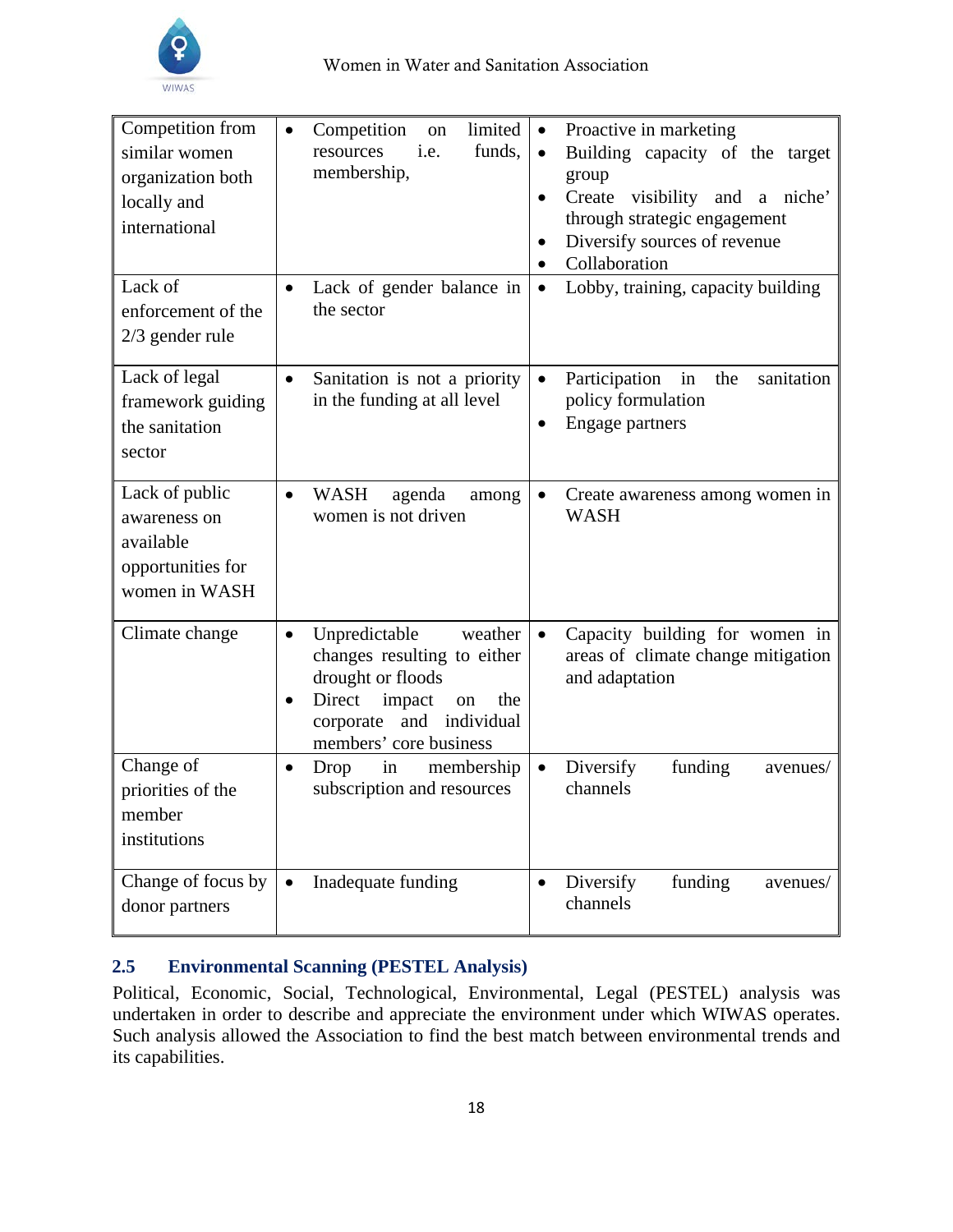

| Competition from<br>similar women<br>organization both<br>locally and<br>international | limited<br>Competition<br>$\bullet$<br><sub>on</sub><br>funds,<br>resources<br>i.e.<br>membership,                                                                                            | Proactive in marketing<br>$\bullet$<br>Building capacity of the target<br>$\bullet$<br>group<br>Create visibility and a niche'<br>$\bullet$<br>through strategic engagement<br>Diversify sources of revenue<br>$\bullet$<br>Collaboration<br>$\bullet$ |
|----------------------------------------------------------------------------------------|-----------------------------------------------------------------------------------------------------------------------------------------------------------------------------------------------|--------------------------------------------------------------------------------------------------------------------------------------------------------------------------------------------------------------------------------------------------------|
| Lack of<br>enforcement of the<br>$2/3$ gender rule                                     | Lack of gender balance in<br>$\bullet$<br>the sector                                                                                                                                          | Lobby, training, capacity building<br>$\bullet$                                                                                                                                                                                                        |
| Lack of legal<br>framework guiding<br>the sanitation<br>sector                         | Sanitation is not a priority<br>$\bullet$<br>in the funding at all level                                                                                                                      | sanitation<br>Participation<br>the<br>$\bullet$<br>in<br>policy formulation<br>Engage partners<br>$\bullet$                                                                                                                                            |
| Lack of public<br>awareness on<br>available<br>opportunities for<br>women in WASH      | <b>WASH</b><br>agenda<br>$\bullet$<br>among<br>women is not driven                                                                                                                            | $\bullet$<br>Create awareness among women in<br><b>WASH</b>                                                                                                                                                                                            |
| Climate change                                                                         | Unpredictable<br>weather<br>$\bullet$<br>changes resulting to either<br>drought or floods<br>Direct<br>impact<br>the<br>on<br>$\bullet$<br>corporate and individual<br>members' core business | Capacity building for women in<br>$\bullet$<br>areas of climate change mitigation<br>and adaptation                                                                                                                                                    |
| Change of<br>priorities of the<br>member<br>institutions                               | Drop<br>membership<br>in<br>$\bullet$<br>subscription and resources                                                                                                                           | Diversify<br>funding<br>$\bullet$<br>avenues/<br>channels                                                                                                                                                                                              |
| Change of focus by<br>donor partners                                                   | Inadequate funding<br>$\bullet$                                                                                                                                                               | Diversify<br>funding<br>avenues/<br>$\bullet$<br>channels                                                                                                                                                                                              |

## <span id="page-18-0"></span>**2.5 Environmental Scanning (PESTEL Analysis)**

Political, Economic, Social, Technological, Environmental, Legal (PESTEL) analysis was undertaken in order to describe and appreciate the environment under which WIWAS operates. Such analysis allowed the Association to find the best match between environmental trends and its capabilities.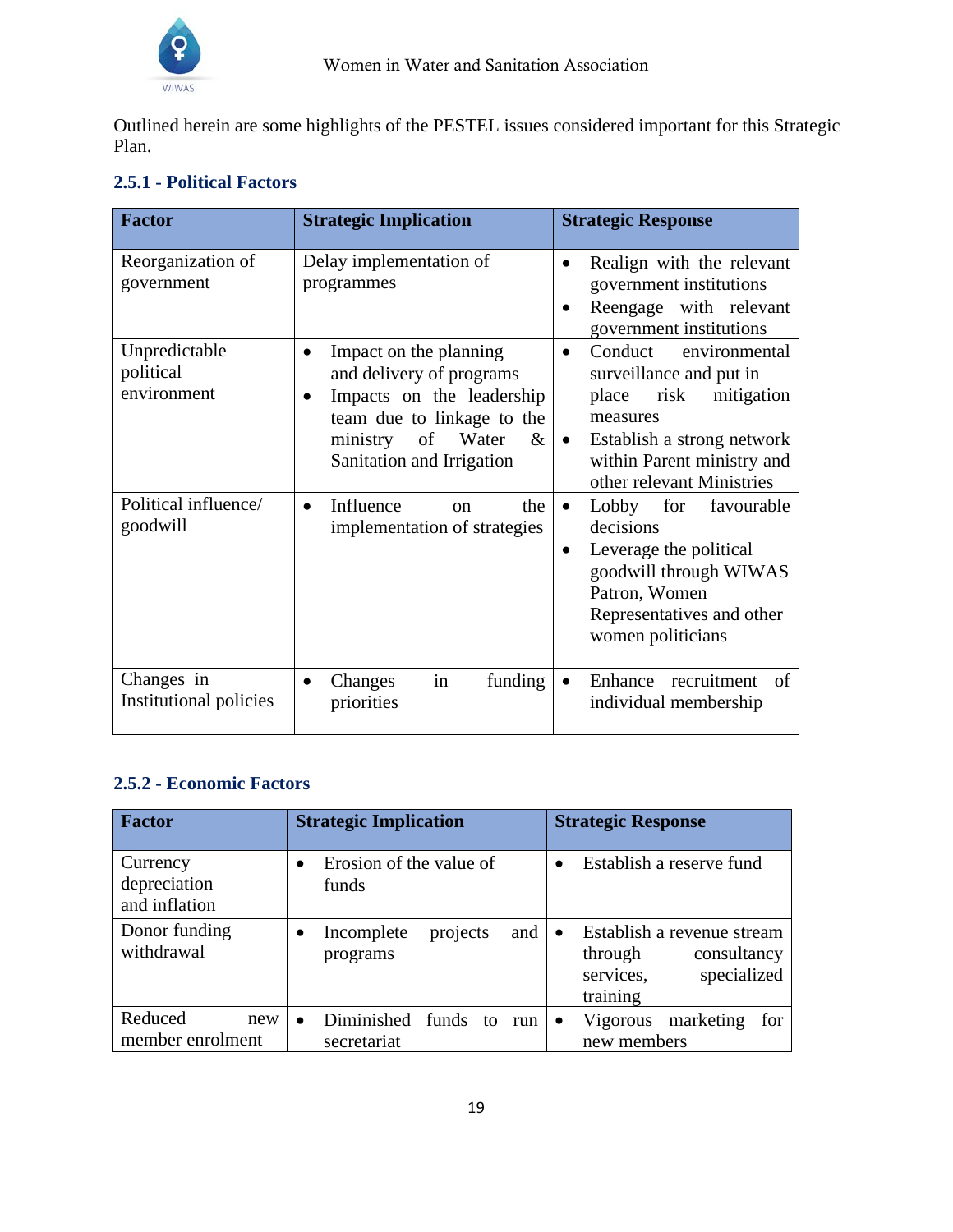

Outlined herein are some highlights of the PESTEL issues considered important for this Strategic Plan.

| <b>Factor</b>                             | <b>Strategic Implication</b>                                                                                                                                                       | <b>Strategic Response</b>                                                                                                                                                                                         |
|-------------------------------------------|------------------------------------------------------------------------------------------------------------------------------------------------------------------------------------|-------------------------------------------------------------------------------------------------------------------------------------------------------------------------------------------------------------------|
| Reorganization of<br>government           | Delay implementation of<br>programmes                                                                                                                                              | Realign with the relevant<br>$\bullet$<br>government institutions<br>Reengage with relevant<br>government institutions                                                                                            |
| Unpredictable<br>political<br>environment | Impact on the planning<br>٠<br>and delivery of programs<br>Impacts on the leadership<br>team due to linkage to the<br>$\&$<br>Water<br>of<br>ministry<br>Sanitation and Irrigation | Conduct<br>environmental<br>$\bullet$<br>surveillance and put in<br>risk<br>mitigation<br>place<br>measures<br>Establish a strong network<br>$\bullet$<br>within Parent ministry and<br>other relevant Ministries |
| Political influence/<br>goodwill          | Influence<br>the<br>$\alpha$<br>$\bullet$<br>implementation of strategies                                                                                                          | Lobby for favourable<br>$\bullet$<br>decisions<br>Leverage the political<br>$\bullet$<br>goodwill through WIWAS<br>Patron, Women<br>Representatives and other<br>women politicians                                |
| Changes in<br>Institutional policies      | in<br>funding<br>Changes<br>priorities                                                                                                                                             | Enhance recruitment<br>of<br>individual membership                                                                                                                                                                |

## **2.5.1 - Political Factors**

## **2.5.2 - Economic Factors**

| <b>Factor</b>                             | <b>Strategic Implication</b>                                 | <b>Strategic Response</b>                                                                    |
|-------------------------------------------|--------------------------------------------------------------|----------------------------------------------------------------------------------------------|
| Currency<br>depreciation<br>and inflation | Erosion of the value of<br>funds                             | Establish a reserve fund                                                                     |
| Donor funding<br>withdrawal               | and<br>Incomplete<br>projects<br>programs                    | Establish a revenue stream<br>consultancy<br>through<br>specialized<br>services,<br>training |
| Reduced<br>new<br>member enrolment        | Diminished<br>funds<br>to<br>run<br>$\bullet$<br>secretariat | Vigorous marketing<br>for<br>$\bullet$<br>new members                                        |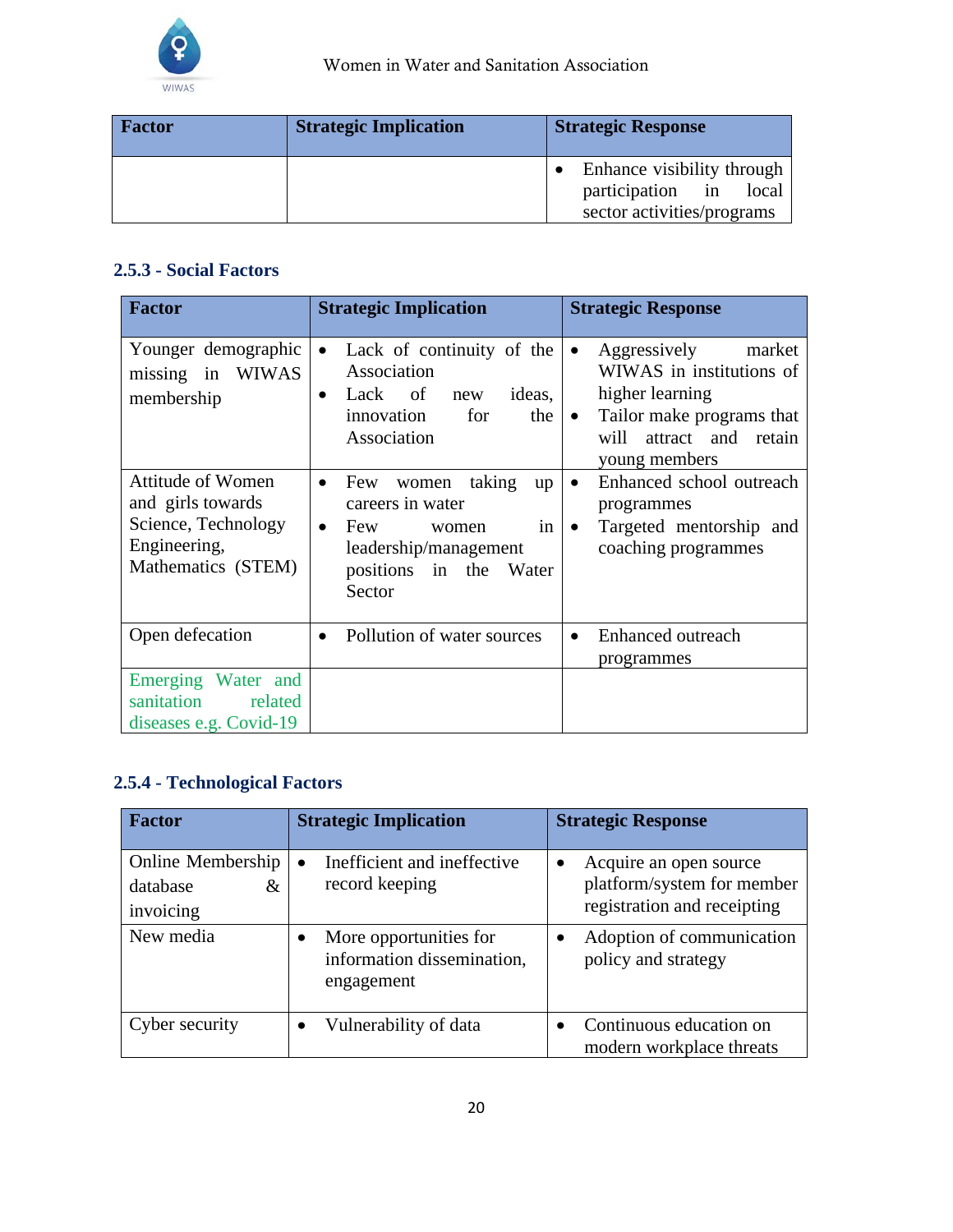

| <b>Factor</b> | <b>Strategic Implication</b> | <b>Strategic Response</b>                                                          |
|---------------|------------------------------|------------------------------------------------------------------------------------|
|               |                              | Enhance visibility through<br>participation in local<br>sector activities/programs |

## **2.5.3 - Social Factors**

| <b>Factor</b>                                                                                              | <b>Strategic Implication</b>                                                                                                                               | <b>Strategic Response</b>                                                                                                                                                   |
|------------------------------------------------------------------------------------------------------------|------------------------------------------------------------------------------------------------------------------------------------------------------------|-----------------------------------------------------------------------------------------------------------------------------------------------------------------------------|
| Younger demographic<br>missing in WIWAS<br>membership                                                      | Lack of continuity of the<br>$\bullet$<br>Association<br>ideas,<br>Lack of new<br>$\bullet$<br>innovation<br>for<br>the<br>Association                     | Aggressively<br>market<br>$\bullet$<br>WIWAS in institutions of<br>higher learning<br>Tailor make programs that<br>$\bullet$<br>will<br>attract and retain<br>young members |
| <b>Attitude of Women</b><br>and girls towards<br>Science, Technology<br>Engineering,<br>Mathematics (STEM) | women taking<br>Few<br>up<br>$\bullet$<br>careers in water<br>Few<br>in<br>women<br>$\bullet$<br>leadership/management<br>positions in the Water<br>Sector | Enhanced school outreach<br>$\bullet$<br>programmes<br>Targeted mentorship and<br>$\bullet$<br>coaching programmes                                                          |
| Open defecation                                                                                            | Pollution of water sources<br>$\bullet$                                                                                                                    | Enhanced outreach<br>$\bullet$<br>programmes                                                                                                                                |
| Emerging Water and<br>sanitation<br>related<br>diseases e.g. Covid-19                                      |                                                                                                                                                            |                                                                                                                                                                             |

## **2.5.4 - Technological Factors**

| <b>Factor</b>                                   | <b>Strategic Implication</b>                                       | <b>Strategic Response</b>                                                                        |
|-------------------------------------------------|--------------------------------------------------------------------|--------------------------------------------------------------------------------------------------|
| Online Membership<br>database<br>&<br>invoicing | Inefficient and ineffective<br>record keeping                      | Acquire an open source<br>$\bullet$<br>platform/system for member<br>registration and receipting |
| New media                                       | More opportunities for<br>information dissemination,<br>engagement | Adoption of communication<br>policy and strategy                                                 |
| Cyber security                                  | Vulnerability of data                                              | Continuous education on<br>modern workplace threats                                              |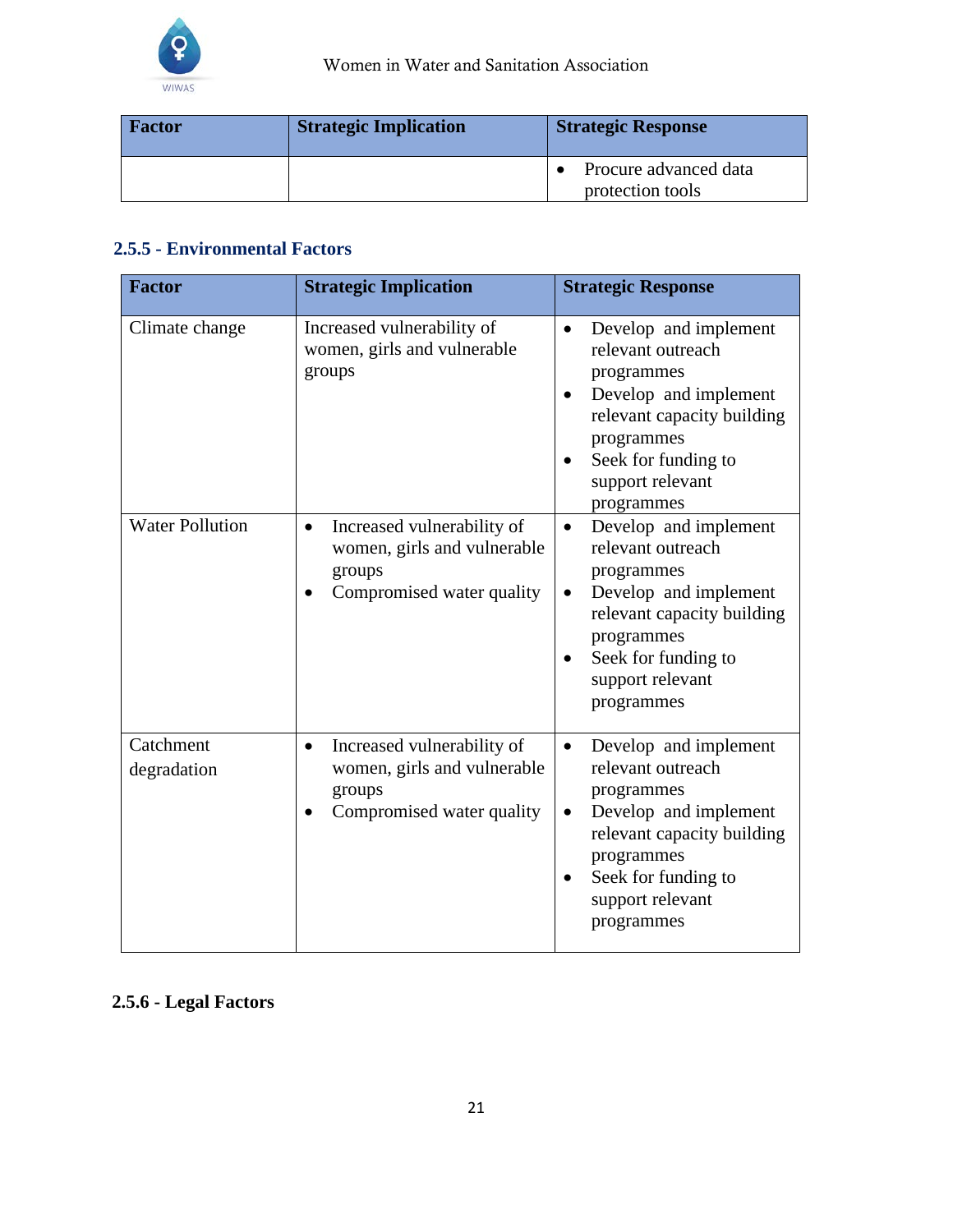

| <b>Factor</b> | <b>Strategic Implication</b> | <b>Strategic Response</b>                 |
|---------------|------------------------------|-------------------------------------------|
|               |                              | Procure advanced data<br>protection tools |

## **2.5.5 - Environmental Factors**

| <b>Factor</b>                            | <b>Strategic Implication</b>                                                                                   | <b>Strategic Response</b>                                                                                                                                                                                                    |
|------------------------------------------|----------------------------------------------------------------------------------------------------------------|------------------------------------------------------------------------------------------------------------------------------------------------------------------------------------------------------------------------------|
| Climate change<br><b>Water Pollution</b> | Increased vulnerability of<br>women, girls and vulnerable<br>groups<br>Increased vulnerability of<br>$\bullet$ | Develop and implement<br>relevant outreach<br>programmes<br>Develop and implement<br>relevant capacity building<br>programmes<br>Seek for funding to<br>support relevant<br>programmes<br>Develop and implement<br>$\bullet$ |
|                                          | women, girls and vulnerable<br>groups<br>Compromised water quality                                             | relevant outreach<br>programmes<br>Develop and implement<br>relevant capacity building<br>programmes<br>Seek for funding to<br>support relevant<br>programmes                                                                |
| Catchment<br>degradation                 | Increased vulnerability of<br>$\bullet$<br>women, girls and vulnerable<br>groups<br>Compromised water quality  | Develop and implement<br>relevant outreach<br>programmes<br>Develop and implement<br>relevant capacity building<br>programmes<br>Seek for funding to<br>support relevant<br>programmes                                       |

## **2.5.6 - Legal Factors**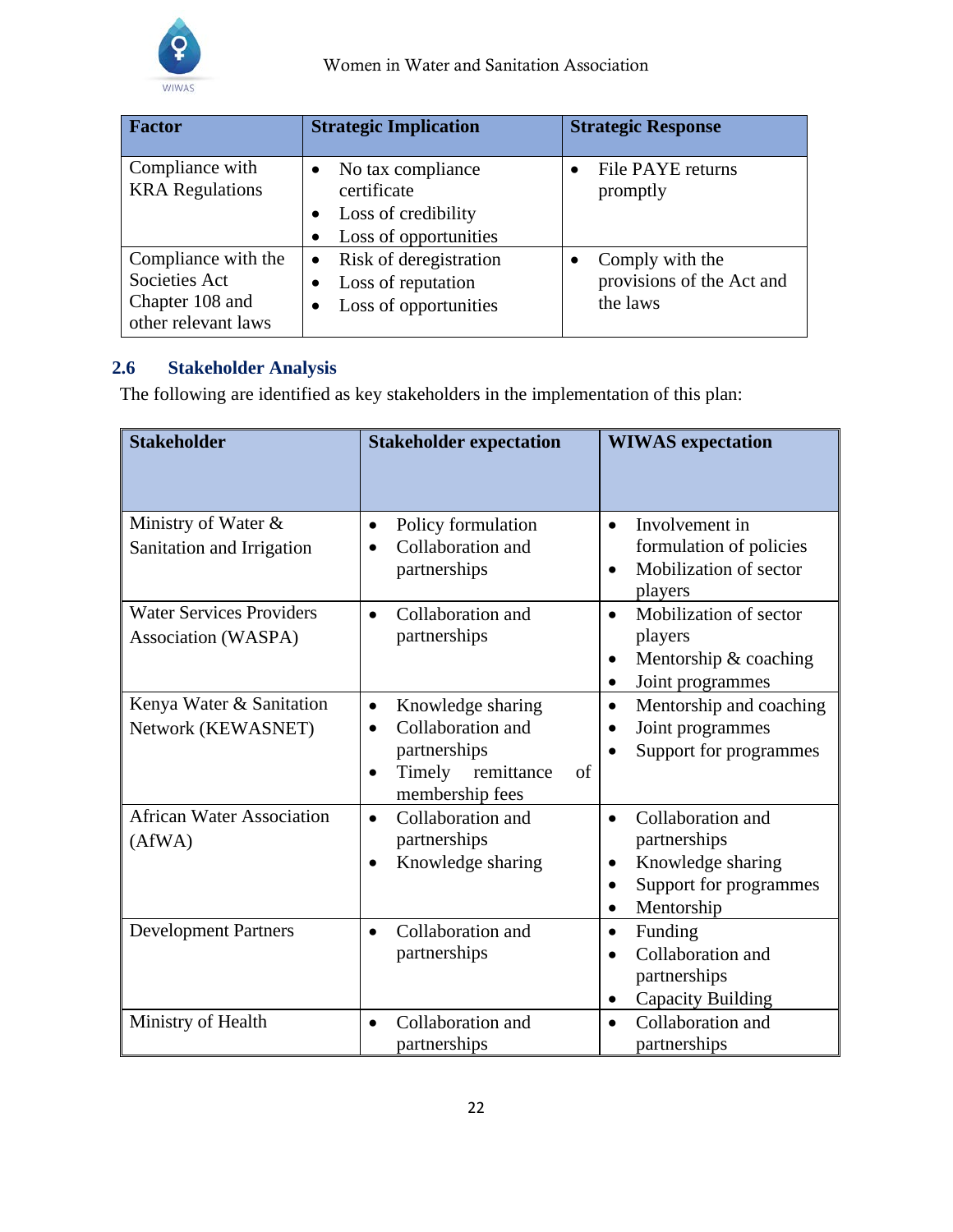

| <b>Factor</b>                                                                  | <b>Strategic Implication</b>                                                                                    | <b>Strategic Response</b>                                |
|--------------------------------------------------------------------------------|-----------------------------------------------------------------------------------------------------------------|----------------------------------------------------------|
| Compliance with<br><b>KRA</b> Regulations                                      | No tax compliance<br>$\bullet$<br>certificate<br>Loss of credibility<br>٠<br>Loss of opportunities<br>$\bullet$ | File PAYE returns<br>promptly                            |
| Compliance with the<br>Societies Act<br>Chapter 108 and<br>other relevant laws | Risk of deregistration<br>$\bullet$<br>Loss of reputation<br>$\bullet$<br>Loss of opportunities<br>$\bullet$    | Comply with the<br>provisions of the Act and<br>the laws |

## <span id="page-22-0"></span>**2.6 Stakeholder Analysis**

The following are identified as key stakeholders in the implementation of this plan:

| <b>Stakeholder</b>                                     | <b>Stakeholder expectation</b>                                                                                       | <b>WIWAS</b> expectation                                                                                                      |
|--------------------------------------------------------|----------------------------------------------------------------------------------------------------------------------|-------------------------------------------------------------------------------------------------------------------------------|
| Ministry of Water &<br>Sanitation and Irrigation       | Policy formulation<br>$\bullet$<br>Collaboration and<br>partnerships                                                 | Involvement in<br>$\bullet$<br>formulation of policies<br>Mobilization of sector<br>players                                   |
| <b>Water Services Providers</b><br>Association (WASPA) | Collaboration and<br>$\bullet$<br>partnerships                                                                       | Mobilization of sector<br>$\bullet$<br>players<br>Mentorship & coaching<br>$\bullet$<br>Joint programmes<br>$\bullet$         |
| Kenya Water & Sanitation<br>Network (KEWASNET)         | Knowledge sharing<br>$\bullet$<br>Collaboration and<br>partnerships<br>Timely<br>remittance<br>of<br>membership fees | Mentorship and coaching<br>$\bullet$<br>Joint programmes<br>Support for programmes                                            |
| <b>African Water Association</b><br>(AfWA)             | Collaboration and<br>$\bullet$<br>partnerships<br>Knowledge sharing<br>$\bullet$                                     | Collaboration and<br>$\bullet$<br>partnerships<br>Knowledge sharing<br>$\bullet$<br>Support for programmes<br>٠<br>Mentorship |
| <b>Development Partners</b>                            | Collaboration and<br>$\bullet$<br>partnerships                                                                       | Funding<br>$\bullet$<br>Collaboration and<br>$\bullet$<br>partnerships<br><b>Capacity Building</b><br>$\bullet$               |
| Ministry of Health                                     | Collaboration and<br>$\bullet$<br>partnerships                                                                       | Collaboration and<br>$\bullet$<br>partnerships                                                                                |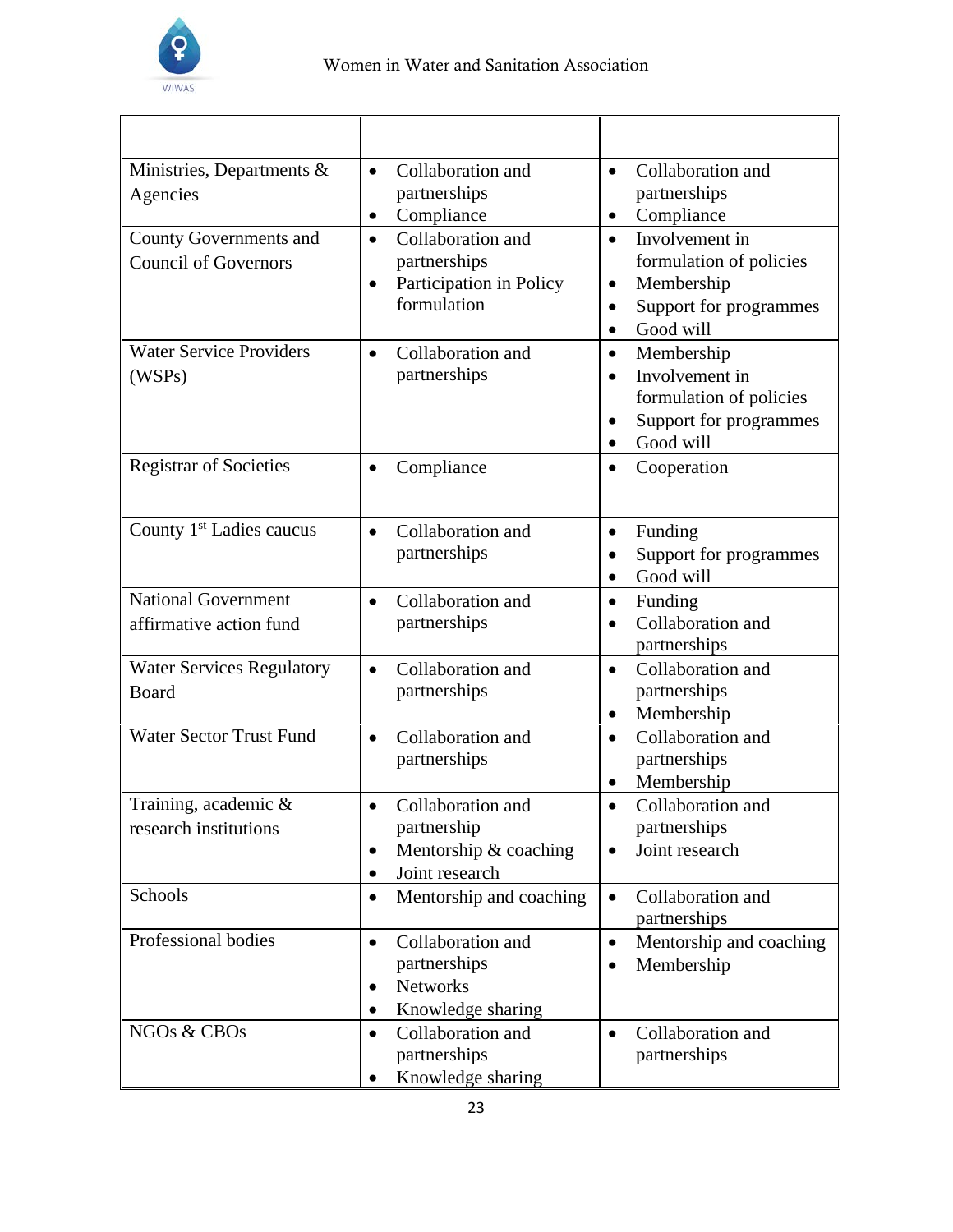

| Ministries, Departments &<br>Agencies<br><b>County Governments and</b><br><b>Council of Governors</b> | Collaboration and<br>$\bullet$<br>partnerships<br>Compliance<br>$\bullet$<br>Collaboration and<br>$\bullet$<br>partnerships<br>Participation in Policy<br>$\bullet$<br>formulation | Collaboration and<br>$\bullet$<br>partnerships<br>Compliance<br>Involvement in<br>$\bullet$<br>formulation of policies<br>Membership<br>$\bullet$<br>Support for programmes<br>Good will<br>$\bullet$ |
|-------------------------------------------------------------------------------------------------------|------------------------------------------------------------------------------------------------------------------------------------------------------------------------------------|-------------------------------------------------------------------------------------------------------------------------------------------------------------------------------------------------------|
| <b>Water Service Providers</b><br>(WSPs)                                                              | Collaboration and<br>$\bullet$<br>partnerships                                                                                                                                     | Membership<br>$\bullet$<br>Involvement in<br>$\bullet$<br>formulation of policies<br>Support for programmes<br>Good will<br>$\bullet$                                                                 |
| <b>Registrar of Societies</b>                                                                         | Compliance                                                                                                                                                                         | Cooperation<br>$\bullet$                                                                                                                                                                              |
| County 1 <sup>st</sup> Ladies caucus                                                                  | Collaboration and<br>$\bullet$<br>partnerships                                                                                                                                     | Funding<br>$\bullet$<br>Support for programmes<br>Good will<br>$\bullet$                                                                                                                              |
| <b>National Government</b><br>affirmative action fund                                                 | Collaboration and<br>$\bullet$<br>partnerships                                                                                                                                     | Funding<br>$\bullet$<br>Collaboration and<br>partnerships                                                                                                                                             |
| <b>Water Services Regulatory</b><br>Board                                                             | Collaboration and<br>$\bullet$<br>partnerships                                                                                                                                     | Collaboration and<br>$\bullet$<br>partnerships<br>Membership<br>$\bullet$                                                                                                                             |
| <b>Water Sector Trust Fund</b>                                                                        | Collaboration and<br>partnerships                                                                                                                                                  | Collaboration and<br>$\bullet$<br>partnerships<br>Membership                                                                                                                                          |
| Training, academic &<br>research institutions                                                         | Collaboration and<br>partnership<br>Mentorship & coaching<br>$\bullet$<br>Joint research<br>٠                                                                                      | Collaboration and<br>partnerships<br>Joint research                                                                                                                                                   |
| Schools                                                                                               | Mentorship and coaching<br>$\bullet$                                                                                                                                               | Collaboration and<br>$\bullet$<br>partnerships                                                                                                                                                        |
| Professional bodies                                                                                   | Collaboration and<br>$\bullet$<br>partnerships<br>Networks<br>$\bullet$<br>Knowledge sharing<br>٠                                                                                  | Mentorship and coaching<br>$\bullet$<br>Membership<br>$\bullet$                                                                                                                                       |
| NGOs & CBOs                                                                                           | Collaboration and<br>$\bullet$<br>partnerships<br>Knowledge sharing                                                                                                                | Collaboration and<br>$\bullet$<br>partnerships                                                                                                                                                        |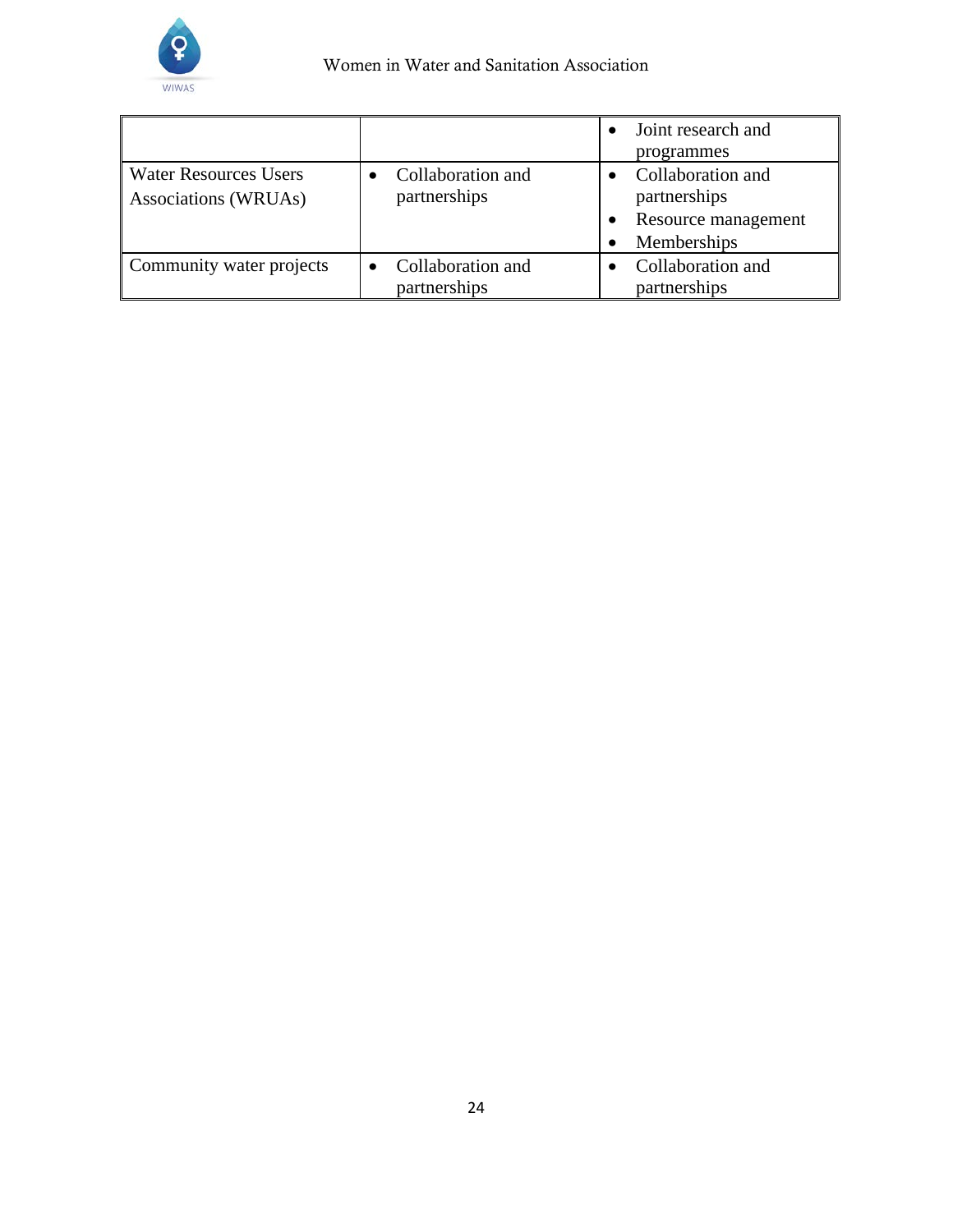

|                                                      |                                   | Joint research and<br>programmes                                        |
|------------------------------------------------------|-----------------------------------|-------------------------------------------------------------------------|
| <b>Water Resources Users</b><br>Associations (WRUAs) | Collaboration and<br>partnerships | Collaboration and<br>partnerships<br>Resource management<br>Memberships |
| Community water projects                             | Collaboration and<br>partnerships | Collaboration and<br>partnerships                                       |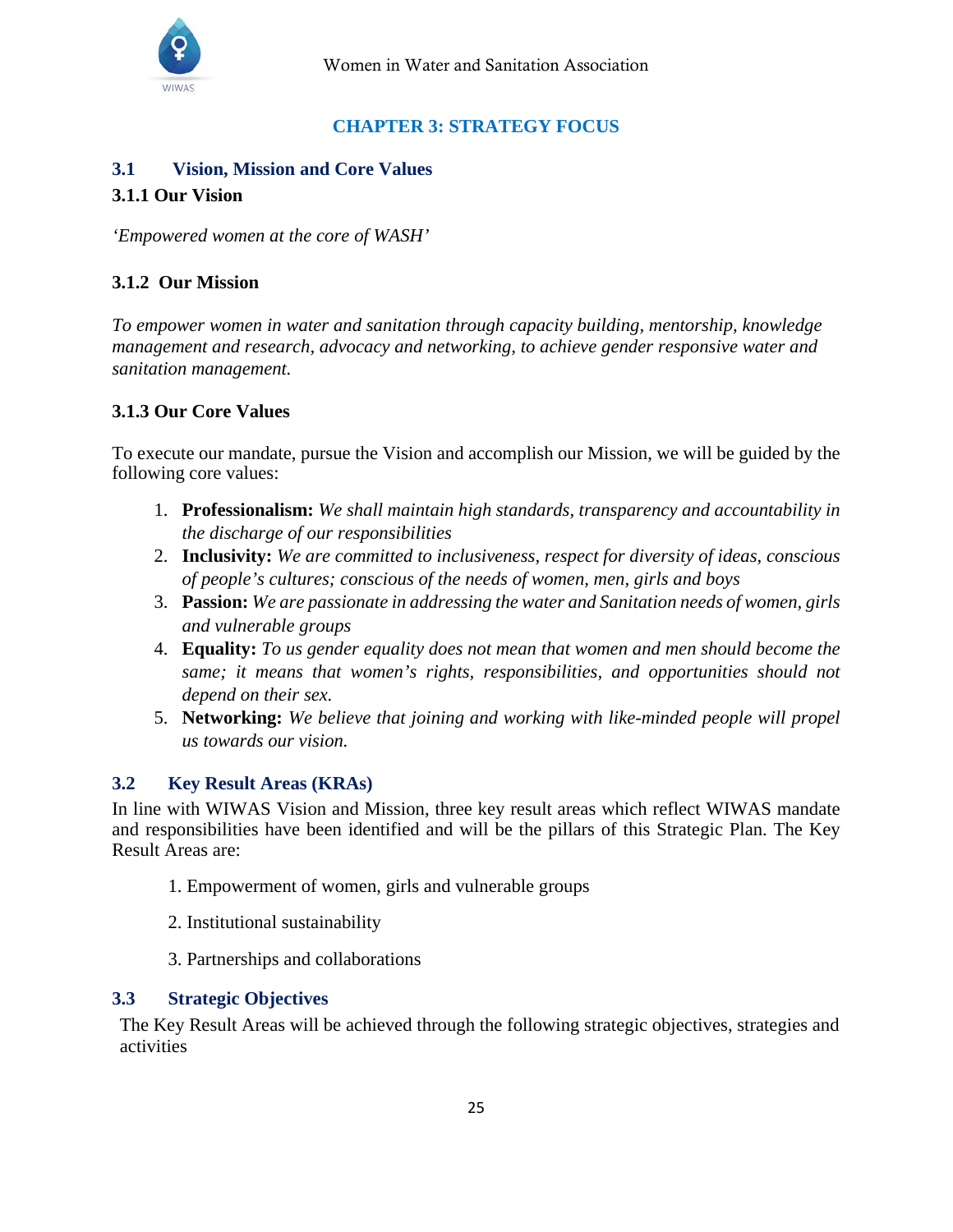

## **CHAPTER 3: STRATEGY FOCUS**

## <span id="page-25-1"></span><span id="page-25-0"></span>**3.1 Vision, Mission and Core Values**

### **3.1.1 Our Vision**

*'Empowered women at the core of WASH'*

## **3.1.2 Our Mission**

*To empower women in water and sanitation through capacity building, mentorship, knowledge management and research, advocacy and networking, to achieve gender responsive water and sanitation management.*

## **3.1.3 Our Core Values**

To execute our mandate, pursue the Vision and accomplish our Mission, we will be guided by the following core values:

- 1. **Professionalism:** *We shall maintain high standards, transparency and accountability in the discharge of our responsibilities*
- 2. **Inclusivity:** *We are committed to inclusiveness, respect for diversity of ideas, conscious of people's cultures; conscious of the needs of women, men, girls and boys*
- 3. **Passion:** *We are passionate in addressing the water and Sanitation needs of women, girls and vulnerable groups*
- 4. **Equality:** *To us gender equality does not mean that women and men should become the same; it means that women's rights, responsibilities, and opportunities should not depend on their sex.*
- 5. **Networking:** *We believe that joining and working with like-minded people will propel us towards our vision.*

### <span id="page-25-2"></span>**3.2 Key Result Areas (KRAs)**

In line with WIWAS Vision and Mission, three key result areas which reflect WIWAS mandate and responsibilities have been identified and will be the pillars of this Strategic Plan. The Key Result Areas are:

- 1. Empowerment of women, girls and vulnerable groups
- 2. Institutional sustainability
- 3. Partnerships and collaborations

#### <span id="page-25-3"></span>**3.3 Strategic Objectives**

The Key Result Areas will be achieved through the following strategic objectives, strategies and activities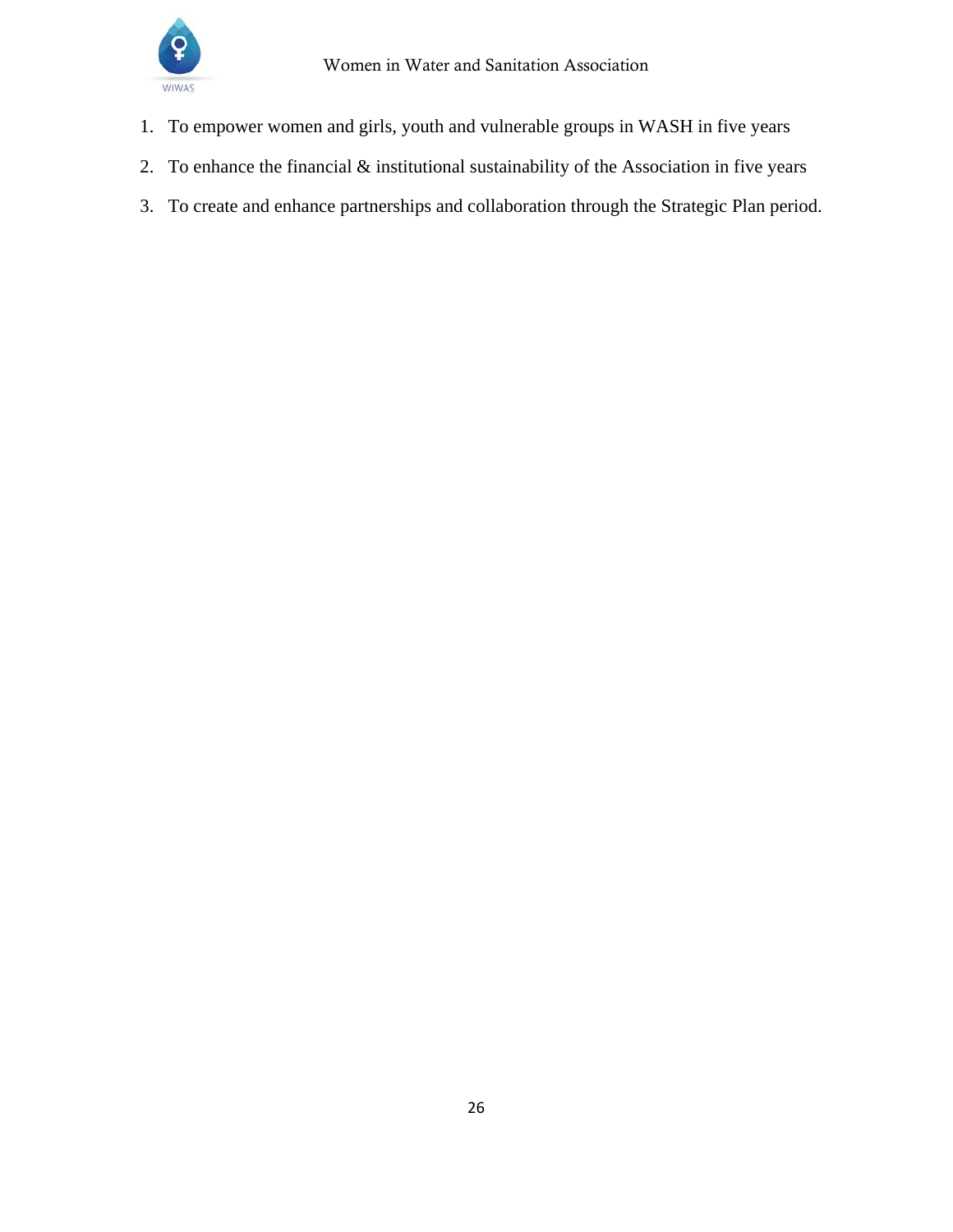

- 1. To empower women and girls, youth and vulnerable groups in WASH in five years
- 2. To enhance the financial & institutional sustainability of the Association in five years
- 3. To create and enhance partnerships and collaboration through the Strategic Plan period.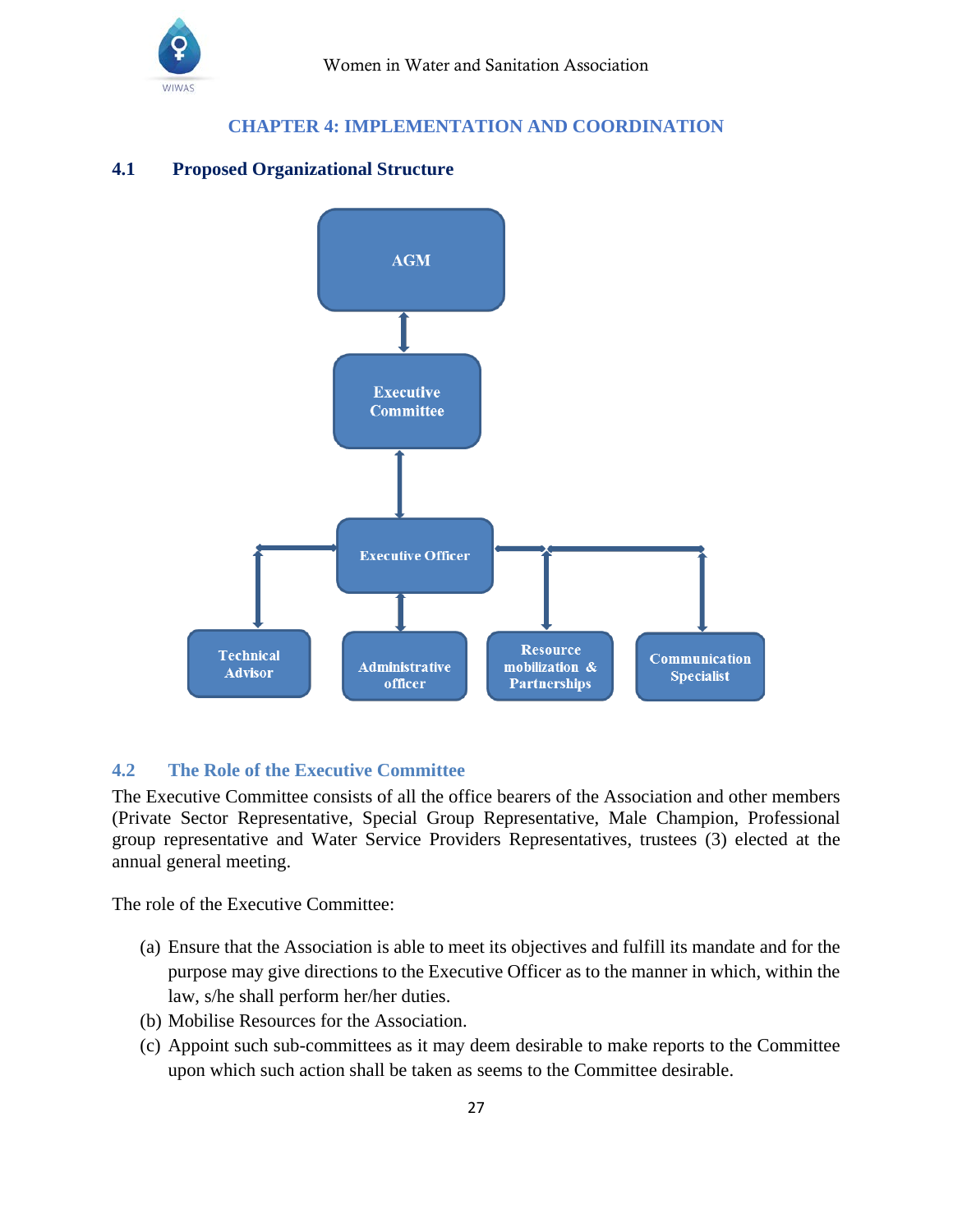

## **CHAPTER 4: IMPLEMENTATION AND COORDINATION**

### <span id="page-27-0"></span>**4.1 Proposed Organizational Structure**



### <span id="page-27-1"></span>**4.2 The Role of the Executive Committee**

The Executive Committee consists of all the office bearers of the Association and other members (Private Sector Representative, Special Group Representative, Male Champion, Professional group representative and Water Service Providers Representatives, trustees (3) elected at the annual general meeting.

The role of the Executive Committee:

- (a) Ensure that the Association is able to meet its objectives and fulfill its mandate and for the purpose may give directions to the Executive Officer as to the manner in which, within the law, s/he shall perform her/her duties.
- (b) Mobilise Resources for the Association.
- (c) Appoint such sub-committees as it may deem desirable to make reports to the Committee upon which such action shall be taken as seems to the Committee desirable.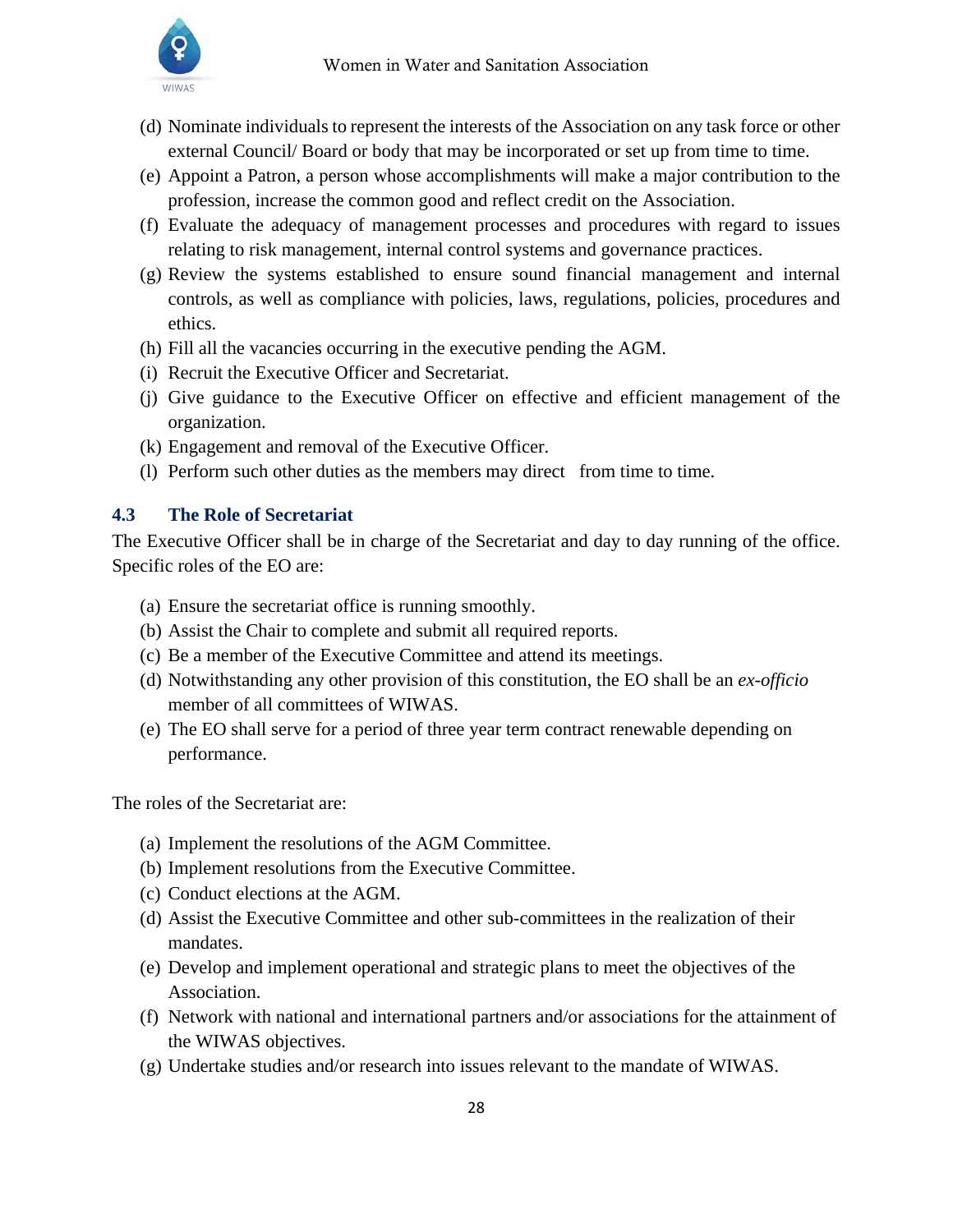- (d) Nominate individuals to represent the interests of the Association on any task force or other external Council/ Board or body that may be incorporated or set up from time to time.
- (e) Appoint a Patron, a person whose accomplishments will make a major contribution to the profession, increase the common good and reflect credit on the Association.
- (f) Evaluate the adequacy of management processes and procedures with regard to issues relating to risk management, internal control systems and governance practices.
- (g) Review the systems established to ensure sound financial management and internal controls, as well as compliance with policies, laws, regulations, policies, procedures and ethics.
- (h) Fill all the vacancies occurring in the executive pending the AGM.
- (i) Recruit the Executive Officer and Secretariat.
- (j) Give guidance to the Executive Officer on effective and efficient management of the organization.
- (k) Engagement and removal of the Executive Officer.
- (l) Perform such other duties as the members may direct from time to time.

## <span id="page-28-0"></span>**4.3 The Role of Secretariat**

The Executive Officer shall be in charge of the Secretariat and day to day running of the office. Specific roles of the EO are:

- (a) Ensure the secretariat office is running smoothly.
- (b) Assist the Chair to complete and submit all required reports.
- (c) Be a member of the Executive Committee and attend its meetings.
- (d) Notwithstanding any other provision of this constitution, the EO shall be an *ex-officio*  member of all committees of WIWAS.
- (e) The EO shall serve for a period of three year term contract renewable depending on performance.

The roles of the Secretariat are:

- (a) Implement the resolutions of the AGM Committee.
- (b) Implement resolutions from the Executive Committee.
- (c) Conduct elections at the AGM.
- (d) Assist the Executive Committee and other sub-committees in the realization of their mandates.
- (e) Develop and implement operational and strategic plans to meet the objectives of the Association.
- (f) Network with national and international partners and/or associations for the attainment of the WIWAS objectives.
- (g) Undertake studies and/or research into issues relevant to the mandate of WIWAS.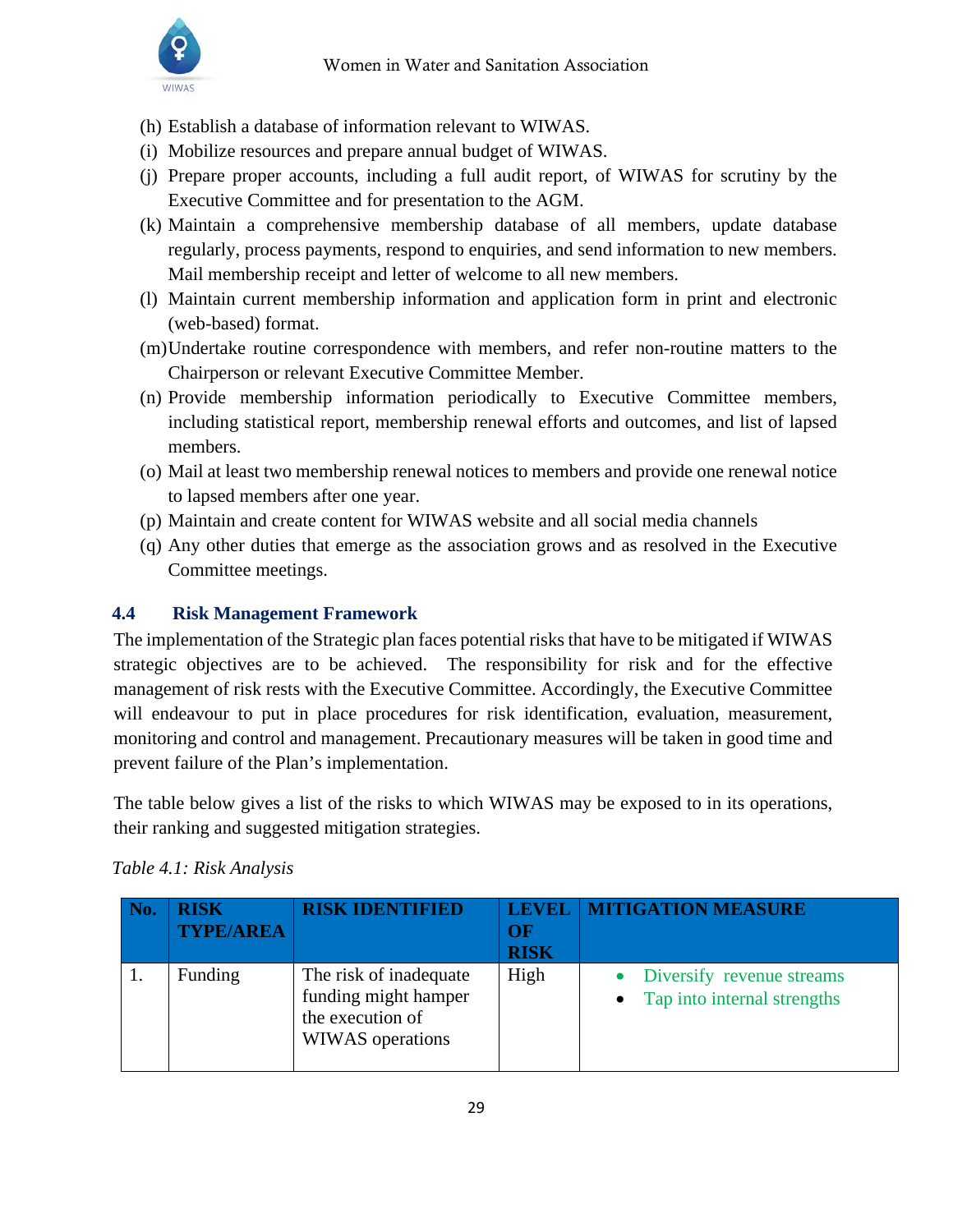

- (h) Establish a database of information relevant to WIWAS.
- (i) Mobilize resources and prepare annual budget of WIWAS.
- (j) Prepare proper accounts, including a full audit report, of WIWAS for scrutiny by the Executive Committee and for presentation to the AGM.
- (k) Maintain a comprehensive membership database of all members, update database regularly, process payments, respond to enquiries, and send information to new members. Mail membership receipt and letter of welcome to all new members.
- (l) Maintain current membership information and application form in print and electronic (web-based) format.
- (m)Undertake routine correspondence with members, and refer non-routine matters to the Chairperson or relevant Executive Committee Member.
- (n) Provide membership information periodically to Executive Committee members, including statistical report, membership renewal efforts and outcomes, and list of lapsed members.
- (o) Mail at least two membership renewal notices to members and provide one renewal notice to lapsed members after one year.
- (p) Maintain and create content for WIWAS website and all social media channels
- (q) Any other duties that emerge as the association grows and as resolved in the Executive Committee meetings.

## <span id="page-29-0"></span>**4.4 Risk Management Framework**

The implementation of the Strategic plan faces potential risks that have to be mitigated if WIWAS strategic objectives are to be achieved. The responsibility for risk and for the effective management of risk rests with the Executive Committee. Accordingly, the Executive Committee will endeavour to put in place procedures for risk identification, evaluation, measurement, monitoring and control and management. Precautionary measures will be taken in good time and prevent failure of the Plan's implementation.

The table below gives a list of the risks to which WIWAS may be exposed to in its operations, their ranking and suggested mitigation strategies.

| <b>RISK</b><br><b>TYPE/AREA</b> | <b>RISK IDENTIFIED</b>                                                                 | OF<br><b>RISK</b> | <b>LEVEL   MITIGATION MEASURE</b>                                     |
|---------------------------------|----------------------------------------------------------------------------------------|-------------------|-----------------------------------------------------------------------|
| Funding                         | The risk of inadequate<br>funding might hamper<br>the execution of<br>WIWAS operations | High              | Diversify revenue streams<br>Tap into internal strengths<br>$\bullet$ |

## *Table 4.1: Risk Analysis*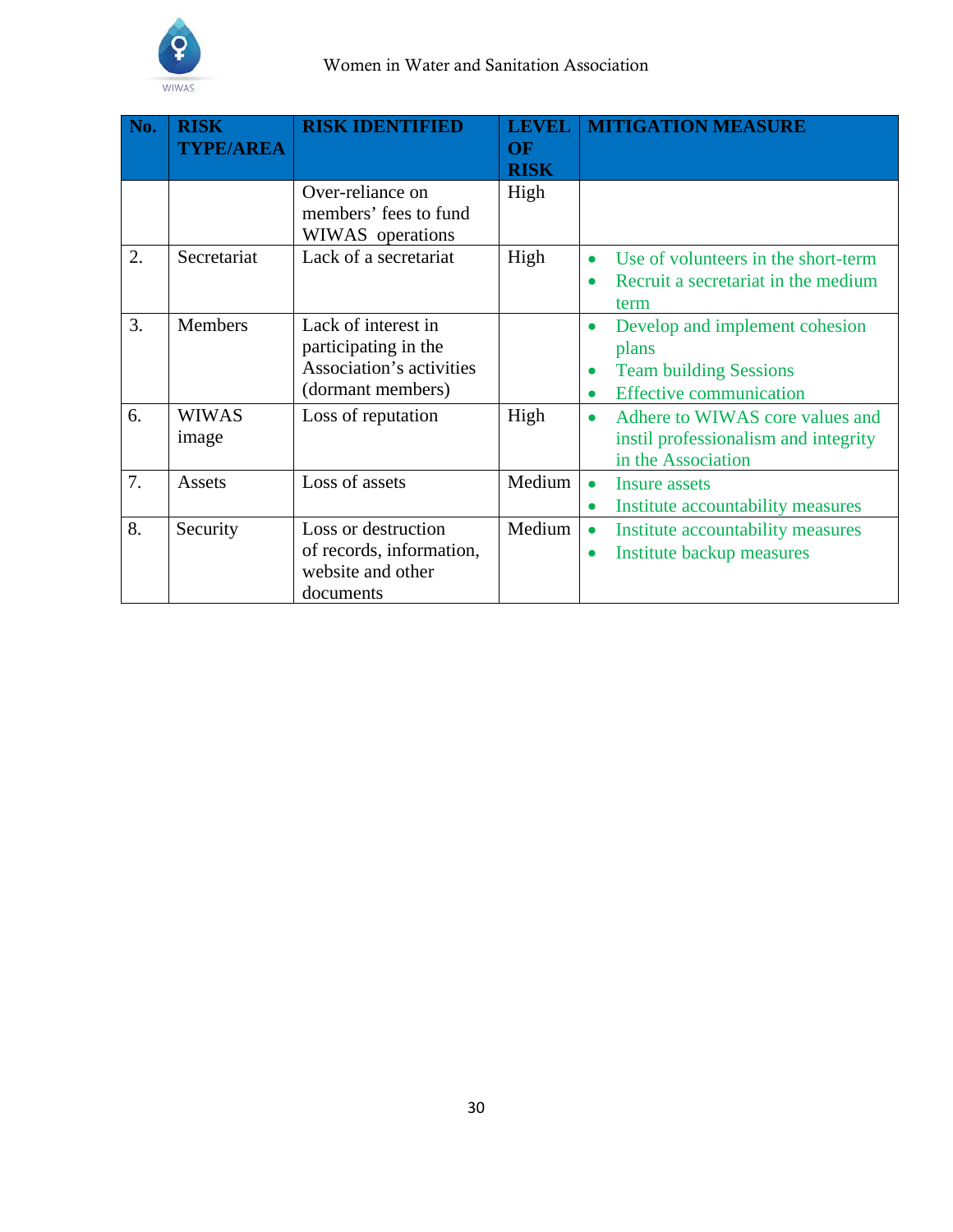

| No. | <b>RISK</b><br><b>TYPE/AREA</b> | <b>RISK IDENTIFIED</b>                                                                       | <b>LEVEL</b><br>OF<br><b>RISK</b> | <b>MITIGATION MEASURE</b>                                                                                                            |
|-----|---------------------------------|----------------------------------------------------------------------------------------------|-----------------------------------|--------------------------------------------------------------------------------------------------------------------------------------|
|     |                                 | Over-reliance on<br>members' fees to fund<br>WIWAS operations                                | High                              |                                                                                                                                      |
| 2.  | Secretariat                     | Lack of a secretariat                                                                        | High                              | Use of volunteers in the short-term<br>$\bullet$<br>Recruit a secretariat in the medium<br>term                                      |
| 3.  | <b>Members</b>                  | Lack of interest in<br>participating in the<br>Association's activities<br>(dormant members) |                                   | Develop and implement cohesion<br>$\bullet$<br>plans<br><b>Team building Sessions</b><br><b>Effective communication</b><br>$\bullet$ |
| 6.  | <b>WIWAS</b><br>image           | Loss of reputation                                                                           | High                              | Adhere to WIWAS core values and<br>$\bullet$<br>instil professionalism and integrity<br>in the Association                           |
| 7.  | Assets                          | Loss of assets                                                                               | Medium                            | Insure assets<br>$\bullet$<br>Institute accountability measures<br>$\bullet$                                                         |
| 8.  | Security                        | Loss or destruction<br>of records, information,<br>website and other<br>documents            | Medium                            | Institute accountability measures<br>$\bullet$<br>Institute backup measures                                                          |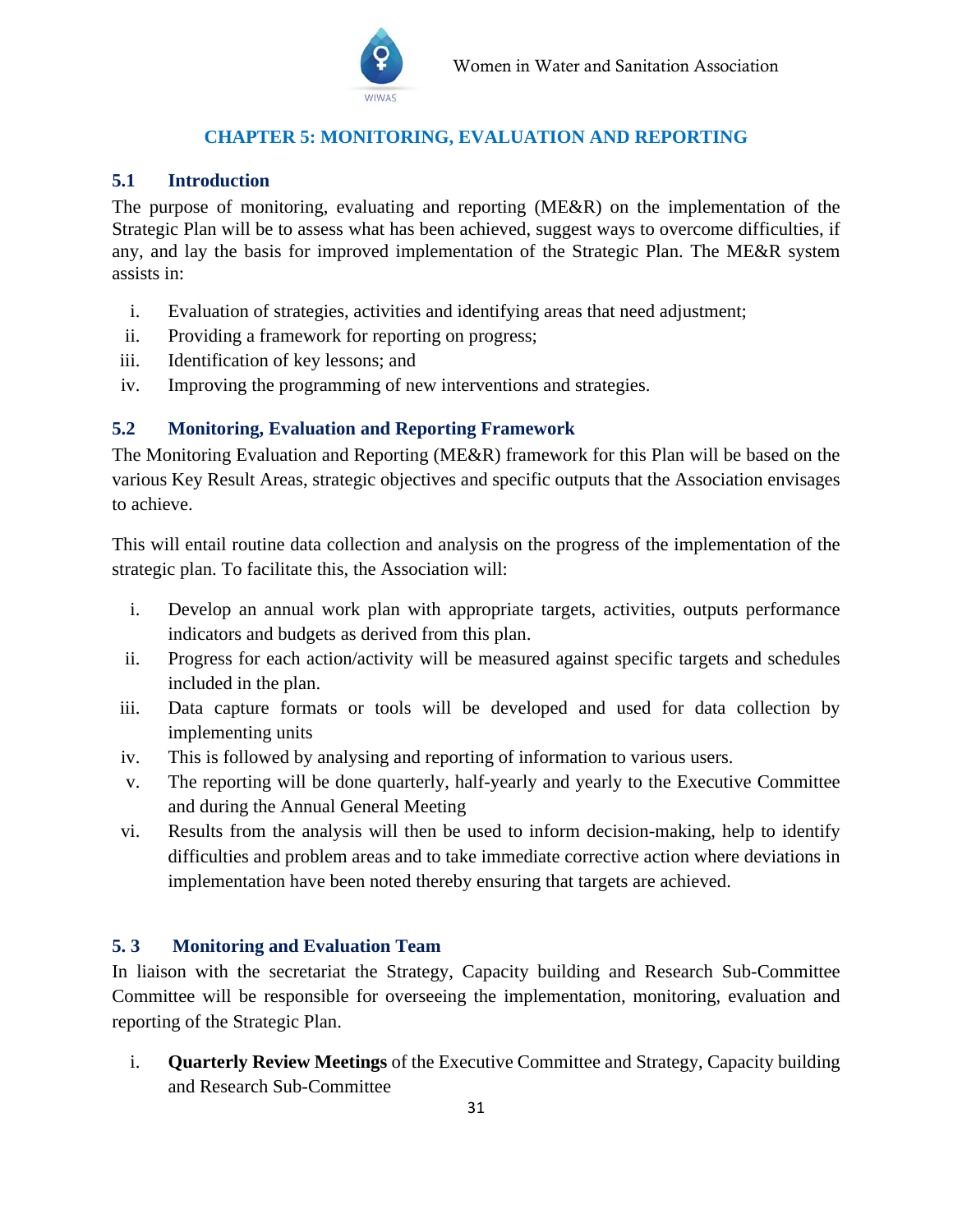

## **CHAPTER 5: MONITORING, EVALUATION AND REPORTING**

## <span id="page-31-1"></span><span id="page-31-0"></span>**5.1 Introduction**

The purpose of monitoring, evaluating and reporting (ME&R) on the implementation of the Strategic Plan will be to assess what has been achieved, suggest ways to overcome difficulties, if any, and lay the basis for improved implementation of the Strategic Plan. The ME&R system assists in:

- i. Evaluation of strategies, activities and identifying areas that need adjustment;
- ii. Providing a framework for reporting on progress;
- iii. Identification of key lessons; and
- iv. Improving the programming of new interventions and strategies.

## <span id="page-31-2"></span>**5.2 Monitoring, Evaluation and Reporting Framework**

The Monitoring Evaluation and Reporting (ME&R) framework for this Plan will be based on the various Key Result Areas, strategic objectives and specific outputs that the Association envisages to achieve.

This will entail routine data collection and analysis on the progress of the implementation of the strategic plan. To facilitate this, the Association will:

- i. Develop an annual work plan with appropriate targets, activities, outputs performance indicators and budgets as derived from this plan.
- ii. Progress for each action/activity will be measured against specific targets and schedules included in the plan.
- iii. Data capture formats or tools will be developed and used for data collection by implementing units
- iv. This is followed by analysing and reporting of information to various users.
- v. The reporting will be done quarterly, half-yearly and yearly to the Executive Committee and during the Annual General Meeting
- vi. Results from the analysis will then be used to inform decision-making, help to identify difficulties and problem areas and to take immediate corrective action where deviations in implementation have been noted thereby ensuring that targets are achieved.

## <span id="page-31-3"></span>**5. 3 Monitoring and Evaluation Team**

In liaison with the secretariat the Strategy, Capacity building and Research Sub-Committee Committee will be responsible for overseeing the implementation, monitoring, evaluation and reporting of the Strategic Plan.

i. **Quarterly Review Meetings** of the Executive Committee and Strategy, Capacity building and Research Sub-Committee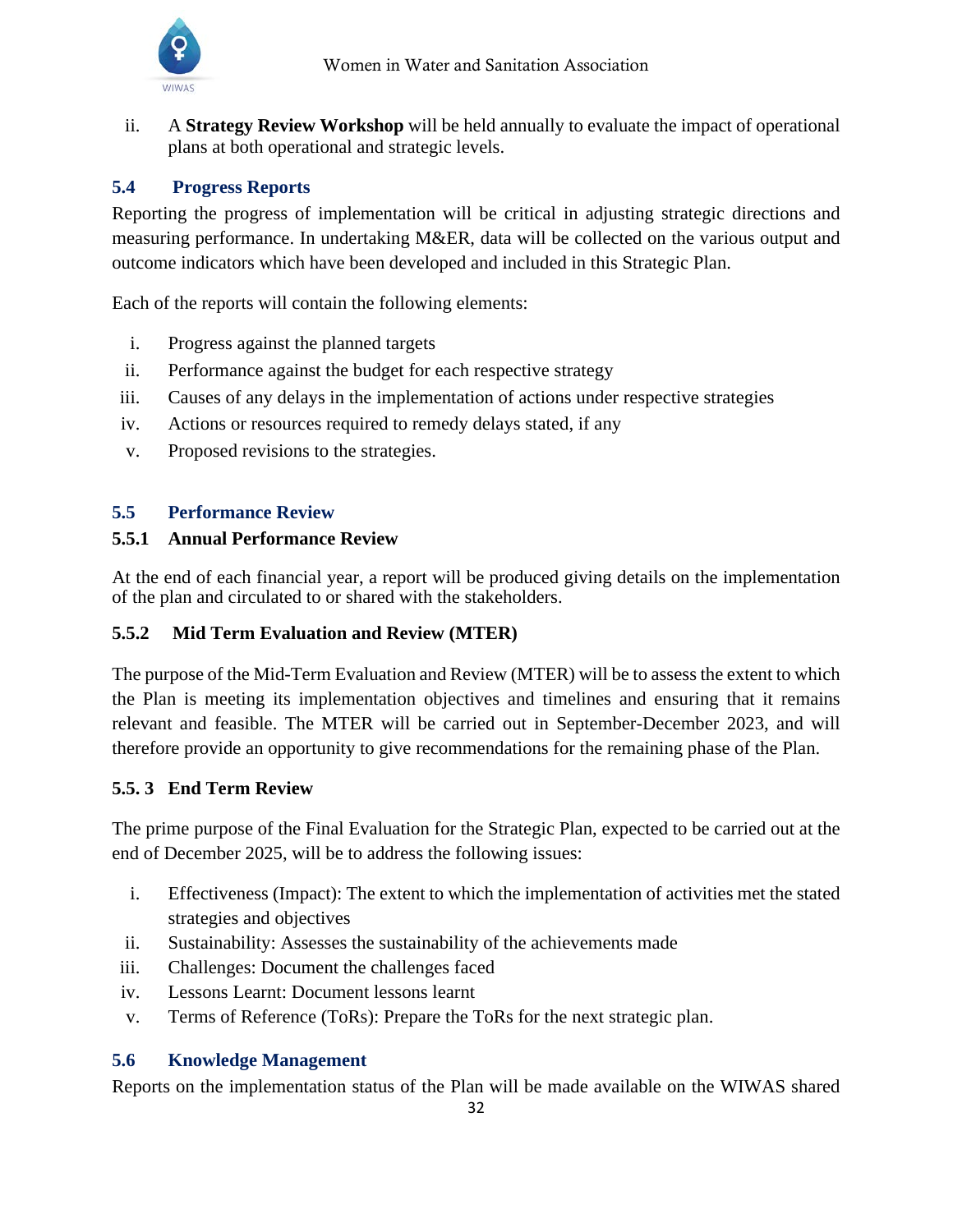

ii. A **Strategy Review Workshop** will be held annually to evaluate the impact of operational plans at both operational and strategic levels.

## <span id="page-32-0"></span>**5.4 Progress Reports**

Reporting the progress of implementation will be critical in adjusting strategic directions and measuring performance. In undertaking M&ER, data will be collected on the various output and outcome indicators which have been developed and included in this Strategic Plan.

Each of the reports will contain the following elements:

- i. Progress against the planned targets
- ii. Performance against the budget for each respective strategy
- iii. Causes of any delays in the implementation of actions under respective strategies
- iv. Actions or resources required to remedy delays stated, if any
- v. Proposed revisions to the strategies.

#### <span id="page-32-1"></span>**5.5 Performance Review**

#### **5.5.1 Annual Performance Review**

At the end of each financial year, a report will be produced giving details on the implementation of the plan and circulated to or shared with the stakeholders.

## **5.5.2 Mid Term Evaluation and Review (MTER)**

The purpose of the Mid-Term Evaluation and Review (MTER) will be to assess the extent to which the Plan is meeting its implementation objectives and timelines and ensuring that it remains relevant and feasible. The MTER will be carried out in September-December 2023, and will therefore provide an opportunity to give recommendations for the remaining phase of the Plan.

#### **5.5. 3 End Term Review**

The prime purpose of the Final Evaluation for the Strategic Plan, expected to be carried out at the end of December 2025, will be to address the following issues:

- i. Effectiveness (Impact): The extent to which the implementation of activities met the stated strategies and objectives
- ii. Sustainability: Assesses the sustainability of the achievements made
- iii. Challenges: Document the challenges faced
- iv. Lessons Learnt: Document lessons learnt
- v. Terms of Reference (ToRs): Prepare the ToRs for the next strategic plan.

## <span id="page-32-2"></span>**5.6 Knowledge Management**

Reports on the implementation status of the Plan will be made available on the WIWAS shared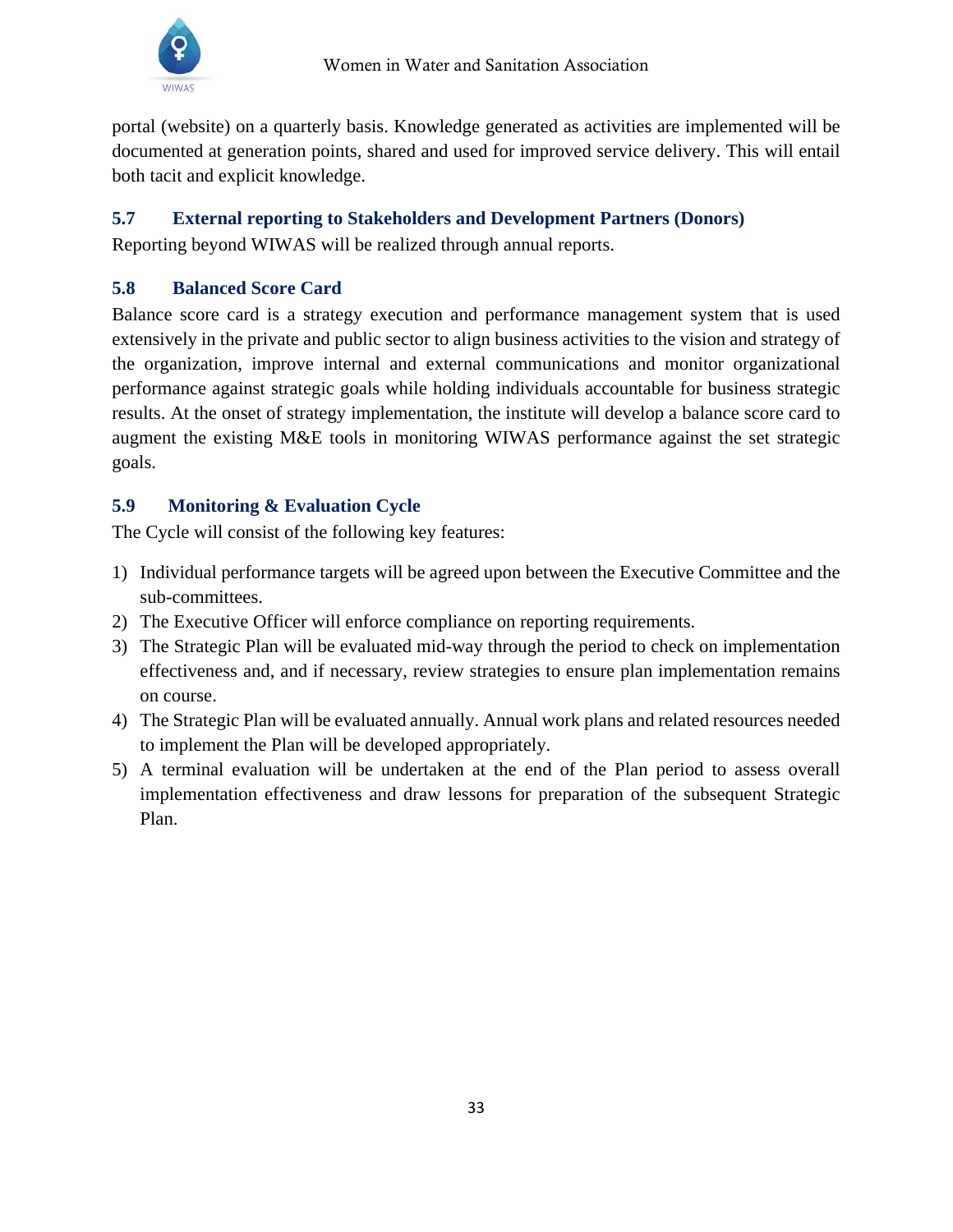

portal (website) on a quarterly basis. Knowledge generated as activities are implemented will be documented at generation points, shared and used for improved service delivery. This will entail both tacit and explicit knowledge.

## <span id="page-33-0"></span>**5.7 External reporting to Stakeholders and Development Partners (Donors)**

Reporting beyond WIWAS will be realized through annual reports.

## <span id="page-33-1"></span>**5.8 Balanced Score Card**

Balance score card is a strategy execution and performance management system that is used extensively in the private and public sector to align business activities to the vision and strategy of the organization, improve internal and external communications and monitor organizational performance against strategic goals while holding individuals accountable for business strategic results. At the onset of strategy implementation, the institute will develop a balance score card to augment the existing M&E tools in monitoring WIWAS performance against the set strategic goals.

## <span id="page-33-2"></span>**5.9 Monitoring & Evaluation Cycle**

The Cycle will consist of the following key features:

- 1) Individual performance targets will be agreed upon between the Executive Committee and the sub-committees.
- 2) The Executive Officer will enforce compliance on reporting requirements.
- 3) The Strategic Plan will be evaluated mid-way through the period to check on implementation effectiveness and, and if necessary, review strategies to ensure plan implementation remains on course.
- 4) The Strategic Plan will be evaluated annually. Annual work plans and related resources needed to implement the Plan will be developed appropriately.
- 5) A terminal evaluation will be undertaken at the end of the Plan period to assess overall implementation effectiveness and draw lessons for preparation of the subsequent Strategic Plan.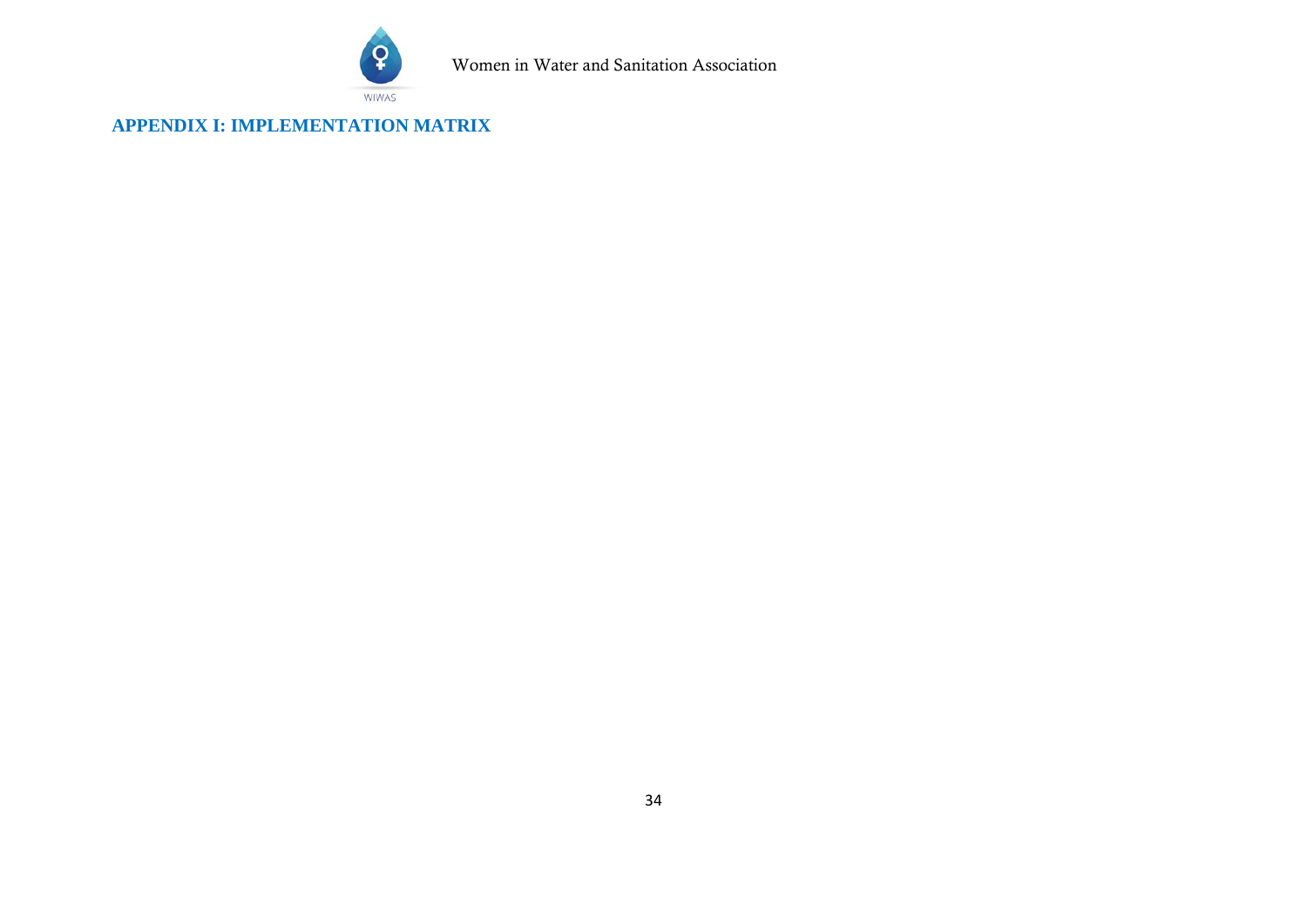

Women in Water and Sanitation Association

<span id="page-34-0"></span>**APPENDIX I: IMPLEMENTATION MATRIX**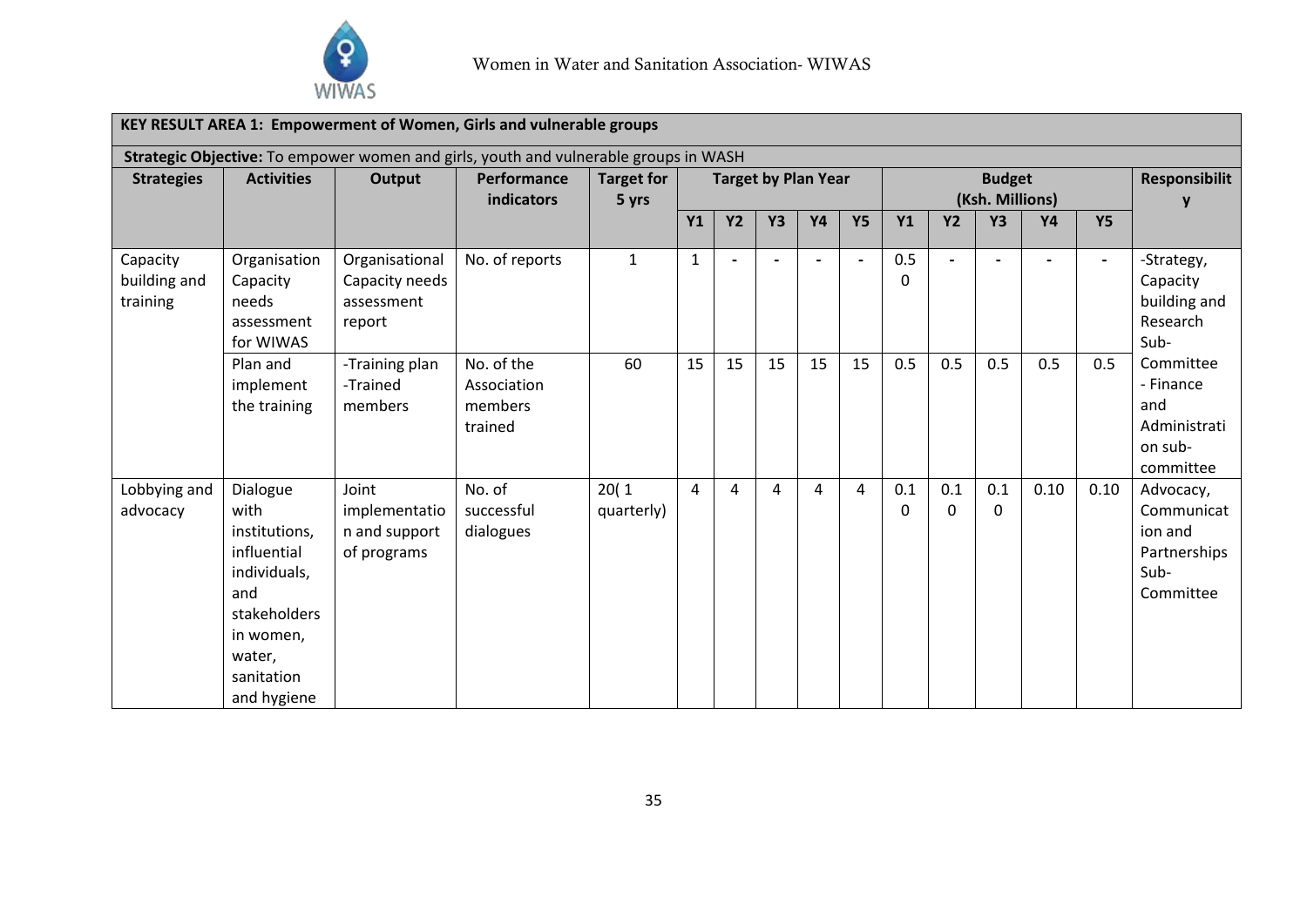

|                                      |                                                                                                                                             |                                                                                                       | KEY RESULT AREA 1: Empowerment of Women, Girls and vulnerable groups |                            |                            |           |                |           |           |                                  |                          |                     |           |                |                                                                         |
|--------------------------------------|---------------------------------------------------------------------------------------------------------------------------------------------|-------------------------------------------------------------------------------------------------------|----------------------------------------------------------------------|----------------------------|----------------------------|-----------|----------------|-----------|-----------|----------------------------------|--------------------------|---------------------|-----------|----------------|-------------------------------------------------------------------------|
| <b>Strategies</b>                    | <b>Activities</b>                                                                                                                           | Strategic Objective: To empower women and girls, youth and vulnerable groups in WASH<br><b>Output</b> | Performance<br><b>indicators</b>                                     | <b>Target for</b><br>5 yrs | <b>Target by Plan Year</b> |           |                |           |           | <b>Budget</b><br>(Ksh. Millions) |                          |                     |           |                | <b>Responsibilit</b>                                                    |
|                                      |                                                                                                                                             |                                                                                                       |                                                                      |                            | <b>Y1</b>                  | <b>Y2</b> | Y <sub>3</sub> | <b>Y4</b> | <b>Y5</b> | <b>Y1</b>                        | <b>Y2</b>                | <b>Y3</b>           | <b>Y4</b> | <b>Y5</b>      |                                                                         |
| Capacity<br>building and<br>training | Organisation<br>Capacity<br>needs<br>assessment<br>for WIWAS                                                                                | Organisational<br>Capacity needs<br>assessment<br>report                                              | No. of reports                                                       | $\mathbf{1}$               | $\mathbf{1}$               |           |                |           |           | 0.5<br>0                         | $\overline{\phantom{0}}$ |                     |           | $\blacksquare$ | -Strategy,<br>Capacity<br>building and<br>Research<br>Sub-              |
|                                      | Plan and<br>implement<br>the training                                                                                                       | -Training plan<br>-Trained<br>members                                                                 | No. of the<br>Association<br>members<br>trained                      | 60                         | 15                         | 15        | 15             | 15        | 15        | 0.5                              | 0.5                      | 0.5                 | 0.5       | 0.5            | Committee<br>- Finance<br>and<br>Administrati<br>on sub-<br>committee   |
| Lobbying and<br>advocacy             | Dialogue<br>with<br>institutions,<br>influential<br>individuals,<br>and<br>stakeholders<br>in women,<br>water,<br>sanitation<br>and hygiene | Joint<br>implementatio<br>n and support<br>of programs                                                | No. of<br>successful<br>dialogues                                    | 20(1)<br>quarterly)        | $\overline{a}$             | 4         | 4              | 4         | 4         | 0.1<br>0                         | 0.1<br>$\Omega$          | 0.1<br>$\mathbf{0}$ | 0.10      | 0.10           | Advocacy,<br>Communicat<br>ion and<br>Partnerships<br>Sub-<br>Committee |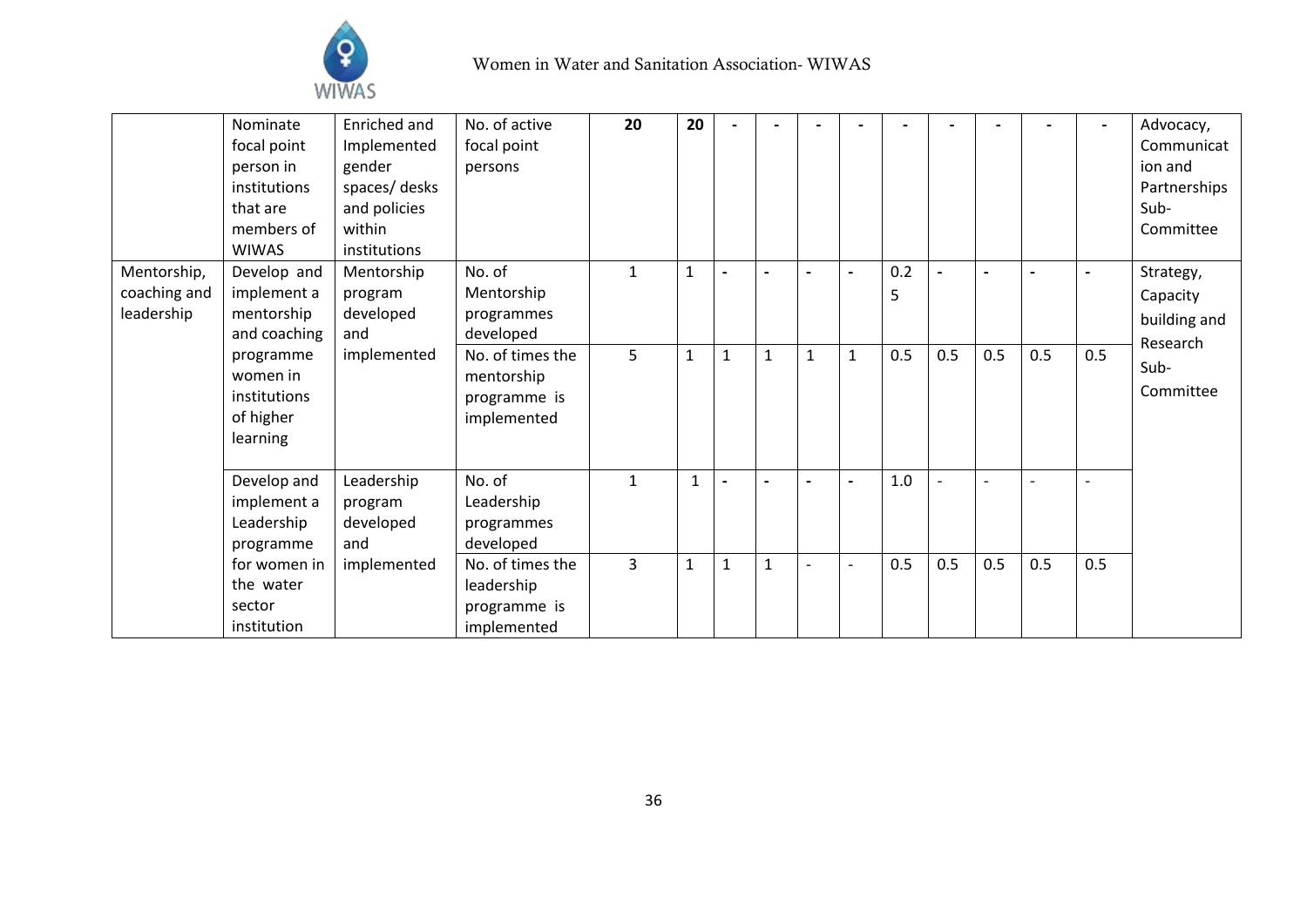

|                                           | Nominate<br>focal point<br>person in<br>institutions<br>that are<br>members of<br><b>WIWAS</b> | Enriched and<br>Implemented<br>gender<br>spaces/desks<br>and policies<br>within<br>institutions | No. of active<br>focal point<br>persons                       | 20             | 20           |              |                          |                          |                          |          |                          |     |     | $\overline{\phantom{a}}$ | Advocacy,<br>Communicat<br>ion and<br>Partnerships<br>Sub-<br>Committee |
|-------------------------------------------|------------------------------------------------------------------------------------------------|-------------------------------------------------------------------------------------------------|---------------------------------------------------------------|----------------|--------------|--------------|--------------------------|--------------------------|--------------------------|----------|--------------------------|-----|-----|--------------------------|-------------------------------------------------------------------------|
| Mentorship,<br>coaching and<br>leadership | Develop and<br>implement a<br>mentorship<br>and coaching                                       | Mentorship<br>program<br>developed<br>and                                                       | No. of<br>Mentorship<br>programmes<br>developed               | $\mathbf{1}$   | $\mathbf{1}$ |              |                          |                          |                          | 0.2<br>5 |                          |     |     |                          | Strategy,<br>Capacity<br>building and<br>Research                       |
|                                           | programme<br>women in<br>institutions<br>of higher<br>learning                                 | implemented                                                                                     | No. of times the<br>mentorship<br>programme is<br>implemented | 5              | $\mathbf{1}$ | $\mathbf{1}$ | $\mathbf{1}$             | $\mathbf{1}$             | $\mathbf{1}$             | 0.5      | 0.5                      | 0.5 | 0.5 | 0.5                      | Sub-<br>Committee                                                       |
|                                           | Develop and<br>implement a<br>Leadership<br>programme                                          | Leadership<br>program<br>developed<br>and                                                       | No. of<br>Leadership<br>programmes<br>developed               | $\mathbf{1}$   |              |              | $\overline{\phantom{0}}$ |                          | $\blacksquare$           | 1.0      | $\overline{\phantom{a}}$ |     |     |                          |                                                                         |
|                                           | for women in<br>the water<br>sector<br>institution                                             | implemented                                                                                     | No. of times the<br>leadership<br>programme is<br>implemented | $\overline{3}$ | $\mathbf{1}$ | $\mathbf{1}$ | $\mathbf{1}$             | $\overline{\phantom{a}}$ | $\overline{\phantom{a}}$ | 0.5      | 0.5                      | 0.5 | 0.5 | 0.5                      |                                                                         |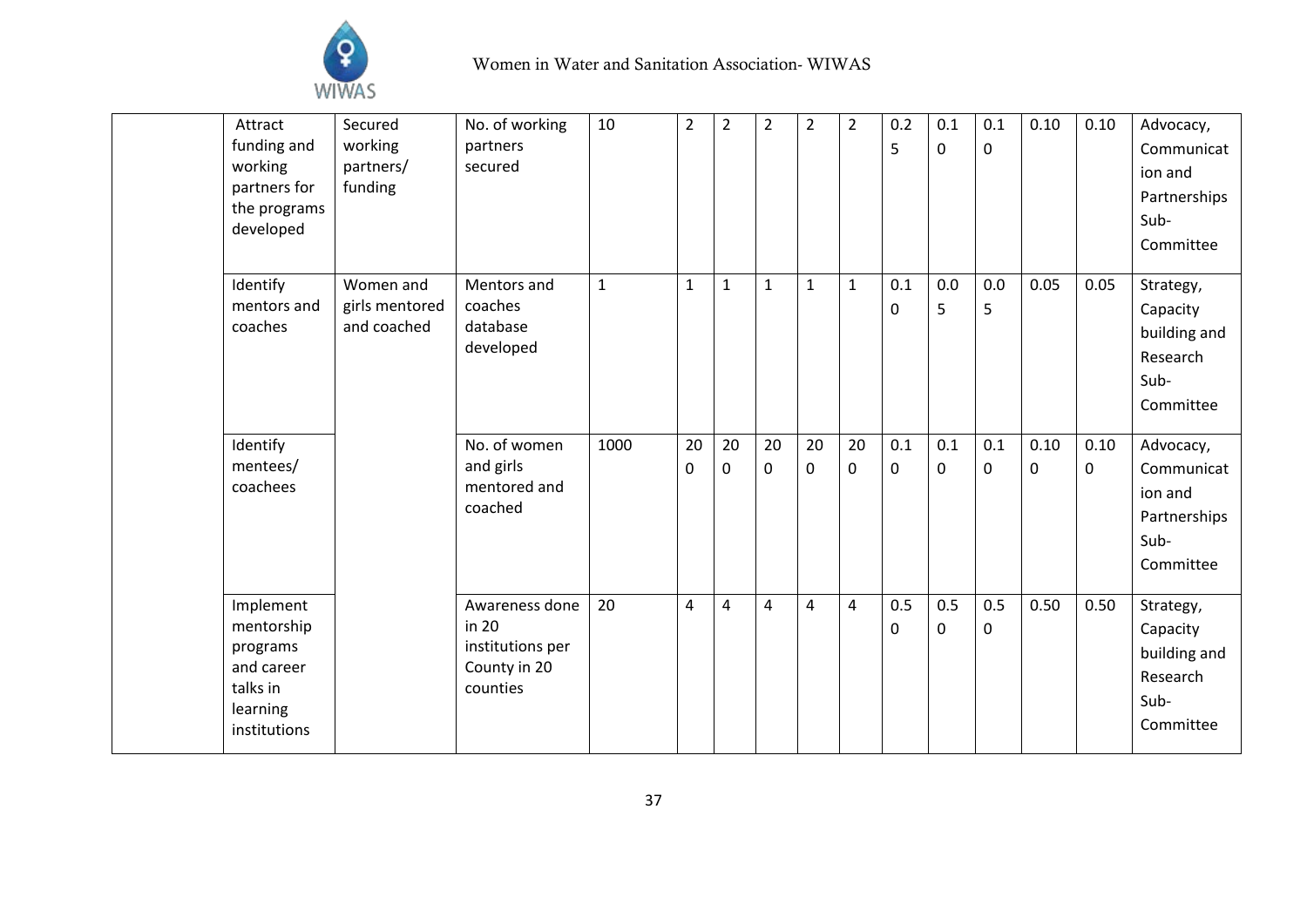

| Attract      | Secured        | No. of working   | 10           | $\overline{2}$ | $\overline{2}$ | $\overline{2}$ | $\overline{\mathbf{c}}$ | $\overline{2}$ | 0.2          | 0.1 | 0.1         | 0.10 | 0.10        | Advocacy,    |
|--------------|----------------|------------------|--------------|----------------|----------------|----------------|-------------------------|----------------|--------------|-----|-------------|------|-------------|--------------|
| funding and  | working        | partners         |              |                |                |                |                         |                | 5            | 0   | $\mathbf 0$ |      |             | Communicat   |
| working      | partners/      | secured          |              |                |                |                |                         |                |              |     |             |      |             | ion and      |
| partners for | funding        |                  |              |                |                |                |                         |                |              |     |             |      |             | Partnerships |
| the programs |                |                  |              |                |                |                |                         |                |              |     |             |      |             | Sub-         |
| developed    |                |                  |              |                |                |                |                         |                |              |     |             |      |             | Committee    |
|              |                |                  |              |                |                |                |                         |                |              |     |             |      |             |              |
| Identify     | Women and      | Mentors and      | $\mathbf{1}$ | 1              | $\mathbf 1$    | $\mathbf{1}$   | 1                       | $\mathbf{1}$   | 0.1          | 0.0 | 0.0         | 0.05 | 0.05        | Strategy,    |
| mentors and  | girls mentored | coaches          |              |                |                |                |                         |                | 0            | 5   | 5           |      |             | Capacity     |
| coaches      | and coached    | database         |              |                |                |                |                         |                |              |     |             |      |             | building and |
|              |                | developed        |              |                |                |                |                         |                |              |     |             |      |             | Research     |
|              |                |                  |              |                |                |                |                         |                |              |     |             |      |             | Sub-         |
|              |                |                  |              |                |                |                |                         |                |              |     |             |      |             | Committee    |
|              |                |                  |              |                |                |                |                         |                |              |     |             |      |             |              |
| Identify     |                | No. of women     | 1000         | 20             | 20             | 20             | 20                      | 20             | 0.1          | 0.1 | 0.1         | 0.10 | 0.10        | Advocacy,    |
| mentees/     |                | and girls        |              | 0              | $\mathbf 0$    | $\mathbf 0$    | 0                       | $\mathbf 0$    | 0            | 0   | $\mathbf 0$ | 0    | $\mathbf 0$ | Communicat   |
| coachees     |                | mentored and     |              |                |                |                |                         |                |              |     |             |      |             | ion and      |
|              |                | coached          |              |                |                |                |                         |                |              |     |             |      |             | Partnerships |
|              |                |                  |              |                |                |                |                         |                |              |     |             |      |             | Sub-         |
|              |                |                  |              |                |                |                |                         |                |              |     |             |      |             | Committee    |
|              |                |                  |              |                |                |                |                         |                |              |     |             |      |             |              |
| Implement    |                | Awareness done   | 20           | 4              | $\overline{4}$ | $\overline{4}$ | 4                       | $\overline{4}$ | 0.5          | 0.5 | 0.5         | 0.50 | 0.50        | Strategy,    |
| mentorship   |                | in 20            |              |                |                |                |                         |                | $\mathbf{0}$ | 0   | $\mathbf 0$ |      |             | Capacity     |
| programs     |                | institutions per |              |                |                |                |                         |                |              |     |             |      |             | building and |
| and career   |                | County in 20     |              |                |                |                |                         |                |              |     |             |      |             | Research     |
| talks in     |                | counties         |              |                |                |                |                         |                |              |     |             |      |             | Sub-         |
| learning     |                |                  |              |                |                |                |                         |                |              |     |             |      |             | Committee    |
| institutions |                |                  |              |                |                |                |                         |                |              |     |             |      |             |              |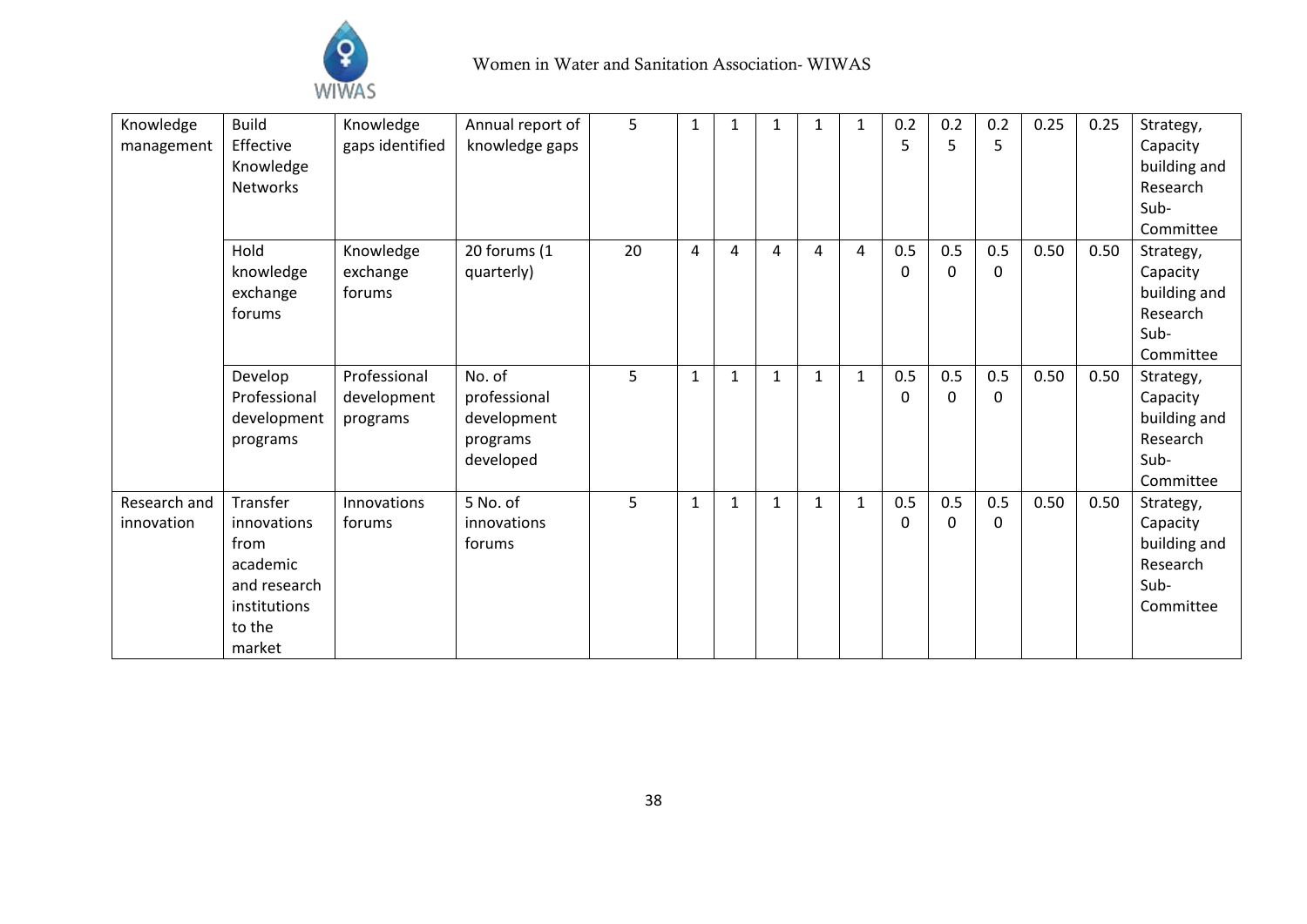

| Strategy,    |
|--------------|
|              |
| Capacity     |
| building and |
| Research     |
| Sub-         |
| Committee    |
| Strategy,    |
| Capacity     |
| building and |
| Research     |
| Sub-         |
| Committee    |
| Strategy,    |
| Capacity     |
| building and |
| Research     |
| Sub-         |
| Committee    |
| Strategy,    |
| Capacity     |
| building and |
| Research     |
| Sub-         |
| Committee    |
|              |
|              |
|              |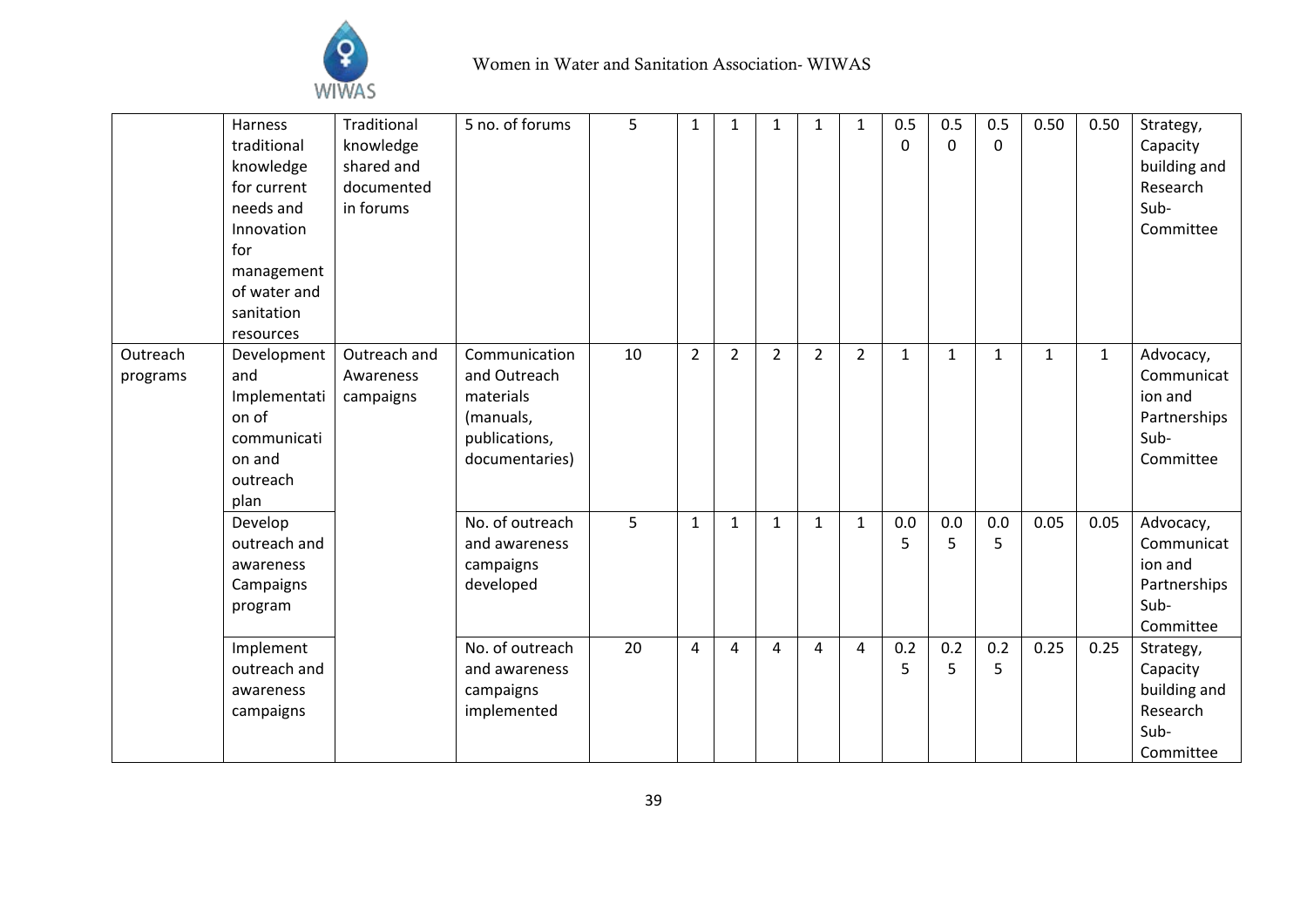

|                      | Harness<br>traditional<br>knowledge<br>for current<br>needs and<br>Innovation<br>for<br>management<br>of water and<br>sanitation<br>resources | Traditional<br>knowledge<br>shared and<br>documented<br>in forums | 5 no. of forums                                                                            | 5  | 1              | 1              | 1              | 1              | 1              | 0.5<br>0     | 0.5<br>0     | 0.5<br>0     | 0.50         | 0.50         | Strategy,<br>Capacity<br>building and<br>Research<br>Sub-<br>Committee  |
|----------------------|-----------------------------------------------------------------------------------------------------------------------------------------------|-------------------------------------------------------------------|--------------------------------------------------------------------------------------------|----|----------------|----------------|----------------|----------------|----------------|--------------|--------------|--------------|--------------|--------------|-------------------------------------------------------------------------|
| Outreach<br>programs | Development<br>and<br>Implementati<br>on of<br>communicati<br>on and<br>outreach<br>plan                                                      | Outreach and<br>Awareness<br>campaigns                            | Communication<br>and Outreach<br>materials<br>(manuals,<br>publications,<br>documentaries) | 10 | $\overline{2}$ | $\overline{2}$ | $\overline{2}$ | $\overline{2}$ | $\overline{2}$ | $\mathbf{1}$ | $\mathbf{1}$ | $\mathbf{1}$ | $\mathbf{1}$ | $\mathbf{1}$ | Advocacy,<br>Communicat<br>ion and<br>Partnerships<br>Sub-<br>Committee |
|                      | Develop<br>outreach and<br>awareness<br>Campaigns<br>program                                                                                  |                                                                   | No. of outreach<br>and awareness<br>campaigns<br>developed                                 | 5  | $\mathbf{1}$   | $\mathbf{1}$   | $\mathbf{1}$   | $\mathbf{1}$   | $\mathbf{1}$   | 0.0<br>5     | 0.0<br>5     | 0.0<br>5     | 0.05         | 0.05         | Advocacy,<br>Communicat<br>ion and<br>Partnerships<br>Sub-<br>Committee |
|                      | Implement<br>outreach and<br>awareness<br>campaigns                                                                                           |                                                                   | No. of outreach<br>and awareness<br>campaigns<br>implemented                               | 20 | 4              | 4              | 4              | $\overline{4}$ | 4              | 0.2<br>5     | 0.2<br>5     | 0.2<br>5     | 0.25         | 0.25         | Strategy,<br>Capacity<br>building and<br>Research<br>Sub-<br>Committee  |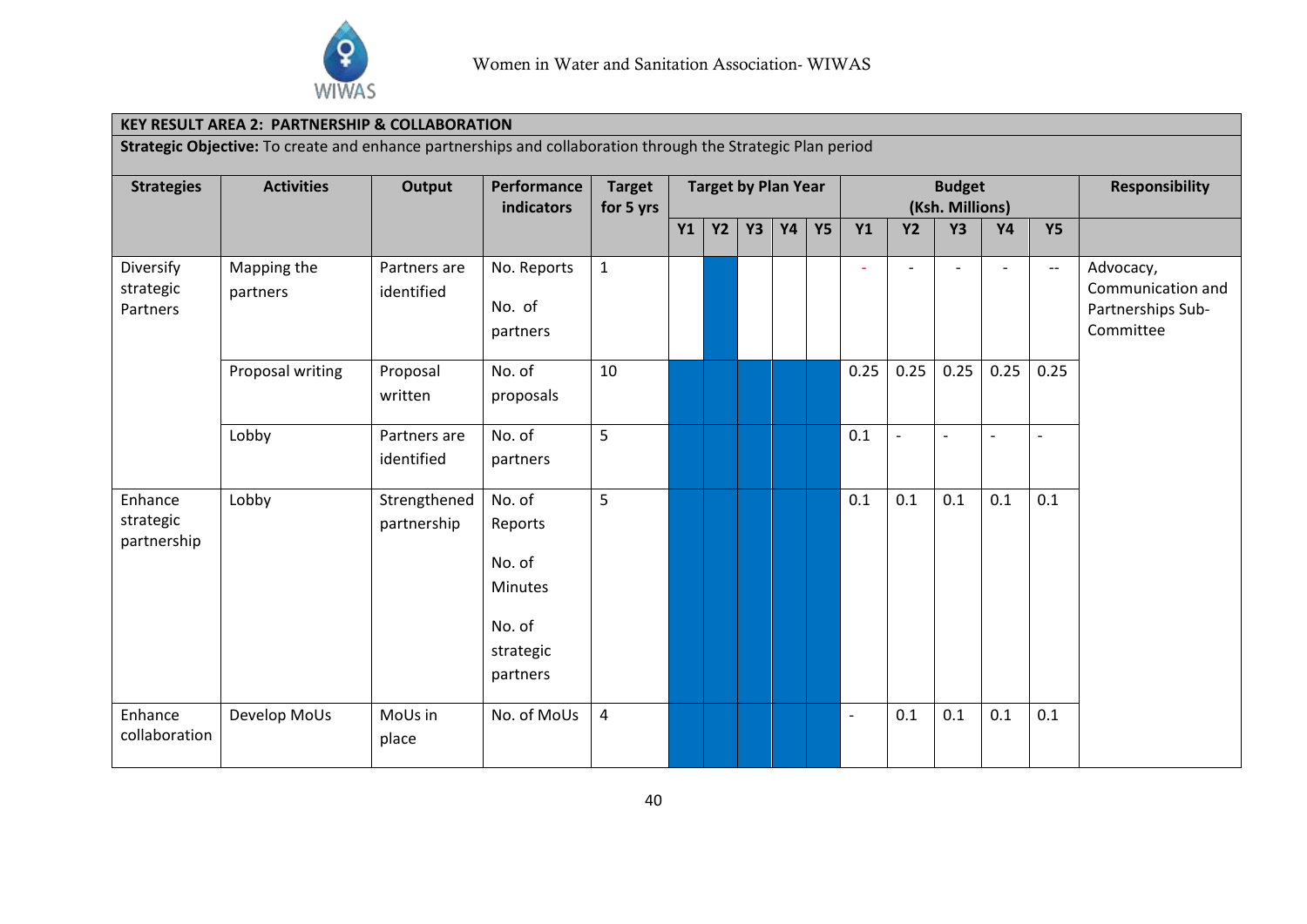

### **KEY RESULT AREA 2: PARTNERSHIP & COLLABORATION**

**Strategic Objective:** To create and enhance partnerships and collaboration through the Strategic Plan period

| <b>Strategies</b>                   | <b>Activities</b>       | Output<br>Performance<br><b>Budget</b><br><b>Target by Plan Year</b><br><b>Target</b><br>(Ksh. Millions)<br>indicators<br>for 5 yrs |                                                                                  |                |           |           |           |    |           |                          | <b>Responsibility</b> |                |                          |                          |                                                                  |
|-------------------------------------|-------------------------|-------------------------------------------------------------------------------------------------------------------------------------|----------------------------------------------------------------------------------|----------------|-----------|-----------|-----------|----|-----------|--------------------------|-----------------------|----------------|--------------------------|--------------------------|------------------------------------------------------------------|
|                                     |                         |                                                                                                                                     |                                                                                  |                | <b>Y1</b> | <b>Y2</b> | <b>Y3</b> | Y4 | <b>Y5</b> | <b>Y1</b>                | <b>Y2</b>             | <b>Y3</b>      | <b>Y4</b>                | <b>Y5</b>                |                                                                  |
| Diversify<br>strategic<br>Partners  | Mapping the<br>partners | Partners are<br>identified                                                                                                          | No. Reports<br>No. of<br>partners                                                | $\mathbf{1}$   |           |           |           |    |           | ۰                        |                       | $\overline{a}$ | $\overline{\phantom{a}}$ | $\overline{\phantom{m}}$ | Advocacy,<br>Communication and<br>Partnerships Sub-<br>Committee |
|                                     | Proposal writing        | Proposal<br>written                                                                                                                 | No. of<br>proposals                                                              | 10             |           |           |           |    |           | 0.25                     | 0.25                  | 0.25           | 0.25                     | 0.25                     |                                                                  |
|                                     | Lobby                   | Partners are<br>identified                                                                                                          | No. of<br>partners                                                               | 5              |           |           |           |    |           | 0.1                      | $\blacksquare$        | $\blacksquare$ | L,                       | $\overline{\phantom{a}}$ |                                                                  |
| Enhance<br>strategic<br>partnership | Lobby                   | Strengthened<br>partnership                                                                                                         | No. of<br>Reports<br>No. of<br><b>Minutes</b><br>No. of<br>strategic<br>partners | 5              |           |           |           |    |           | 0.1                      | 0.1                   | 0.1            | 0.1                      | 0.1                      |                                                                  |
| Enhance<br>collaboration            | Develop MoUs            | MoUs in<br>place                                                                                                                    | No. of MoUs                                                                      | $\overline{a}$ |           |           |           |    |           | $\overline{\phantom{a}}$ | 0.1                   | 0.1            | 0.1                      | 0.1                      |                                                                  |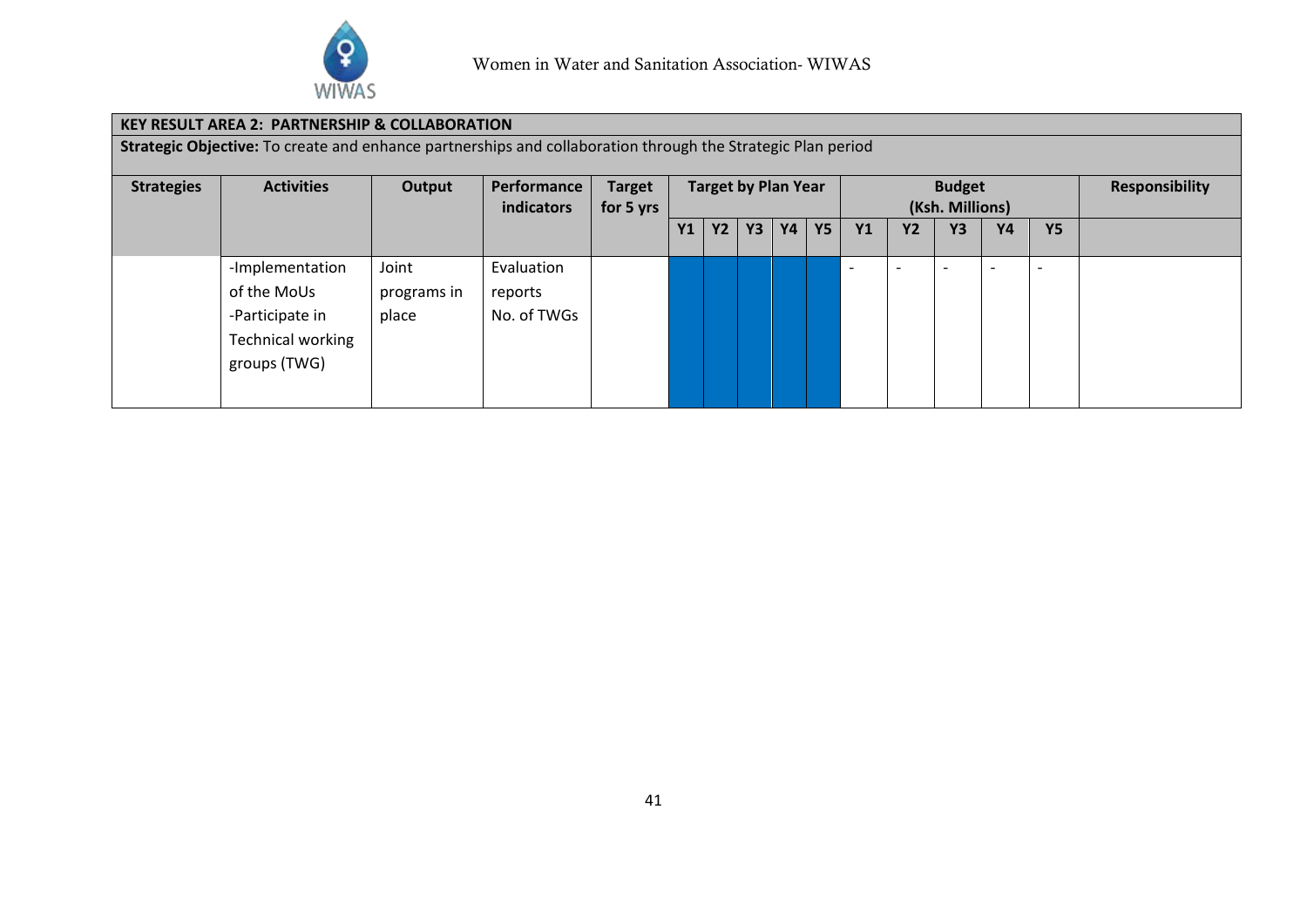

## **KEY RESULT AREA 2: PARTNERSHIP & COLLABORATION**

**Strategic Objective:** To create and enhance partnerships and collaboration through the Strategic Plan period

| <b>Strategies</b> | <b>Activities</b>                                                                             | Output                        | Performance<br>indicators            | <b>Target</b><br>for 5 yrs | <b>Target by Plan Year</b> |           |    |           |           |                          |           | <b>Budget</b><br>(Ksh. Millions) | <b>Responsibility</b>    |                          |  |
|-------------------|-----------------------------------------------------------------------------------------------|-------------------------------|--------------------------------------|----------------------------|----------------------------|-----------|----|-----------|-----------|--------------------------|-----------|----------------------------------|--------------------------|--------------------------|--|
|                   |                                                                                               |                               |                                      |                            | <b>Y1</b>                  | <b>Y2</b> | Y3 | <b>Y4</b> | <b>Y5</b> | <b>Y1</b>                | <b>Y2</b> | <b>Y3</b>                        | <b>Y4</b>                | <b>Y5</b>                |  |
|                   | -Implementation<br>of the MoUs<br>-Participate in<br><b>Technical working</b><br>groups (TWG) | Joint<br>programs in<br>place | Evaluation<br>reports<br>No. of TWGs |                            |                            |           |    |           |           | $\overline{\phantom{a}}$ |           |                                  | $\overline{\phantom{0}}$ | $\overline{\phantom{0}}$ |  |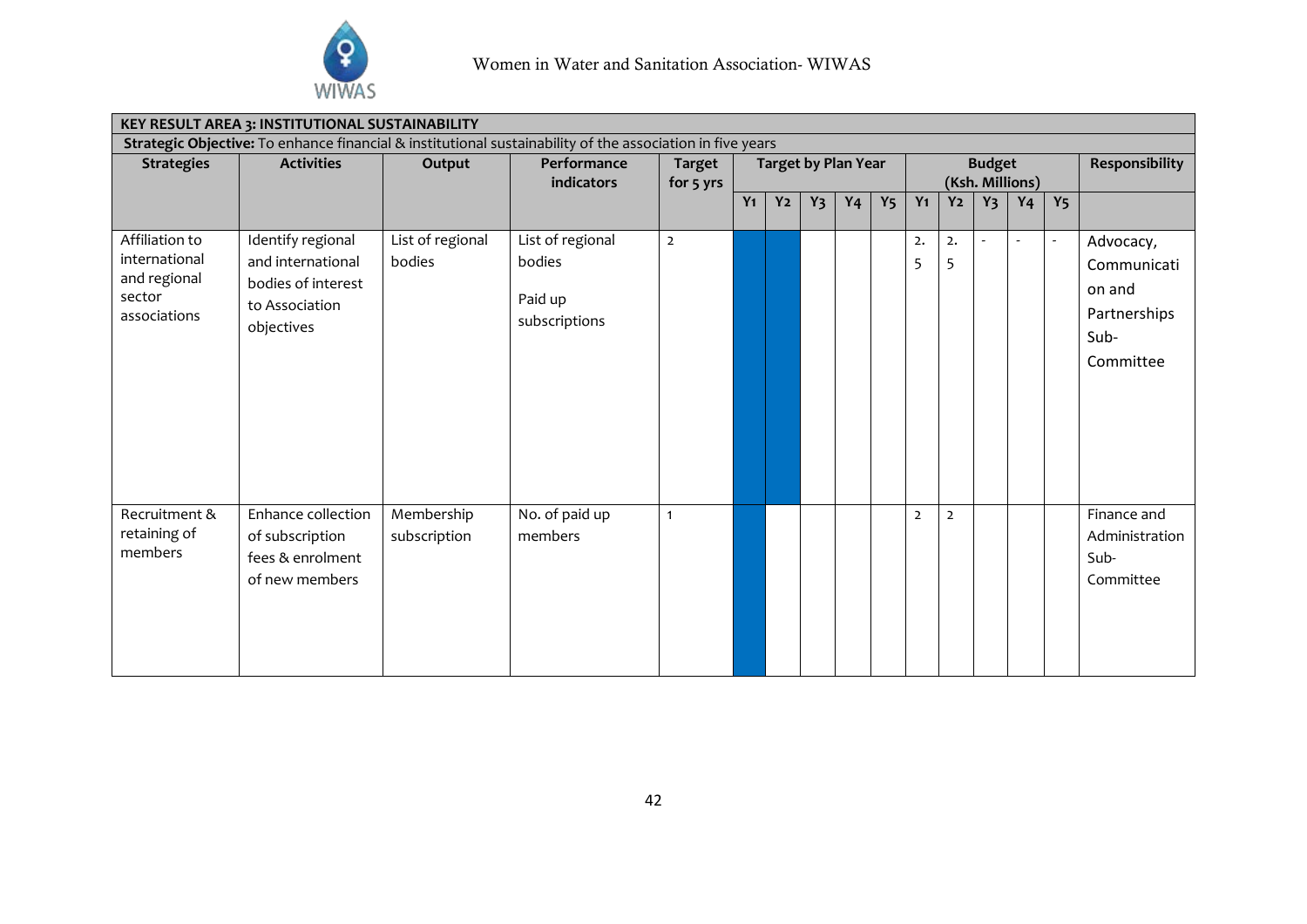

| <b>KEY RESULT AREA 3: INSTITUTIONAL SUSTAINABILITY</b>                                                    |                                                                                              |                            |                                                        |                            |                            |                |       |                |                |                                  |                |                          |                       |                          |                                                                         |
|-----------------------------------------------------------------------------------------------------------|----------------------------------------------------------------------------------------------|----------------------------|--------------------------------------------------------|----------------------------|----------------------------|----------------|-------|----------------|----------------|----------------------------------|----------------|--------------------------|-----------------------|--------------------------|-------------------------------------------------------------------------|
| Strategic Objective: To enhance financial & institutional sustainability of the association in five years |                                                                                              |                            |                                                        |                            |                            |                |       |                |                |                                  |                |                          |                       |                          |                                                                         |
| <b>Strategies</b>                                                                                         | <b>Activities</b>                                                                            | Output                     | Performance<br>indicators                              | <b>Target</b><br>for 5 yrs | <b>Target by Plan Year</b> |                |       |                |                | <b>Budget</b><br>(Ksh. Millions) |                |                          |                       |                          | Responsibility                                                          |
|                                                                                                           |                                                                                              |                            |                                                        |                            | $Y_1$                      | Y <sub>2</sub> | $Y_3$ | Y <sub>4</sub> | Y <sub>5</sub> | $Y_1$                            | Y <sub>2</sub> | $Y_3$                    | Y <sub>4</sub>        | Y <sub>5</sub>           |                                                                         |
| Affiliation to<br>international<br>and regional<br>sector<br>associations                                 | Identify regional<br>and international<br>bodies of interest<br>to Association<br>objectives | List of regional<br>bodies | List of regional<br>bodies<br>Paid up<br>subscriptions | $\overline{2}$             |                            |                |       |                |                | 2.<br>5                          | 2.<br>5        | $\overline{\phantom{a}}$ | $\tilde{\phantom{a}}$ | $\overline{\phantom{a}}$ | Advocacy,<br>Communicati<br>on and<br>Partnerships<br>Sub-<br>Committee |
| Recruitment &<br>retaining of<br>members                                                                  | Enhance collection<br>of subscription<br>fees & enrolment<br>of new members                  | Membership<br>subscription | No. of paid up<br>members                              | $\mathbf{1}$               |                            |                |       |                |                | $\overline{2}$                   | $\overline{2}$ |                          |                       |                          | Finance and<br>Administration<br>Sub-<br>Committee                      |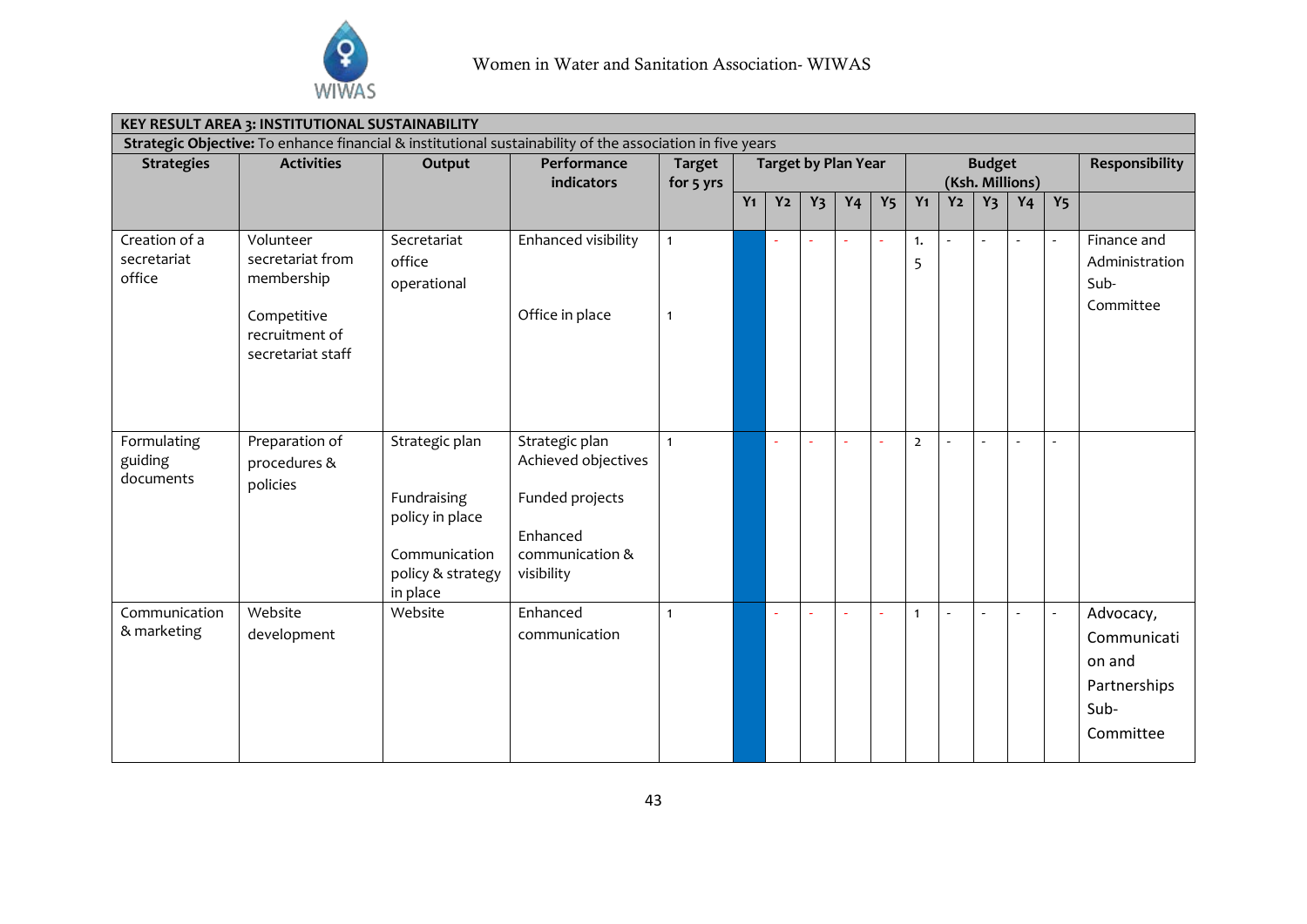

| KEY RESULT AREA 3: INSTITUTIONAL SUSTAINABILITY                                                           |                                                                                                   |                                                                                                    |                                                                                                       |                                                          |       |                          |       |                |                |                |                                  |                       |                |                          |                                                                         |
|-----------------------------------------------------------------------------------------------------------|---------------------------------------------------------------------------------------------------|----------------------------------------------------------------------------------------------------|-------------------------------------------------------------------------------------------------------|----------------------------------------------------------|-------|--------------------------|-------|----------------|----------------|----------------|----------------------------------|-----------------------|----------------|--------------------------|-------------------------------------------------------------------------|
| Strategic Objective: To enhance financial & institutional sustainability of the association in five years |                                                                                                   |                                                                                                    |                                                                                                       |                                                          |       |                          |       |                |                |                |                                  |                       |                |                          |                                                                         |
| <b>Strategies</b>                                                                                         | <b>Activities</b>                                                                                 | Output                                                                                             | Performance<br>indicators                                                                             | <b>Target by Plan Year</b><br><b>Target</b><br>for 5 yrs |       |                          |       |                |                |                | <b>Budget</b><br>(Ksh. Millions) | <b>Responsibility</b> |                |                          |                                                                         |
|                                                                                                           |                                                                                                   |                                                                                                    |                                                                                                       |                                                          | $Y_1$ | Y <sub>2</sub>           | $Y_3$ | Y <sub>4</sub> | Y <sub>5</sub> | $Y_1$          | Y <sub>2</sub>                   | Y <sub>3</sub>        | Y <sub>4</sub> | Y <sub>5</sub>           |                                                                         |
| Creation of a<br>secretariat<br>office                                                                    | Volunteer<br>secretariat from<br>membership<br>Competitive<br>recruitment of<br>secretariat staff | Secretariat<br>office<br>operational                                                               | Enhanced visibility<br>Office in place                                                                | $\mathbf{1}$<br>$\mathbf{1}$                             |       | $\sim$                   | ÷,    | ä,             | $\sim$         | 1.<br>5        |                                  | $\sim$                | $\blacksquare$ | $\overline{\phantom{a}}$ | Finance and<br>Administration<br>Sub-<br>Committee                      |
|                                                                                                           |                                                                                                   |                                                                                                    |                                                                                                       |                                                          |       |                          |       |                |                |                |                                  |                       |                |                          |                                                                         |
| Formulating<br>guiding<br>documents                                                                       | Preparation of<br>procedures &<br>policies                                                        | Strategic plan<br>Fundraising<br>policy in place<br>Communication<br>policy & strategy<br>in place | Strategic plan<br>Achieved objectives<br>Funded projects<br>Enhanced<br>communication &<br>visibility | $\mathbf{1}$                                             |       | $\overline{\phantom{a}}$ |       | Ĭ.             |                | $\overline{2}$ |                                  | $\overline{a}$        | $\sim$         | $\sim$                   |                                                                         |
| Communication<br>& marketing                                                                              | Website<br>development                                                                            | Website                                                                                            | Enhanced<br>communication                                                                             | $\mathbf{1}$                                             |       |                          |       | L,             |                | $\mathbf{1}$   |                                  | $\overline{a}$        |                | $\sim$                   | Advocacy,<br>Communicati<br>on and<br>Partnerships<br>Sub-<br>Committee |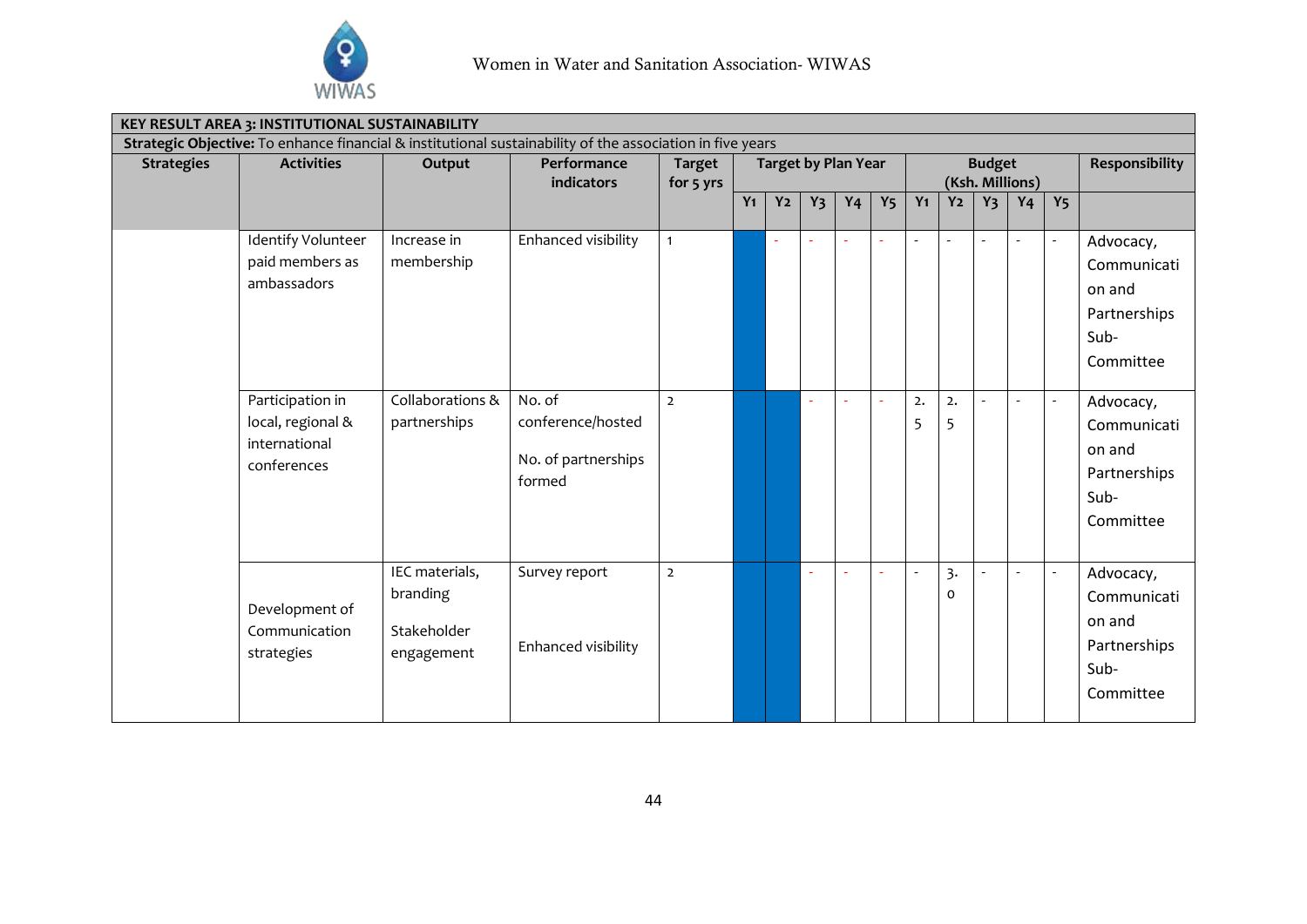

| KEY RESULT AREA 3: INSTITUTIONAL SUSTAINABILITY |                                                                       |                                                         |                                                                                                           |                            |                            |                |       |                |                |         |                |                                  |                       |                          |                                                                         |
|-------------------------------------------------|-----------------------------------------------------------------------|---------------------------------------------------------|-----------------------------------------------------------------------------------------------------------|----------------------------|----------------------------|----------------|-------|----------------|----------------|---------|----------------|----------------------------------|-----------------------|--------------------------|-------------------------------------------------------------------------|
|                                                 |                                                                       |                                                         | Strategic Objective: To enhance financial & institutional sustainability of the association in five years |                            |                            |                |       |                |                |         |                |                                  |                       |                          |                                                                         |
| <b>Strategies</b>                               | <b>Activities</b>                                                     | Output                                                  | Performance<br>indicators                                                                                 | <b>Target</b><br>for 5 yrs | <b>Target by Plan Year</b> |                |       |                |                |         |                | <b>Budget</b><br>(Ksh. Millions) | <b>Responsibility</b> |                          |                                                                         |
|                                                 |                                                                       |                                                         |                                                                                                           |                            | $Y_1$                      | Y <sub>2</sub> | $Y_3$ | Y <sub>4</sub> | Y <sub>5</sub> | $Y_1$   | Y <sub>2</sub> | $Y_3$                            | Y <sub>4</sub>        | Y <sub>5</sub>           |                                                                         |
|                                                 | Identify Volunteer<br>paid members as<br>ambassadors                  | Increase in<br>membership                               | Enhanced visibility                                                                                       | $\mathbf{1}$               |                            |                |       |                |                |         |                |                                  |                       |                          | Advocacy,<br>Communicati<br>on and<br>Partnerships<br>Sub-<br>Committee |
|                                                 | Participation in<br>local, regional &<br>international<br>conferences | Collaborations &<br>partnerships                        | No. of<br>conference/hosted<br>No. of partnerships<br>formed                                              | $\overline{2}$             |                            |                |       |                |                | 2.<br>5 | 2.<br>5        | $\overline{a}$                   | $\blacksquare$        | $\overline{\phantom{a}}$ | Advocacy,<br>Communicati<br>on and<br>Partnerships<br>Sub-<br>Committee |
|                                                 | Development of<br>Communication<br>strategies                         | IEC materials,<br>branding<br>Stakeholder<br>engagement | Survey report<br>Enhanced visibility                                                                      | $\overline{2}$             |                            |                |       |                |                |         | 3.<br>0        | $\overline{a}$                   | $\sim$                | $\overline{\phantom{a}}$ | Advocacy,<br>Communicati<br>on and<br>Partnerships<br>Sub-<br>Committee |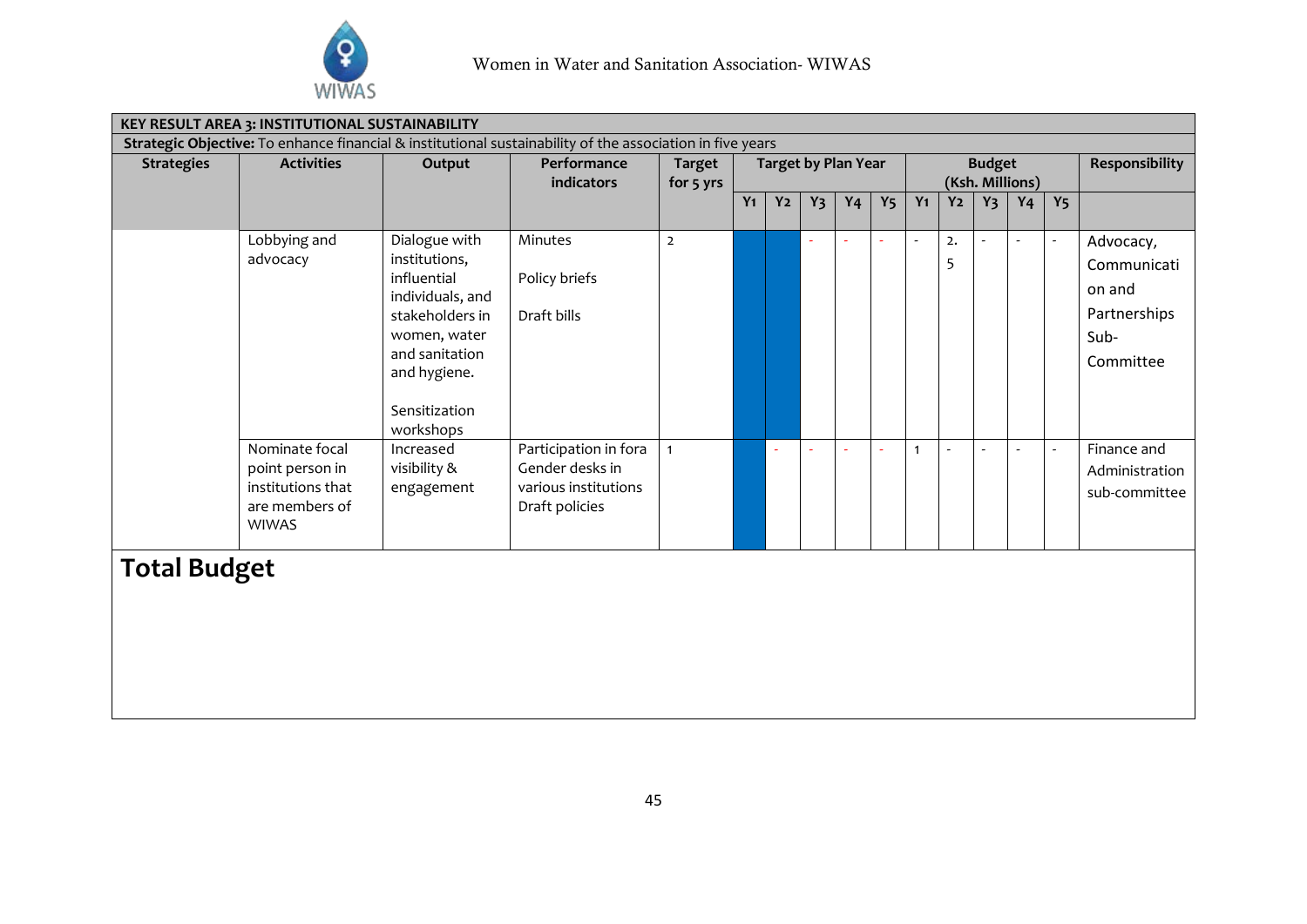

| KEY RESULT AREA 3: INSTITUTIONAL SUSTAINABILITY                                                           |                                                                                          |                                                                                                                                                                      |                                                                                    |                |                                             |                |       |                |                |       |                       |                 |                |                          |                                                                         |
|-----------------------------------------------------------------------------------------------------------|------------------------------------------------------------------------------------------|----------------------------------------------------------------------------------------------------------------------------------------------------------------------|------------------------------------------------------------------------------------|----------------|---------------------------------------------|----------------|-------|----------------|----------------|-------|-----------------------|-----------------|----------------|--------------------------|-------------------------------------------------------------------------|
| Strategic Objective: To enhance financial & institutional sustainability of the association in five years |                                                                                          |                                                                                                                                                                      |                                                                                    |                |                                             |                |       |                |                |       |                       |                 |                |                          |                                                                         |
| <b>Strategies</b>                                                                                         | <b>Activities</b>                                                                        | Output                                                                                                                                                               | Performance                                                                        | <b>Target</b>  | <b>Target by Plan Year</b><br><b>Budget</b> |                |       |                |                |       | <b>Responsibility</b> |                 |                |                          |                                                                         |
|                                                                                                           |                                                                                          |                                                                                                                                                                      | indicators                                                                         | for 5 yrs      |                                             |                |       |                |                |       |                       | (Ksh. Millions) |                |                          |                                                                         |
|                                                                                                           |                                                                                          |                                                                                                                                                                      |                                                                                    |                | $Y_1$                                       | Y <sub>2</sub> | $Y_3$ | Y <sub>4</sub> | Y <sub>5</sub> | $Y_1$ | Y <sub>2</sub>        | $Y_3$           | Y <sub>4</sub> | Y <sub>5</sub>           |                                                                         |
|                                                                                                           | Lobbying and<br>advocacy                                                                 | Dialogue with<br>institutions,<br>influential<br>individuals, and<br>stakeholders in<br>women, water<br>and sanitation<br>and hygiene.<br>Sensitization<br>workshops | Minutes<br>Policy briefs<br>Draft bills                                            | $\overline{2}$ |                                             |                |       |                |                |       | 2.<br>5               |                 |                | $\overline{\phantom{a}}$ | Advocacy,<br>Communicati<br>on and<br>Partnerships<br>Sub-<br>Committee |
|                                                                                                           | Nominate focal<br>point person in<br>institutions that<br>are members of<br><b>WIWAS</b> | Increased<br>visibility &<br>engagement                                                                                                                              | Participation in fora<br>Gender desks in<br>various institutions<br>Draft policies |                |                                             |                |       |                |                | 1     |                       |                 |                |                          | Finance and<br>Administration<br>sub-committee                          |
| <b>Total Budget</b>                                                                                       |                                                                                          |                                                                                                                                                                      |                                                                                    |                |                                             |                |       |                |                |       |                       |                 |                |                          |                                                                         |